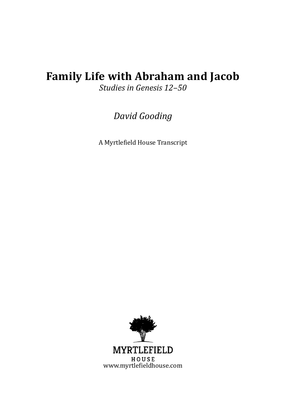# **Family Life with Abraham and Jacob**

*Studies in Genesis 12–50*

# *David Gooding*

A Myrtlefield House Transcript

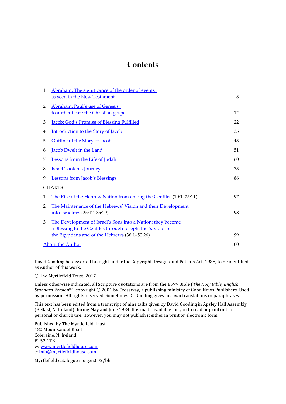# **Contents**

<span id="page-1-0"></span>

| $\mathbf{1}$            | Abraham: The significance of the order of events<br>as seen in the New Testament                | 3   |
|-------------------------|-------------------------------------------------------------------------------------------------|-----|
| 2                       | <b>Abraham: Paul's use of Genesis</b><br>to authenticate the Christian gospel                   | 12  |
| 3                       | Jacob: God's Promise of Blessing Fulfilled                                                      | 22  |
| 4                       | Introduction to the Story of Jacob                                                              | 35  |
| 5                       | Outline of the Story of Jacob                                                                   | 43  |
| 6                       | <b>Jacob Dwelt in the Land</b>                                                                  | 51  |
| 7                       | Lessons from the Life of Judah                                                                  | 60  |
| 8                       | <b>Israel Took his Journey</b>                                                                  | 73  |
| 9                       | <b>Lessons from Jacob's Blessings</b>                                                           | 86  |
|                         | <b>CHARTS</b>                                                                                   |     |
| 1                       | The Rise of the Hebrew Nation from among the Gentiles (10:1–25:11)                              | 97  |
| $\overline{2}$          | The Maintenance of the Hebrews' Vision and their Development<br>$into Israelites (25:12-35:29)$ | 98  |
| 3                       | The Development of Israel's Sons into a Nation: they become                                     |     |
|                         | a Blessing to the Gentiles through Joseph, the Saviour of                                       | 99  |
|                         | the Egyptians and of the Hebrews (36:1-50:26)                                                   |     |
| <b>About the Author</b> |                                                                                                 | 100 |

David Gooding has asserted his right under the Copyright, Designs and Patents Act, 1988, to be identified as Author of this work.

© The Myrtlefield Trust, 2017

Unless otherwise indicated, all Scripture quotations are from the ESV® Bible (*The Holy Bible, English Standard Version*®), copyright © 2001 by Crossway, a publishing ministry of Good News Publishers. Used by permission. All rights reserved. Sometimes Dr Gooding gives his own translations or paraphrases.

This text has been edited from a transcript of nine talks given by David Gooding in Apsley Hall Assembly (Belfast, N. Ireland) during May and June 1984. It is made available for you to read or print out for personal or church use. However, you may not publish it either in print or electronic form.

Published by The Myrtlefield Trust 180 Mountsandel Road Coleraine, N. Ireland BT52 1TB w[: www.myrtlefieldhouse.com](http://www.myrtlefieldhouse.com/) e[: info@myrtlefieldhouse.com](mailto:info@myrtlefieldhouse.com?subject=From%20RT%20chl.002:%20)

Myrtlefield catalogue no: gen.002/bh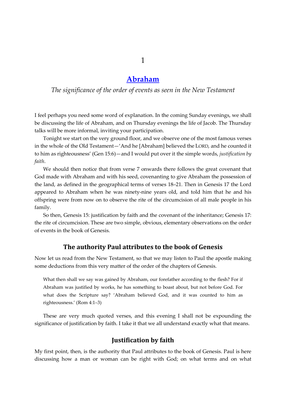# **[Abraham](#page-1-0)**

# <span id="page-2-0"></span>*The significance of the order of events as seen in the New Testament*

I feel perhaps you need some word of explanation. In the coming Sunday evenings, we shall be discussing the life of Abraham, and on Thursday evenings the life of Jacob. The Thursday talks will be more informal, inviting your participation.

Tonight we start on the very ground floor, and we observe one of the most famous verses in the whole of the Old Testament—'And he [Abraham] believed the LORD, and he counted it to him as righteousness' (Gen 15:6)—and I would put over it the simple words, *justification by faith*.

We should then notice that from verse 7 onwards there follows the great covenant that God made with Abraham and with his seed, covenanting to give Abraham the possession of the land, as defined in the geographical terms of verses 18–21. Then in Genesis 17 the Lord appeared to Abraham when he was ninety-nine years old, and told him that he and his offspring were from now on to observe the rite of the circumcision of all male people in his family.

So then, Genesis 15: justification by faith and the covenant of the inheritance; Genesis 17: the rite of circumcision. These are two simple, obvious, elementary observations on the order of events in the book of Genesis.

### **The authority Paul attributes to the book of Genesis**

Now let us read from the New Testament, so that we may listen to Paul the apostle making some deductions from this very matter of the order of the chapters of Genesis.

What then shall we say was gained by Abraham, our forefather according to the flesh? For if Abraham was justified by works, he has something to boast about, but not before God. For what does the Scripture say? 'Abraham believed God, and it was counted to him as righteousness.' (Rom 4:1–3)

These are very much quoted verses, and this evening I shall not be expounding the significance of justification by faith. I take it that we all understand exactly what that means.

# **Justification by faith**

My first point, then, is the authority that Paul attributes to the book of Genesis. Paul is here discussing how a man or woman can be right with God; on what terms and on what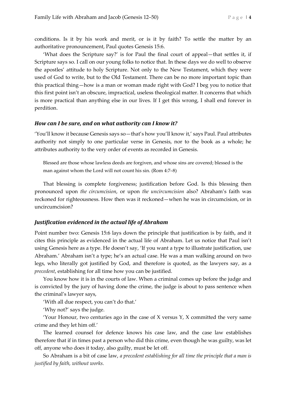conditions. Is it by his work and merit, or is it by faith? To settle the matter by an authoritative pronouncement, Paul quotes Genesis 15:6.

'What does the Scripture say?' is for Paul the final court of appeal—that settles it, if Scripture says so. I call on our young folks to notice that. In these days we do well to observe the apostles' attitude to holy Scripture. Not only to the New Testament, which they were used of God to write, but to the Old Testament. There can be no more important topic than this practical thing—how is a man or woman made right with God? I beg you to notice that this first point isn't an obscure, impractical, useless theological matter. It concerns that which is more practical than anything else in our lives. If I get this wrong, I shall end forever in perdition.

#### *How can I be sure, and on what authority can I know it?*

'You'll know it because Genesis says so—that's how you'll know it,' says Paul. Paul attributes authority not simply to one particular verse in Genesis, nor to the book as a whole; he attributes authority to the very order of events as recorded in Genesis.

Blessed are those whose lawless deeds are forgiven, and whose sins are covered; blessed is the man against whom the Lord will not count his sin. (Rom 4:7–8)

That blessing is complete forgiveness; justification before God. Is this blessing then pronounced upon *the circumcision*, or upon *the uncircumcision* also? Abraham's faith was reckoned for righteousness. How then was it reckoned—when he was in circumcision, or in uncircumcision?

#### *Justification evidenced in the actual life of Abraham*

Point number two: Genesis 15:6 lays down the principle that justification is by faith, and it cites this principle as evidenced in the actual life of Abraham. Let us notice that Paul isn't using Genesis here as a type. He doesn't say, 'If you want a type to illustrate justification, use Abraham.' Abraham isn't a type; he's an actual case. He was a man walking around on two legs, who literally got justified by God, and therefore is quoted, as the lawyers say, as a *precedent*, establishing for all time how you can be justified.

You know how it is in the courts of law. When a criminal comes up before the judge and is convicted by the jury of having done the crime, the judge is about to pass sentence when the criminal's lawyer says,

'With all due respect, you can't do that.'

'Why not?' says the judge.

'Your Honour, two centuries ago in the case of X versus Y, X committed the very same crime and they let him off.'

The learned counsel for defence knows his case law, and the case law establishes therefore that if in times past a person who did this crime, even though he was guilty, was let off, anyone who does it today, also guilty, must be let off.

So Abraham is a bit of case law, *a precedent establishing for all time the principle that a man is justified by faith, without works.*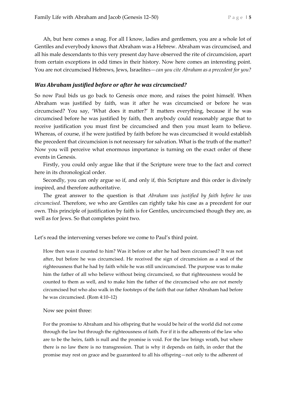Ah, but here comes a snag. For all I know, ladies and gentlemen, you are a whole lot of Gentiles and everybody knows that Abraham was a Hebrew. Abraham was circumcised, and all his male descendants to this very present day have observed the rite of circumcision, apart from certain exceptions in odd times in their history. Now here comes an interesting point. You are not circumcised Hebrews, Jews, Israelites—*can you cite Abraham as a precedent for you?*

#### *Was Abraham justified before or after he was circumcised?*

So now Paul bids us go back to Genesis once more, and raises the point himself. When Abraham was justified by faith, was it after he was circumcised or before he was circumcised? You say, 'What does it matter?' It matters everything, because if he was circumcised before he was justified by faith, then anybody could reasonably argue that to receive justification you must first be circumcised and then you must learn to believe. Whereas, of course, if he were justified by faith before he was circumcised it would establish the precedent that circumcision is not necessary for salvation. What is the truth of the matter? Now you will perceive what enormous importance is turning on the exact order of these events in Genesis.

Firstly, you could only argue like that if the Scripture were true to the fact and correct here in its chronological order.

Secondly, you can only argue so if, and only if, this Scripture and this order is divinely inspired, and therefore authoritative.

The great answer to the question is that *Abraham was justified by faith before he was circumcised*. Therefore, we who are Gentiles can rightly take his case as a precedent for our own. This principle of justification by faith is for Gentiles, uncircumcised though they are, as well as for Jews. So that completes point two.

Let's read the intervening verses before we come to Paul's third point.

How then was it counted to him? Was it before or after he had been circumcised? It was not after, but before he was circumcised. He received the sign of circumcision as a seal of the righteousness that he had by faith while he was still uncircumcised. The purpose was to make him the father of all who believe without being circumcised, so that righteousness would be counted to them as well, and to make him the father of the circumcised who are not merely circumcised but who also walk in the footsteps of the faith that our father Abraham had before he was circumcised. (Rom 4:10–12)

Now see point three:

For the promise to Abraham and his offspring that he would be heir of the world did not come through the law but through the righteousness of faith. For if it is the adherents of the law who are to be the heirs, faith is null and the promise is void. For the law brings wrath, but where there is no law there is no transgression. That is why it depends on faith, in order that the promise may rest on grace and be guaranteed to all his offspring—not only to the adherent of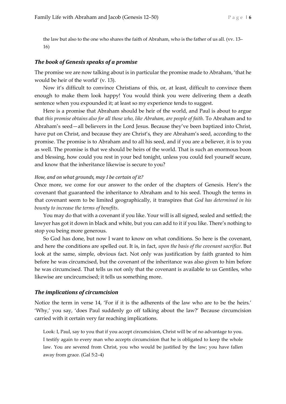the law but also to the one who shares the faith of Abraham, who is the father of us all. (vv. 13– 16)

#### *The book of Genesis speaks of a promise*

The promise we are now talking about is in particular the promise made to Abraham, 'that he would be heir of the world' (v. 13).

Now it's difficult to convince Christians of this, or, at least, difficult to convince them enough to make them look happy! You would think you were delivering them a death sentence when you expounded it; at least so my experience tends to suggest.

Here is a promise that Abraham should be heir of the world, and Paul is about to argue that *this promise obtains also for all those who, like Abraham, are people of faith.* To Abraham and to Abraham's seed—all believers in the Lord Jesus. Because they've been baptized into Christ, have put on Christ, and because they are Christ's, they are Abraham's seed, according to the promise. The promise is to Abraham and to all his seed, and if you are a believer, it is to you as well. The promise is that we should be heirs of the world. That is such an enormous boon and blessing, how could you rest in your bed tonight, unless you could feel yourself secure, and know that the inheritance likewise is secure to you?

#### *How, and on what grounds, may I be certain of it?*

Once more, we come for our answer to the order of the chapters of Genesis. Here's the covenant that guaranteed the inheritance to Abraham and to his seed. Though the terms in that covenant seem to be limited geographically, it transpires that *God has determined in his bounty to increase the terms of benefits*.

You may do that with a covenant if you like. Your will is all signed, sealed and settled; the lawyer has got it down in black and white, but you can add to it if you like. There's nothing to stop you being more generous.

So God has done, but now I want to know on what conditions. So here is the covenant, and here the conditions are spelled out. It is, in fact, *upon the basis of the covenant sacrifice*. But look at the same, simple, obvious fact. Not only was justification by faith granted to him before he was circumcised, but the covenant of the inheritance was also given to him before he was circumcised. That tells us not only that the covenant is available to us Gentiles, who likewise are uncircumcised; it tells us something more.

#### *The implications of circumcision*

Notice the term in verse 14, 'For if it is the adherents of the law who are to be the heirs.' 'Why,' you say, 'does Paul suddenly go off talking about the law?' Because circumcision carried with it certain very far reaching implications.

Look: I, Paul, say to you that if you accept circumcision, Christ will be of no advantage to you. I testify again to every man who accepts circumcision that he is obligated to keep the whole law. You are severed from Christ, you who would be justified by the law; you have fallen away from grace. (Gal 5:2–4)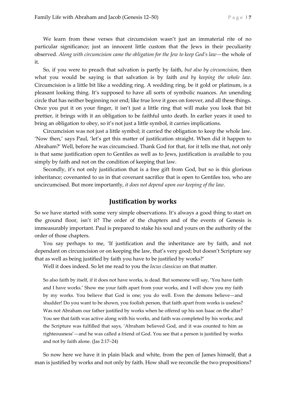We learn from these verses that circumcision wasn't just an immaterial rite of no particular significance; just an innocent little custom that the Jews in their peculiarity observed. *Along with circumcision came the obligation for the Jew to keep God's law—*the whole of it.

So, if you were to preach that salvation is partly by faith, *but also by circumcision*, then what you would be saying is that salvation is by faith *and by keeping the whole law*. Circumcision is a little bit like a wedding ring. A wedding ring, be it gold or platinum, is a pleasant looking thing. It's supposed to have all sorts of symbolic nuances. An unending circle that has neither beginning nor end; like true love it goes on forever, and all these things. Once you put it on your finger, it isn't just a little ring that will make you look that bit prettier, it brings with it an obligation to be faithful unto death. In earlier years it used to bring an obligation to obey, so it's not just a little symbol, it carries implications.

Circumcision was not just a little symbol; it carried the obligation to keep the whole law. 'Now then,' says Paul, 'let's get this matter of justification straight. When did it happen to Abraham?' Well, before he was circumcised. Thank God for that, for it tells me that, not only is that same justification open to Gentiles as well as to Jews, justification is available to you simply by faith and not on the condition of keeping that law.

Secondly, it's not only justification that is a free gift from God, but so is this glorious inheritance; covenanted to us in that covenant sacrifice that is open to Gentiles too, who are uncircumcised. But more importantly, *it does not depend upon our keeping of the law*.

# **Justification by works**

So we have started with some very simple observations. It's always a good thing to start on the ground floor, isn't it? The order of the chapters and of the events of Genesis is immeasurably important. Paul is prepared to stake his soul and yours on the authority of the order of those chapters.

You say perhaps to me, 'If justification and the inheritance are by faith, and not dependant on circumcision or on keeping the law, that's very good; but doesn't Scripture say that as well as being justified by faith you have to be justified by works?'

Well it does indeed. So let me read to you the *locus classicus* on that matter.

So also faith by itself, if it does not have works, is dead. But someone will say, 'You have faith and I have works.' Show me your faith apart from your works, and I will show you my faith by my works. You believe that God is one; you do well. Even the demons believe—and shudder! Do you want to be shown, you foolish person, that faith apart from works is useless? Was not Abraham our father justified by works when he offered up his son Isaac on the altar? You see that faith was active along with his works, and faith was completed by his works; and the Scripture was fulfilled that says, 'Abraham believed God, and it was counted to him as righteousness'—and he was called a friend of God. You see that a person is justified by works and not by faith alone. (Jas 2:17–24)

So now here we have it in plain black and white, from the pen of James himself, that a man is justified by works and not only by faith. How shall we reconcile the two propositions?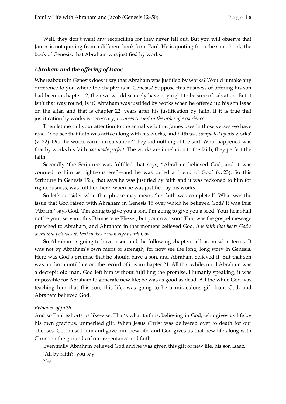Well, they don't want any reconciling for they never fell out. But you will observe that James is not quoting from a different book from Paul. He is quoting from the same book, the book of Genesis, that Abraham was justified by works.

#### *Abraham and the offering of Isaac*

Whereabouts in Genesis does it say that Abraham was justified by works? Would it make any difference to you where the chapter is in Genesis? Suppose this business of offering his son had been in chapter 12, then we would scarcely have any right to be sure of salvation. But it isn't that way round, is it? Abraham was justified by works when he offered up his son Isaac on the altar, and that is chapter 22, years after his justification by faith. If it is true that justification by works is necessary*, it comes second in the order of experience*.

Then let me call your attention to the actual verb that James uses in those verses we have read. 'You see that faith was active along with his works, and faith *was completed by* his works' (v. 22). Did the works earn him salvation? They did nothing of the sort. What happened was that by works his faith *was made perfect*. The works are in relation to the faith; they perfect the faith.

Secondly 'the Scripture was fulfilled that says, "Abraham believed God, and it was counted to him as righteousness"—and he was called a friend of God' (v. 23). So this Scripture in Genesis 15:6, that says he was justified by faith and it was reckoned to him for righteousness, was fulfilled here, when he was justified by his works.

So let's consider what that phrase may mean, 'his faith was completed'. What was the issue that God raised with Abraham in Genesis 15 over which he believed God? It was this: 'Abram,' says God, 'I'm going to give you a son. I'm going to give you a seed. Your heir shall not be your servant, this Damascene Eliezer, but your own son.' That was the gospel message preached to Abraham, and Abraham in that moment believed God. *It is faith that hears God's word and believes it, that makes a man right with God.*

So Abraham is going to have a son and the following chapters tell us on what terms. It was not by Abraham's own merit or strength, for now see the long, long story in Genesis. Here was God's promise that he should have a son, and Abraham believed it. But that son was not born until late on: the record of it is in chapter 21. All that while, until Abraham was a decrepit old man, God left him without fulfilling the promise. Humanly speaking, it was impossible for Abraham to generate new life; he was as good as dead. All the while God was teaching him that this son, this life, was going to be a miraculous gift from God, and Abraham believed God.

#### *Evidence of faith*

And so Paul exhorts us likewise. That's what faith is: believing in God, who gives us life by his own gracious, unmerited gift. When Jesus Christ was delivered over to death for our offenses, God raised him and gave him new life; and God gives us that new life along with Christ on the grounds of our repentance and faith.

Eventually Abraham believed God and he was given this gift of new life, his son Isaac. 'All by faith?' you say.

Yes.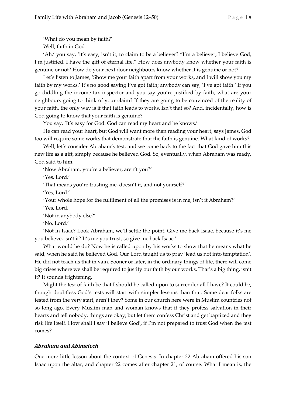'What do you mean by faith?'

Well, faith in God.

'Ah,' you say, 'it's easy, isn't it, to claim to be a believer? "I'm a believer; I believe God, I'm justified. I have the gift of eternal life." How does anybody know whether your faith is genuine or not? How do your next door neighbours know whether it is genuine or not?'

Let's listen to James, 'Show me your faith apart from your works, and I will show you my faith by my works.' It's no good saying I've got faith; anybody can say, 'I've got faith.' If you go diddling the income tax inspector and you say you're justified by faith, what are your neighbours going to think of your claim? If they are going to be convinced of the reality of your faith, the only way is if that faith leads to works. Isn't that so? And, incidentally, how is God going to know that your faith is genuine?

You say, 'It's easy for God. God can read my heart and he knows.'

He can read your heart, but God will want more than reading your heart, says James. God too will require some works that demonstrate that the faith is genuine. What kind of works?

Well, let's consider Abraham's test, and we come back to the fact that God gave him this new life as a gift, simply because he believed God. So, eventually, when Abraham was ready, God said to him.

'Now Abraham, you're a believer, aren't you?'

'Yes, Lord.'

'That means you're trusting me, doesn't it, and not yourself?'

'Yes, Lord.'

'Your whole hope for the fulfilment of all the promises is in me, isn't it Abraham?'

'Yes, Lord.'

'Not in anybody else?'

'No, Lord.'

'Not in Isaac? Look Abraham, we'll settle the point. Give me back Isaac, because it's me you believe, isn't it? It's me you trust, so give me back Isaac.'

What would he do? Now he is called upon by his works to show that he means what he said, when he said he believed God. Our Lord taught us to pray 'lead us not into temptation'. He did not teach us that in vain. Sooner or later, in the ordinary things of life, there will come big crises where we shall be required to justify our faith by our works. That's a big thing, isn't it? It sounds frightening.

Might the test of faith be that I should be called upon to surrender all I have? It could be, though doubtless God's tests will start with simpler lessons than that. Some dear folks are tested from the very start, aren't they? Some in our church here were in Muslim countries not so long ago. Every Muslim man and woman knows that if they profess salvation in their hearts and tell nobody, things are okay; but let them confess Christ and get baptized and they risk life itself. How shall I say 'I believe God', if I'm not prepared to trust God when the test comes?

#### *Abraham and Abimelech*

One more little lesson about the context of Genesis. In chapter 22 Abraham offered his son Isaac upon the altar, and chapter 22 comes after chapter 21, of course. What I mean is, the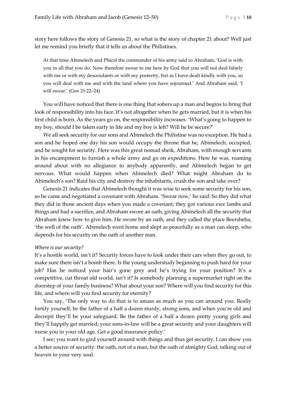story here follows the story of Genesis 21, so what is the story of chapter 21 about? Well just let me remind you briefly that it tells us about the Philistines.

At that time Abimelech and Phicol the commander of his army said to Abraham, 'God is with you in all that you do. Now therefore swear to me here by God that you will not deal falsely with me or with my descendants or with my posterity, but as I have dealt kindly with you, so you will deal with me and with the land where you have sojourned.' And Abraham said, 'I will swear.' (Gen 21:22–24)

You will have noticed that there is one thing that sobers up a man and begins to bring that look of responsibility into his face. It's not altogether when he gets married, but it is when his first child is born. As the years go on, the responsibility increases. 'What's going to happen to my boy, should I be taken early in life and my boy is left? Will he be secure?'

We all seek security for our sons and Abimelech the Philistine was no exception. He had a son and he hoped one day his son would occupy the throne that he, Abimelech, occupied, and he sought for security. Here was this great nomad sheik, Abraham, with enough servants in his encampment to furnish a whole army and go on expeditions. Here he was, roaming around about with no allegiance to anybody apparently, and Abimelech began to get nervous. What would happen when Abimelech died? What might Abraham do to Abimelech's son? Raid his city and destroy the inhabitants, crush the son and take over?

Genesis 21 indicates that Abimelech thought it was wise to seek some security for his son, so he came and negotiated a covenant with Abraham. 'Swear now,' he said. So they did what they did in those ancient days when you made a covenant; they got various ewe lambs and things and had a sacrifice, and Abraham swore an oath, giving Abimelech all the security that Abraham knew how to give him. He swore by an oath, and they called the place Beersheba, 'the well of the oath'. Abimelech went home and slept as peacefully as a man can sleep, who depends for his security on the oath of another man.

#### *Where is our security?*

It's a hostile world, isn't it? Security forces have to look under their cars when they go out, to make sure there isn't a bomb there. Is the young understudy beginning to push hard for your job? Has he noticed your hair's gone grey and he's trying for your position? It's a competitive, cut throat old world, isn't it? Is somebody planning a supermarket right on the doorstep of your family business? What about your son? Where will you find security for this life, and where will you find security for eternity?

You say, 'The only way to do that is to amass as much as you can around you. Really fortify yourself; be the father of a half a dozen sturdy, strong sons, and when you're old and decrepit they'll be your safeguard. Be the father of a half a dozen pretty young girls and they'll happily get married; your sons-in-law will be a great security and your daughters will nurse you in your old age. Get a good insurance policy.'

I see; you want to gird yourself around with things and thus get security. I can show you a better source of security: the oath, not of a man, but the oath of almighty God, talking out of heaven to your very soul.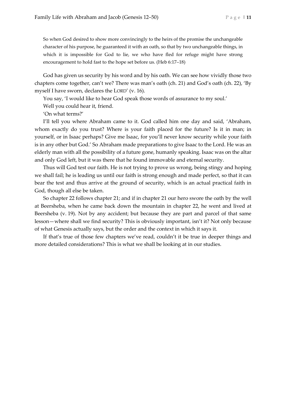So when God desired to show more convincingly to the heirs of the promise the unchangeable character of his purpose, he guaranteed it with an oath, so that by two unchangeable things, in which it is impossible for God to lie, we who have fled for refuge might have strong encouragement to hold fast to the hope set before us. (Heb 6:17–18)

God has given us security by his word and by his oath. We can see how vividly those two chapters come together, can't we? There was man's oath (ch. 21) and God's oath (ch. 22), 'By myself I have sworn, declares the LORD' (v. 16).

You say, 'I would like to hear God speak those words of assurance to my soul.'

Well you could hear it, friend.

'On what terms?'

I'll tell you where Abraham came to it. God called him one day and said, 'Abraham, whom exactly do you trust? Where is your faith placed for the future? Is it in man; in yourself, or in Isaac perhaps? Give me Isaac, for you'll never know security while your faith is in any other but God.' So Abraham made preparations to give Isaac to the Lord. He was an elderly man with all the possibility of a future gone, humanly speaking. Isaac was on the altar and only God left, but it was there that he found immovable and eternal security.

Thus will God test our faith. He is not trying to prove us wrong, being stingy and hoping we shall fail; he is leading us until our faith is strong enough and made perfect, so that it can bear the test and thus arrive at the ground of security, which is an actual practical faith in God, though all else be taken.

So chapter 22 follows chapter 21; and if in chapter 21 our hero swore the oath by the well at Beersheba, when he came back down the mountain in chapter 22, he went and lived at Beersheba (v. 19). Not by any accident; but because they are part and parcel of that same lesson—where shall we find security? This is obviously important, isn't it? Not only because of what Genesis actually says, but the order and the context in which it says it.

If that's true of those few chapters we've read, couldn't it be true in deeper things and more detailed considerations? This is what we shall be looking at in our studies.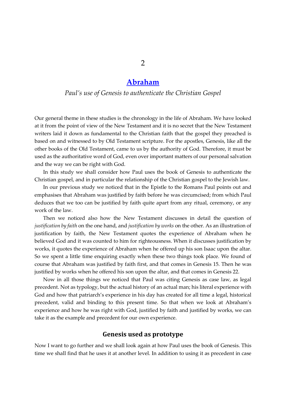# **[Abraham](#page-1-0)**

# <span id="page-11-0"></span>*Paul's use of Genesis to authenticate the Christian Gospel*

Our general theme in these studies is the chronology in the life of Abraham. We have looked at it from the point of view of the New Testament and it is no secret that the New Testament writers laid it down as fundamental to the Christian faith that the gospel they preached is based on and witnessed to by Old Testament scripture. For the apostles, Genesis, like all the other books of the Old Testament, came to us by the authority of God. Therefore, it must be used as the authoritative word of God, even over important matters of our personal salvation and the way we can be right with God.

In this study we shall consider how Paul uses the book of Genesis to authenticate the Christian gospel, and in particular the relationship of the Christian gospel to the Jewish law.

In our previous study we noticed that in the Epistle to the Romans Paul points out and emphasises that Abraham was justified by faith before he was circumcised; from which Paul deduces that we too can be justified by faith quite apart from any ritual, ceremony, or any work of the law.

Then we noticed also how the New Testament discusses in detail the question of *justification by faith* on the one hand, and *justification by works* on the other. As an illustration of justification by faith, the New Testament quotes the experience of Abraham when he believed God and it was counted to him for righteousness. When it discusses justification by works, it quotes the experience of Abraham when he offered up his son Isaac upon the altar. So we spent a little time enquiring exactly when these two things took place. We found of course that Abraham was justified by faith first, and that comes in Genesis 15. Then he was justified by works when he offered his son upon the altar, and that comes in Genesis 22.

Now in all those things we noticed that Paul was citing Genesis as case law, as legal precedent. Not as typology, but the actual history of an actual man; his literal experience with God and how that patriarch's experience in his day has created for all time a legal, historical precedent, valid and binding to this present time. So that when we look at Abraham's experience and how he was right with God, justified by faith and justified by works, we can take it as the example and precedent for our own experience.

### **Genesis used as prototype**

Now I want to go further and we shall look again at how Paul uses the book of Genesis. This time we shall find that he uses it at another level. In addition to using it as precedent in case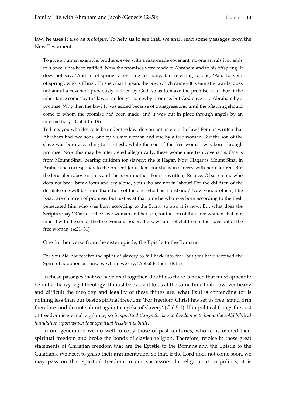law, he uses it also as *prototype*. To help us to see that, we shall read some passages from the New Testament.

To give a human example, brothers: even with a man-made covenant, no one annuls it or adds to it once it has been ratified. Now the promises were made to Abraham and to his offspring. It does not say, 'And to offsprings', referring to many, but referring to one, 'And to your offspring', who is Christ. This is what I mean: the law, which came 430 years afterwards, does not annul a covenant previously ratified by God, so as to make the promise void. For if the inheritance comes by the law, it no longer comes by promise; but God gave it to Abraham by a promise. Why then the law? It was added because of transgressions, until the offspring should come to whom the promise had been made, and it was put in place through angels by an intermediary. (Gal 3:15–19)

Tell me, you who desire to be under the law, do you not listen to the law? For it is written that Abraham had two sons, one by a slave woman and one by a free woman. But the son of the slave was born according to the flesh, while the son of the free woman was born through promise. Now this may be interpreted allegorically: these women are two covenants. One is from Mount Sinai, bearing children for slavery; she is Hagar. Now Hagar is Mount Sinai in Arabia; she corresponds to the present Jerusalem, for she is in slavery with her children. But the Jerusalem above is free, and she is our mother. For it is written, 'Rejoice, O barren one who does not bear; break forth and cry aloud, you who are not in labour! For the children of the desolate one will be more than those of the one who has a husband.' Now you, brothers, like Isaac, are children of promise. But just as at that time he who was born according to the flesh persecuted him who was born according to the Spirit, so also it is now. But what does the Scripture say? 'Cast out the slave woman and her son, for the son of the slave woman shall not inherit with the son of the free woman.' So, brothers, we are not children of the slave but of the free woman. (4:21–31)

One further verse from the sister epistle, the Epistle to the Romans:

For you did not receive the spirit of slavery to fall back into fear, but you have received the Spirit of adoption as sons, by whom we cry, 'Abba! Father!' (8:15)

In these passages that we have read together, doubtless there is much that must appear to be rather heavy legal theology. It must be evident to us at the same time that, however heavy and difficult the theology and legality of these things are, what Paul is contending for is nothing less than our basic spiritual freedom; 'For freedom Christ has set us free; stand firm therefore, and do not submit again to a yoke of slavery' (Gal 5:1). If in political things the cost of freedom is eternal vigilance, so *in spiritual things the key to freedom is to know the solid biblical foundation upon which that spiritual freedom is built*.

In our generation we do well to copy those of past centuries, who rediscovered their spiritual freedom and broke the bonds of slavish religion. Therefore, rejoice in these great statements of Christian freedom that are the Epistle to the Romans and the Epistle to the Galatians. We need to grasp their argumentation, so that, if the Lord does not come soon, we may pass on that spiritual freedom to our successors. In religion, as in politics, it is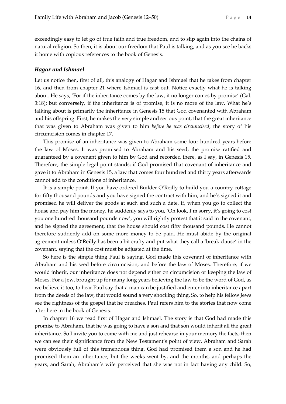exceedingly easy to let go of true faith and true freedom, and to slip again into the chains of natural religion. So then, it is about our freedom that Paul is talking, and as you see he backs it home with copious references to the book of Genesis.

#### *Hagar and Ishmael*

Let us notice then, first of all, this analogy of Hagar and Ishmael that he takes from chapter 16, and then from chapter 21 where Ishmael is cast out. Notice exactly what he is talking about. He says, 'For if the inheritance comes by the law, it no longer comes by promise' (Gal. 3:18); but conversely, if the inheritance is of promise, it is no more of the law. What he's talking about is primarily the inheritance in Genesis 15 that God covenanted with Abraham and his offspring. First, he makes the very simple and serious point, that the great inheritance that was given to Abraham was given to him *before he was circumcised*; the story of his circumcision comes in chapter 17.

This promise of an inheritance was given to Abraham some four hundred years before the law of Moses. It was promised to Abraham and his seed; the promise ratified and guaranteed by a covenant given to him by God and recorded there, as I say, in Genesis 15. Therefore, the simple legal point stands; if God promised that covenant of inheritance and gave it to Abraham in Genesis 15, a law that comes four hundred and thirty years afterwards cannot add to the conditions of inheritance.

It is a simple point. If you have ordered Builder O'Reilly to build you a country cottage for fifty thousand pounds and you have signed the contract with him, and he's signed it and promised he will deliver the goods at such and such a date, if, when you go to collect the house and pay him the money, he suddenly says to you, 'Oh look, I'm sorry, it's going to cost you one hundred thousand pounds now', you will rightly protest that it said in the covenant, and he signed the agreement, that the house should cost fifty thousand pounds. He cannot therefore suddenly add on some more money to be paid. He must abide by the original agreement unless O'Reilly has been a bit crafty and put what they call a 'break clause' in the covenant, saying that the cost must be adjusted at the time.

So here is the simple thing Paul is saying. God made this covenant of inheritance with Abraham and his seed before circumcision, and before the law of Moses. Therefore, if we would inherit, our inheritance does not depend either on circumcision or keeping the law of Moses. For a Jew, brought up for many long years believing the law to be the word of God, as we believe it too, to hear Paul say that a man can be justified and enter into inheritance apart from the deeds of the law, that would sound a very shocking thing. So, to help his fellow Jews see the rightness of the gospel that he preaches, Paul refers him to the stories that now come after here in the book of Genesis.

In chapter 16 we read first of Hagar and Ishmael. The story is that God had made this promise to Abraham, that he was going to have a son and that son would inherit all the great inheritance. So I invite you to come with me and just rehearse in your memory the facts; then we can see their significance from the New Testament's point of view. Abraham and Sarah were obviously full of this tremendous thing. God had promised them a son and he had promised them an inheritance, but the weeks went by, and the months, and perhaps the years, and Sarah, Abraham's wife perceived that she was not in fact having any child. So,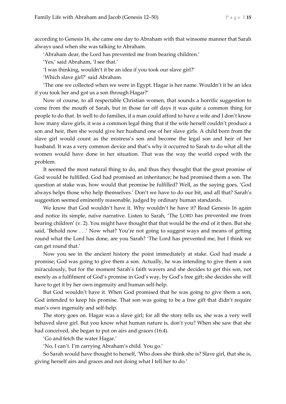according to Genesis 16, she came one day to Abraham with that winsome manner that Sarah always used when she was talking to Abraham.

'Abraham dear, the Lord has prevented me from bearing children.'

'Yes,' said Abraham, 'I see that.'

'I was thinking, wouldn't it be an idea if you took our slave girl?'

'Which slave girl?' said Abraham.

'The one we collected when we were in Egypt. Hagar is her name. Wouldn't it be an idea if you took her and got us a son through Hagar?'

Now of course, to all respectable Christian women, that sounds a horrific suggestion to come from the mouth of Sarah, but in those far off days it was quite a common thing for people to do that. In well to do families, if a man could afford to have a wife and I don't know how many slave girls, it was a common legal thing that if the wife herself couldn't produce a son and heir, then she would give her husband one of her slave girls. A child born from the slave girl would count as the mistress's son and become the legal son and heir of her husband. It was a very common device and that's why it occurred to Sarah to do what all the women would have done in her situation. That was the way the world coped with the problem.

It seemed the most natural thing to do, and thus they thought that the great promise of God would be fulfilled. God had promised an inheritance; he had promised them a son. The question at stake was, how would that promise be fulfilled? Well, as the saying goes, 'God always helps those who help themselves.' Don't we have to do our bit, and all that? Sarah's suggestion seemed eminently reasonable, judged by ordinary human standards.

We know that God wouldn't have it. Why wouldn't he have it? Read Genesis 16 again and notice its simple, naïve narrative. Listen to Sarah, 'The LORD has prevented me from bearing children' (v. 2). You might have thought that that would be the end of it then. But she said, 'Behold now . . .' Now what? You're not going to suggest ways and means of getting round what the Lord has done, are you Sarah? 'The Lord has prevented me, but I think we can get round that.'

Now you see in the ancient history the point immediately at stake. God had made a promise; God was going to give them a son. Actually, he was intending to give them a son miraculously, but for the moment Sarah's faith wavers and she decides to get this son, not merely as a fulfilment of God's promise in God's way, by God's free gift; she decides she will have to get it by her own ingenuity and human self-help.

But God wouldn't have it. When God promised that he was going to give them a son, God intended to keep his promise. That son was going to be a free gift that didn't require man's own ingenuity and self-help.

The story goes on. Hagar was a slave girl; for all the story tells us, she was a very well behaved slave girl. But you know what human nature is, don't you? When she saw that she had conceived, she began to put on airs and graces (16:4).

'Go and fetch the water Hagar.'

'No, I can't. I'm carrying Abraham's child. You go.'

So Sarah would have thought to herself, 'Who does she think she is? Slave girl, that she is, giving herself airs and graces and not doing what I tell her to do.'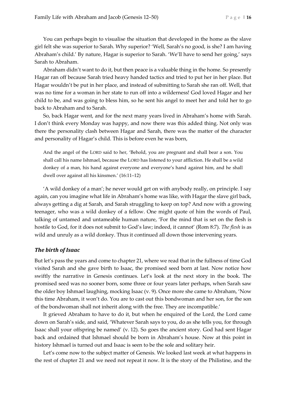You can perhaps begin to visualise the situation that developed in the home as the slave girl felt she was superior to Sarah. Why superior? 'Well, Sarah's no good, is she? I am having Abraham's child.' By nature, Hagar is superior to Sarah. 'We'll have to send her going,' says Sarah to Abraham.

Abraham didn't want to do it, but then peace is a valuable thing in the home. So presently Hagar ran off because Sarah tried heavy handed tactics and tried to put her in her place. But Hagar wouldn't be put in her place, and instead of submitting to Sarah she ran off. Well, that was no time for a woman in her state to run off into a wilderness! God loved Hagar and her child to be, and was going to bless him, so he sent his angel to meet her and told her to go back to Abraham and to Sarah.

So, back Hagar went, and for the next many years lived in Abraham's home with Sarah. I don't think every Monday was happy, and now there was this added thing. Not only was there the personality clash between Hagar and Sarah, there was the matter of the character and personality of Hagar's child. This is before even he was born,

And the angel of the LORD said to her, 'Behold, you are pregnant and shall bear a son. You shall call his name Ishmael, because the LORD has listened to your affliction. He shall be a wild donkey of a man, his hand against everyone and everyone's hand against him, and he shall dwell over against all his kinsmen.' (16:11–12)

'A wild donkey of a man'; he never would get on with anybody really, on principle. I say again, can you imagine what life in Abraham's home was like, with Hagar the slave girl back, always getting a dig at Sarah, and Sarah struggling to keep on top? And now with a growing teenager, who was a wild donkey of a fellow. One might quote of him the words of Paul, talking of untamed and untameable human nature, 'For the mind that is set on the flesh is hostile to God, for it does not submit to God's law; indeed, it cannot' (Rom 8:7). *The flesh* is as wild and unruly as a wild donkey. Thus it continued all down those intervening years.

#### *The birth of Isaac*

But let's pass the years and come to chapter 21, where we read that in the fullness of time God visited Sarah and she gave birth to Isaac, the promised seed born at last. Now notice how swiftly the narrative in Genesis continues. Let's look at the next story in the book. The promised seed was no sooner born, some three or four years later perhaps, when Sarah saw the older boy Ishmael laughing, mocking Isaac (v. 9). Once more she came to Abraham, 'Now this time Abraham, it won't do. You are to cast out this bondwoman and her son, for the son of the bondwoman shall not inherit along with the free. They are incompatible.'

It grieved Abraham to have to do it, but when he enquired of the Lord, the Lord came down on Sarah's side, and said, 'Whatever Sarah says to you, do as she tells you, for through Isaac shall your offspring be named' (v. 12). So goes the ancient story. God had sent Hagar back and ordained that Ishmael should be born in Abraham's house. Now at this point in history Ishmael is turned out and Isaac is seen to be the sole and solitary heir.

Let's come now to the subject matter of Genesis. We looked last week at what happens in the rest of chapter 21 and we need not repeat it now. It is the story of the Philistine, and the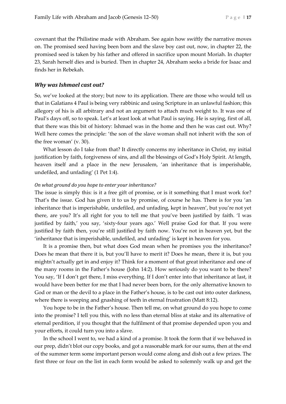covenant that the Philistine made with Abraham. See again how swiftly the narrative moves on. The promised seed having been born and the slave boy cast out, now, in chapter 22, the promised seed is taken by his father and offered in sacrifice upon mount Moriah. In chapter 23, Sarah herself dies and is buried. Then in chapter 24, Abraham seeks a bride for Isaac and finds her in Rebekah.

#### *Why was Ishmael cast out?*

So, we've looked at the story; but now to its application. There are those who would tell us that in Galatians 4 Paul is being very rabbinic and using Scripture in an unlawful fashion; this allegory of his is all arbitrary and not an argument to attach much weight to. It was one of Paul's days off, so to speak. Let's at least look at what Paul is saying. He is saying, first of all, that there was this bit of history: Ishmael was in the home and then he was cast out. Why? Well here comes the principle: 'the son of the slave woman shall not inherit with the son of the free woman' (v. 30).

What lesson do I take from that? It directly concerns my inheritance in Christ, my initial justification by faith, forgiveness of sins, and all the blessings of God's Holy Spirit. At length, heaven itself and a place in the new Jerusalem, 'an inheritance that is imperishable, undefiled, and unfading' (1 Pet 1:4).

#### *On what ground do you hope to enter your inheritance?*

The issue is simply this: is it a free gift of promise, or is it something that I must work for? That's the issue. God has given it to us by promise, of course he has. There is for you 'an inheritance that is imperishable, undefiled, and unfading, kept in heaven', but you're not yet there, are you? It's all right for you to tell me that you've been justified by faith. 'I was justified by faith,' you say, 'sixty-four years ago.' Well praise God for that. If you were justified by faith then, you're still justified by faith now. You're not in heaven yet, but the 'inheritance that is imperishable, undefiled, and unfading' is kept in heaven for you.

It is a promise then, but what does God mean when he promises you the inheritance? Does he mean that there it is, but you'll have to merit it? Does he mean, there it is, but you mightn't actually get in and enjoy it? Think for a moment of that great inheritance and one of the many rooms in the Father's house (John 14:2). How seriously do you want to be there? You say, 'If I don't get there, I miss everything. If I don't enter into that inheritance at last, it would have been better for me that I had never been born, for the only alternative known to God or man or the devil to a place in the Father's house, is to be cast out into outer darkness, where there is weeping and gnashing of teeth in eternal frustration (Matt 8:12).

You hope to be in the Father's house. Then tell me, on what ground do you hope to come into the promise? I tell you this, with no less than eternal bliss at stake and its alternative of eternal perdition, if you thought that the fulfilment of that promise depended upon you and your efforts, it could turn you into a slave.

In the school I went to, we had a kind of a promise. It took the form that if we behaved in our prep, didn't blot our copy books, and got a reasonable mark for our sums, then at the end of the summer term some important person would come along and dish out a few prizes. The first three or four on the list in each form would be asked to solemnly walk up and get the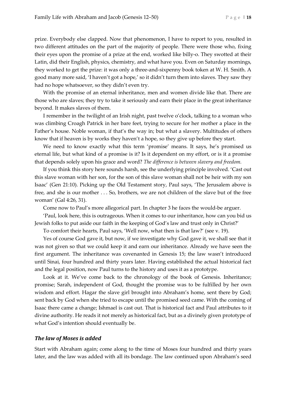prize. Everybody else clapped. Now that phenomenon, I have to report to you, resulted in two different attitudes on the part of the majority of people. There were those who, fixing their eyes upon the promise of a prize at the end, worked like billy-o. They swotted at their Latin, did their English, physics, chemistry, and what have you. Even on Saturday mornings, they worked to get the prize: it was only a three-and-sixpenny book token at W. H. Smith. A good many more said, 'I haven't got a hope,' so it didn't turn them into slaves. They saw they had no hope whatsoever, so they didn't even try.

With the promise of an eternal inheritance, men and women divide like that. There are those who are slaves; they try to take it seriously and earn their place in the great inheritance beyond. It makes slaves of them.

I remember in the twilight of an Irish night, past twelve o'clock, talking to a woman who was climbing Croagh Patrick in her bare feet, trying to secure for her mother a place in the Father's house. Noble woman, if that's the way in; but what a slavery. Multitudes of others know that if heaven is by works they haven't a hope, so they give up before they start.

We need to know exactly what this term 'promise' means. It says, he's promised us eternal life, but what kind of a promise is it? Is it dependent on my effort, or is it a promise that depends solely upon his grace and word? *The difference is between slavery and freedom.*

If you think this story here sounds harsh, see the underlying principle involved. 'Cast out this slave woman with her son, for the son of this slave woman shall not be heir with my son Isaac' (Gen 21:10). Picking up the Old Testament story, Paul says, 'The Jerusalem above is free, and she is our mother . . . So, brothers, we are not children of the slave but of the free woman' (Gal 4:26, 31).

Come now to Paul's more allegorical part. In chapter 3 he faces the would-be arguer.

'Paul, look here, this is outrageous. When it comes to our inheritance, how can you bid us Jewish folks to put aside our faith in the keeping of God's law and trust only in Christ?'

To comfort their hearts, Paul says, 'Well now, what then is that law?' (see v. 19).

Yes of course God gave it, but now, if we investigate why God gave it, we shall see that it was not given so that we could keep it and earn our inheritance. Already we have seen the first argument. The inheritance was covenanted in Genesis 15; the law wasn't introduced until Sinai, four hundred and thirty years later. Having established the actual historical fact and the legal position, now Paul turns to the history and uses it as a prototype.

Look at it. We've come back to the chronology of the book of Genesis. Inheritance; promise; Sarah, independent of God, thought the promise was to be fulfilled by her own wisdom and effort. Hagar the slave girl brought into Abraham's home, sent there by God; sent back by God when she tried to escape until the promised seed came. With the coming of Isaac there came a change; Ishmael is cast out. That is historical fact and Paul attributes to it divine authority. He reads it not merely as historical fact, but as a divinely given prototype of what God's intention should eventually be.

#### *The law of Moses is added*

Start with Abraham again; come along to the time of Moses four hundred and thirty years later, and the law was added with all its bondage. The law continued upon Abraham's seed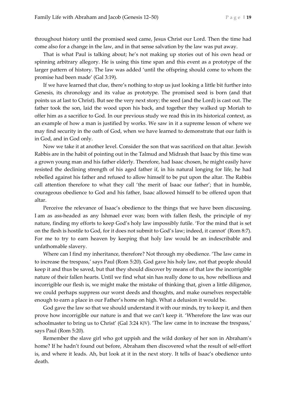throughout history until the promised seed came, Jesus Christ our Lord. Then the time had come also for a change in the law, and in that sense salvation by the law was put away.

That is what Paul is talking about; he's not making up stories out of his own head or spinning arbitrary allegory. He is using this time span and this event as a prototype of the larger pattern of history. The law was added 'until the offspring should come to whom the promise had been made' (Gal 3:19).

If we have learned that clue, there's nothing to stop us just looking a little bit further into Genesis, its chronology and its value as prototype. The promised seed is born (and that points us at last to Christ). But see the very next story; the seed (and the Lord) is cast out. The father took the son, laid the wood upon his back, and together they walked up Moriah to offer him as a sacrifice to God. In our previous study we read this in its historical context, as an example of how a man is justified by works. We saw in it a supreme lesson of where we may find security in the oath of God, when we have learned to demonstrate that our faith is in God, and in God only.

Now we take it at another level. Consider the son that was sacrificed on that altar. Jewish Rabbis are in the habit of pointing out in the Talmud and Midrash that Isaac by this time was a grown young man and his father elderly. Therefore, had Isaac chosen, he might easily have resisted the declining strength of his aged father if, in his natural longing for life, he had rebelled against his father and refused to allow himself to be put upon the altar. The Rabbis call attention therefore to what they call 'the merit of Isaac our father'; that in humble, courageous obedience to God and his father, Isaac allowed himself to be offered upon that altar.

Perceive the relevance of Isaac's obedience to the things that we have been discussing. I am as ass-headed as any Ishmael ever was; born with fallen flesh, the principle of my nature, finding my efforts to keep God's holy law impossibly futile. 'For the mind that is set on the flesh is hostile to God, for it does not submit to God's law; indeed, it cannot' (Rom 8:7). For me to try to earn heaven by keeping that holy law would be an indescribable and unfathomable slavery.

Where can I find my inheritance, therefore? Not through my obedience. 'The law came in to increase the trespass,' says Paul (Rom 5:20). God gave his holy law, not that people should keep it and thus be saved, but that they should discover by means of that law the incorrigible nature of their fallen hearts. Until we find what sin has really done to us, how rebellious and incorrigible our flesh is, we might make the mistake of thinking that, given a little diligence, we could perhaps suppress our worst deeds and thoughts, and make ourselves respectable enough to earn a place in our Father's home on high. What a delusion it would be.

God gave the law so that we should understand it with our minds, try to keep it, and then prove how incorrigible our nature is and that we can't keep it. 'Wherefore the law was our schoolmaster to bring us to Christ' (Gal 3:24 KJV). 'The law came in to increase the trespass,' says Paul (Rom 5:20).

Remember the slave girl who got uppish and the wild donkey of her son in Abraham's home? If he hadn't found out before, Abraham then discovered what the result of self-effort is, and where it leads. Ah, but look at it in the next story. It tells of Isaac's obedience unto death.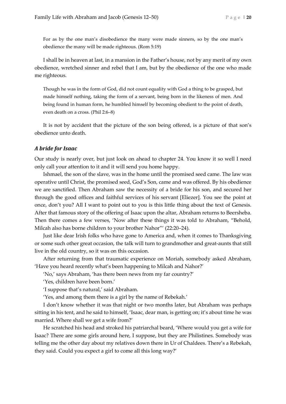For as by the one man's disobedience the many were made sinners, so by the one man's obedience the many will be made righteous. (Rom 5:19)

I shall be in heaven at last, in a mansion in the Father's house, not by any merit of my own obedience, wretched sinner and rebel that I am, but by the obedience of the one who made me righteous.

Though he was in the form of God, did not count equality with God a thing to be grasped, but made himself nothing, taking the form of a servant, being born in the likeness of men. And being found in human form, he humbled himself by becoming obedient to the point of death, even death on a cross. (Phil 2:6–8)

It is not by accident that the picture of the son being offered, is a picture of that son's obedience unto death.

#### *A bride for Isaac*

Our study is nearly over, but just look on ahead to chapter 24. You know it so well I need only call your attention to it and it will send you home happy.

Ishmael, the son of the slave, was in the home until the promised seed came. The law was operative until Christ, the promised seed, God's Son, came and was offered. By his obedience we are sanctified. Then Abraham saw the necessity of a bride for his son, and secured her through the good offices and faithful services of his servant [Eliezer]. You see the point at once, don't you? All I want to point out to you is this little thing about the text of Genesis. After that famous story of the offering of Isaac upon the altar, Abraham returns to Beersheba. Then there comes a few verses, 'Now after these things it was told to Abraham, "Behold, Milcah also has borne children to your brother Nahor"' (22:20–24).

Just like dear Irish folks who have gone to America and, when it comes to Thanksgiving or some such other great occasion, the talk will turn to grandmother and great-aunts that still live in the old country, so it was on this occasion.

After returning from that traumatic experience on Moriah, somebody asked Abraham, 'Have you heard recently what's been happening to Milcah and Nahor?'

'No,' says Abraham, 'has there been news from my far country?'

'Yes, children have been born.'

'I suppose that's natural,' said Abraham.

'Yes, and among them there is a girl by the name of Rebekah.'

I don't know whether it was that night or two months later, but Abraham was perhaps sitting in his tent, and he said to himself, 'Isaac, dear man, is getting on; it's about time he was married. Where shall we get a wife from?'

He scratched his head and stroked his patriarchal beard, 'Where would you get a wife for Isaac? There are some girls around here, I suppose, but they are Philistines. Somebody was telling me the other day about my relatives down there in Ur of Chaldees. There's a Rebekah, they said. Could you expect a girl to come all this long way?'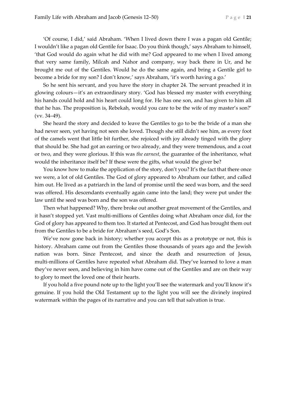'Of course, I did,' said Abraham. 'When I lived down there I was a pagan old Gentile; I wouldn't like a pagan old Gentile for Isaac. Do you think though,' says Abraham to himself, 'that God would do again what he did with me? God appeared to me when I lived among that very same family, Milcah and Nahor and company, way back there in Ur, and he brought me out of the Gentiles. Would he do the same again, and bring a Gentile girl to become a bride for my son? I don't know,' says Abraham, 'it's worth having a go.'

So he sent his servant, and you have the story in chapter 24. The servant preached it in glowing colours—it's an extraordinary story. 'God has blessed my master with everything his hands could hold and his heart could long for. He has one son, and has given to him all that he has. The proposition is, Rebekah, would you care to be the wife of my master's son?' (vv. 34–49).

She heard the story and decided to leave the Gentiles to go to be the bride of a man she had never seen, yet having not seen she loved. Though she still didn't see him, as every foot of the camels went that little bit further, she rejoiced with joy already tinged with the glory that should be. She had got an earring or two already, and they were tremendous, and a coat or two, and they were glorious. If this was *the earnest,* the guarantee of the inheritance, what would the inheritance itself be? If these were the gifts, what would the giver be?

You know how to make the application of the story, don't you? It's the fact that there once we were, a lot of old Gentiles. The God of glory appeared to Abraham our father, and called him out. He lived as a patriarch in the land of promise until the seed was born, and the seed was offered. His descendants eventually again came into the land; they were put under the law until the seed was born and the son was offered.

Then what happened? Why, there broke out another great movement of the Gentiles, and it hasn't stopped yet. Vast multi-millions of Gentiles doing what Abraham once did, for the God of glory has appeared to them too. It started at Pentecost, and God has brought them out from the Gentiles to be a bride for Abraham's seed, God's Son.

We've now gone back in history; whether you accept this as a prototype or not, this is history. Abraham came out from the Gentiles those thousands of years ago and the Jewish nation was born. Since Pentecost, and since the death and resurrection of Jesus, multi-millions of Gentiles have repeated what Abraham did. They've learned to love a man they've never seen, and believing in him have come out of the Gentiles and are on their way to glory to meet the loved one of their hearts.

If you hold a five pound note up to the light you'll see the watermark and you'll know it's genuine. If you hold the Old Testament up to the light you will see the divinely inspired watermark within the pages of its narrative and you can tell that salvation is true.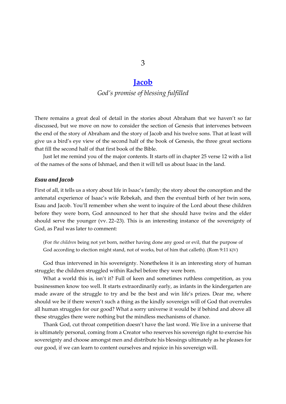# **[Jacob](#page-1-0)**

*God's promise of blessing fulfilled*

<span id="page-21-0"></span>There remains a great deal of detail in the stories about Abraham that we haven't so far discussed, but we move on now to consider the section of Genesis that intervenes between the end of the story of Abraham and the story of Jacob and his twelve sons. That at least will give us a bird's eye view of the second half of the book of Genesis, the three great sections that fill the second half of that first book of the Bible.

Just let me remind you of the major contents. It starts off in chapter 25 verse 12 with a list of the names of the sons of Ishmael, and then it will tell us about Isaac in the land.

#### *Esau and Jacob*

First of all, it tells us a story about life in Isaac's family; the story about the conception and the antenatal experience of Isaac's wife Rebekah, and then the eventual birth of her twin sons, Esau and Jacob. You'll remember when she went to inquire of the Lord about these children before they were born, God announced to her that she should have twins and the elder should serve the younger (vv. 22–23). This is an interesting instance of the sovereignty of God, as Paul was later to comment:

(For *the children* being not yet born, neither having done any good or evil, that the purpose of God according to election might stand, not of works, but of him that calleth). (Rom 9:11 KJV)

God thus intervened in his sovereignty. Nonetheless it is an interesting story of human struggle; the children struggled within Rachel before they were born.

What a world this is, isn't it? Full of keen and sometimes ruthless competition, as you businessmen know too well. It starts extraordinarily early, as infants in the kindergarten are made aware of the struggle to try and be the best and win life's prizes. Dear me, where should we be if there weren't such a thing as the kindly sovereign will of God that overrules all human struggles for our good? What a sorry universe it would be if behind and above all these struggles there were nothing but the mindless mechanisms of chance.

Thank God, cut throat competition doesn't have the last word. We live in a universe that is ultimately personal, coming from a Creator who reserves his sovereign right to exercise his sovereignty and choose amongst men and distribute his blessings ultimately as he pleases for our good, if we can learn to content ourselves and rejoice in his sovereign will.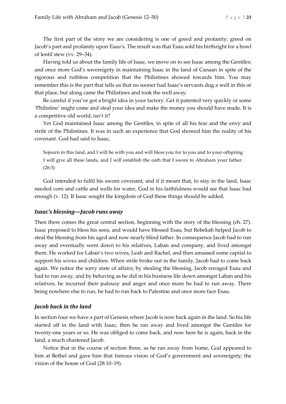The first part of the story we are considering is one of greed and profanity; greed on Jacob's part and profanity upon Esau's. The result was that Esau sold his birthright for a bowl of lentil stew (vv. 29–34).

Having told us about the family life of Isaac, we move on to see Isaac among the Gentiles; and once more God's sovereignty in maintaining Isaac in the land of Canaan in spite of the rigorous and ruthless competition that the Philistines showed towards him. You may remember this is the part that tells us that no sooner had Isaac's servants dug a well in this or that place, but along came the Philistines and took the well away.

Be careful if you've got a bright idea in your factory. Get it patented very quickly or some 'Philistine' might come and steal your idea and make the money you should have made. It is a competitive old world, isn't it?

Yet God maintained Isaac among the Gentiles, in spite of all his fear and the envy and strife of the Philistines. It was in such an experience that God showed him the reality of his covenant. God had said to Isaac,

Sojourn in this land, and I will be with you and will bless you for to you and to your offspring I will give all these lands, and I will establish the oath that I swore to Abraham your father. (26:3)

God intended to fulfil his sworn covenant, and if it meant that, to stay in the land, Isaac needed corn and cattle and wells for water, God in his faithfulness would see that Isaac had enough (v. 12). If Isaac sought the kingdom of God these things should be added.

#### *Isaac's blessing—Jacob runs away*

Then there comes the great central section, beginning with the story of the blessing (ch. 27). Isaac proposed to bless his sons, and would have blessed Esau, but Rebekah helped Jacob to steal the blessing from his aged and now nearly blind father. In consequence Jacob had to run away and eventually went down to his relatives, Laban and company, and lived amongst them. He worked for Laban's two wives, Leah and Rachel, and then amassed some capital to support his wives and children. When strife broke out in the family, Jacob had to come back again. We notice the sorry state of affairs; by stealing the blessing, Jacob enraged Esau and had to run away, and by behaving as he did in his business life down amongst Laban and his relatives, he incurred their jealousy and anger and once more he had to run away. There being nowhere else to run, he had to run back to Palestine and once more face Esau.

#### *Jacob back in the land*

In section four we have a part of Genesis where Jacob is now back again in the land. So his life started off in the land with Isaac, then he ran away and lived amongst the Gentiles for twenty-one years or so. He was obliged to come back, and now here he is again, back in the land, a much chastened Jacob.

Notice that in the course of section three, as he ran away from home, God appeared to him at Bethel and gave him that famous vision of God's government and sovereignty; the vision of the house of God (28:10–19).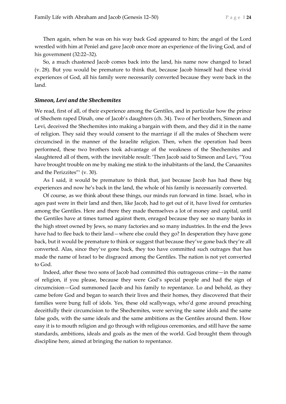Then again, when he was on his way back God appeared to him; the angel of the Lord wrestled with him at Peniel and gave Jacob once more an experience of the living God, and of his government (32:22–32).

So, a much chastened Jacob comes back into the land, his name now changed to Israel (v. 28). But you would be premature to think that, because Jacob himself had these vivid experiences of God, all his family were necessarily converted because they were back in the land.

#### *Simeon, Levi and the Shechemites*

We read, first of all, of their experience among the Gentiles, and in particular how the prince of Shechem raped Dinah, one of Jacob's daughters (ch. 34). Two of her brothers, Simeon and Levi, deceived the Shechemites into making a bargain with them, and they did it in the name of religion. They said they would consent to the marriage if all the males of Shechem were circumcised in the manner of the Israelite religion. Then, when the operation had been performed, these two brothers took advantage of the weakness of the Shechemites and slaughtered all of them, with the inevitable result: 'Then Jacob said to Simeon and Levi, "You have brought trouble on me by making me stink to the inhabitants of the land, the Canaanites and the Perizzites"' (v. 30).

As I said, it would be premature to think that, just because Jacob has had these big experiences and now he's back in the land, the whole of his family is necessarily converted.

Of course, as we think about these things, our minds run forward in time. Israel, who in ages past were in their land and then, like Jacob, had to get out of it, have lived for centuries among the Gentiles. Here and there they made themselves a lot of money and capital, until the Gentiles have at times turned against them, enraged because they see so many banks in the high street owned by Jews, so many factories and so many industries. In the end the Jews have had to flee back to their land—where else could they go? In desperation they have gone back, but it would be premature to think or suggest that because they've gone back they're all converted. Alas, since they've gone back, they too have committed such outrages that has made the name of Israel to be disgraced among the Gentiles. The nation is not yet converted to God.

Indeed, after these two sons of Jacob had committed this outrageous crime—in the name of religion, if you please, because they were God's special people and had the sign of circumcision—God summoned Jacob and his family to repentance. Lo and behold, as they came before God and began to search their lives and their homes, they discovered that their families were bung full of idols. Yes, these old scallywags, who'd gone around preaching deceitfully their circumcision to the Shechemites, were serving the same idols and the same false gods, with the same ideals and the same ambitions as the Gentiles around them. How easy it is to mouth religion and go through with religious ceremonies, and still have the same standards, ambitions, ideals and goals as the men of the world. God brought them through discipline here, aimed at bringing the nation to repentance.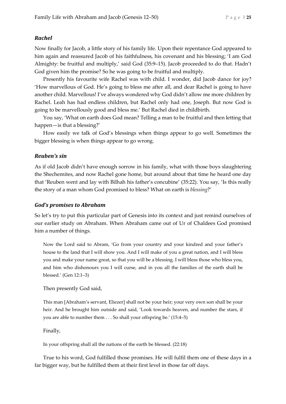# *Rachel*

Now finally for Jacob, a little story of his family life. Upon their repentance God appeared to him again and reassured Jacob of his faithfulness, his covenant and his blessing; 'I am God Almighty: be fruitful and multiply,' said God (35:9–15). Jacob proceeded to do that. Hadn't God given him the promise? So he was going to be fruitful and multiply.

Presently his favourite wife Rachel was with child. I wonder, did Jacob dance for joy? 'How marvellous of God. He's going to bless me after all, and dear Rachel is going to have another child. Marvellous! I've always wondered why God didn't allow me more children by Rachel. Leah has had endless children, but Rachel only had one, Joseph. But now God is going to be marvellously good and bless me.' But Rachel died in childbirth.

You say, 'What on earth does God mean? Telling a man to be fruitful and then letting that happen—is that a blessing?'

How easily we talk of God's blessings when things appear to go well. Sometimes the bigger blessing is when things appear to go wrong.

## *Reuben's sin*

As if old Jacob didn't have enough sorrow in his family, what with those boys slaughtering the Shechemites, and now Rachel gone home, but around about that time he heard one day that 'Reuben went and lay with Bilhah his father's concubine' (35:22). You say, 'Is this really the story of a man whom God promised to bless? What on earth is *blessing*?'

### *God's promises to Abraham*

So let's try to put this particular part of Genesis into its context and just remind ourselves of our earlier study on Abraham. When Abraham came out of Ur of Chaldees God promised him a number of things.

Now the Lord said to Abram, 'Go from your country and your kindred and your father's house to the land that I will show you. And I will make of you a great nation, and I will bless you and make your name great, so that you will be a blessing. I will bless those who bless you, and him who dishonours you I will curse, and in you all the families of the earth shall be blessed.' (Gen 12:1–3)

Then presently God said,

This man [Abraham's servant, Eliezer] shall not be your heir; your very own son shall be your heir. And he brought him outside and said, 'Look towards heaven, and number the stars, if you are able to number them . . . So shall your offspring be.' (15:4–5)

Finally,

In your offspring shall all the nations of the earth be blessed. (22:18)

True to his word, God fulfilled those promises. He will fulfil them one of these days in a far bigger way, but he fulfilled them at their first level in those far off days.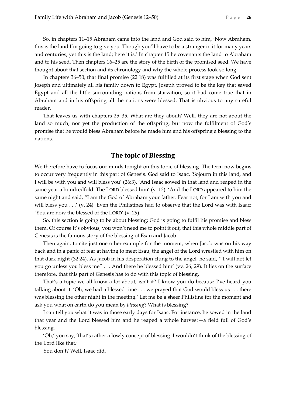So, in chapters 11–15 Abraham came into the land and God said to him, 'Now Abraham, this is the land I'm going to give you. Though you'll have to be a stranger in it for many years and centuries, yet this is the land; here it is.' In chapter 15 he covenants the land to Abraham and to his seed. Then chapters 16–25 are the story of the birth of the promised seed. We have thought about that section and its chronology and why the whole process took so long.

In chapters 36–50, that final promise (22:18) was fulfilled at its first stage when God sent Joseph and ultimately all his family down to Egypt. Joseph proved to be the key that saved Egypt and all the little surrounding nations from starvation, so it had come true that in Abraham and in his offspring all the nations were blessed. That is obvious to any careful reader.

That leaves us with chapters 25–35. What are they about? Well, they are not about the land so much, nor yet the production of the offspring, but now the fulfilment of God's promise that he would bless Abraham before he made him and his offspring a blessing to the nations.

# **The topic of Blessing**

We therefore have to focus our minds tonight on this topic of blessing. The term now begins to occur very frequently in this part of Genesis. God said to Isaac, 'Sojourn in this land, and I will be with you and will bless you' (26:3). 'And Isaac sowed in that land and reaped in the same year a hundredfold. The LORD blessed him' (v. 12). 'And the LORD appeared to him the same night and said, "I am the God of Abraham your father. Fear not, for I am with you and will bless you . . .' (v. 24). Even the Philistines had to observe that the Lord was with Isaac; 'You are now the blessed of the LORD' (v. 29).

So, this section is going to be about blessing; God is going to fulfil his promise and bless them. Of course it's obvious, you won't need me to point it out, that this whole middle part of Genesis is the famous story of the blessing of Esau and Jacob.

Then again, to cite just one other example for the moment, when Jacob was on his way back and in a panic of fear at having to meet Esau, the angel of the Lord wrestled with him on that dark night (32:24). As Jacob in his desperation clung to the angel, he said, '"I will not let you go unless you bless me" . . . And there he blessed him' (vv. 26, 29). It lies on the surface therefore, that this part of Genesis has to do with this topic of blessing.

That's a topic we all know a lot about, isn't it? I know you do because I've heard you talking about it. 'Oh, we had a blessed time . . . we prayed that God would bless us . . . there was blessing the other night in the meeting.' Let me be a sheer Philistine for the moment and ask you what on earth do you mean by *blessing*? What is blessing?

I can tell you what it was in those early days for Isaac. For instance, he sowed in the land that year and the Lord blessed him and he reaped a whole harvest—a field full of God's blessing.

'Oh,' you say, 'that's rather a lowly concept of blessing. I wouldn't think of the blessing of the Lord like that.'

You don't? Well, Isaac did.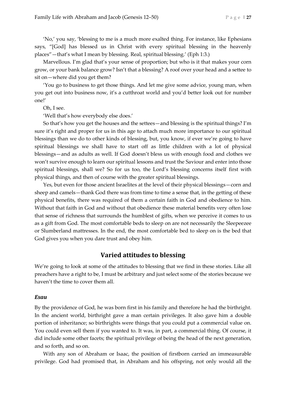'No,' you say, 'blessing to me is a much more exalted thing. For instance, like Ephesians says, "[God] has blessed us in Christ with every spiritual blessing in the heavenly places"—that's what I mean by blessing. Real, spiritual blessing.' (Eph 1:3.)

Marvellous. I'm glad that's your sense of proportion; but who is it that makes your corn grow, or your bank balance grow? Isn't that a blessing? A roof over your head and a settee to sit on—where did you get them?

'You go to business to get those things. And let me give some advice, young man, when you get out into business now, it's a cutthroat world and you'd better look out for number one!'

Oh, I see.

'Well that's how everybody else does.'

So that's how you get the houses and the settees—and blessing is the spiritual things? I'm sure it's right and proper for us in this age to attach much more importance to our spiritual blessings than we do to other kinds of blessing, but, you know, if ever we're going to have spiritual blessings we shall have to start off as little children with a lot of physical blessings—and as adults as well. If God doesn't bless us with enough food and clothes we won't survive enough to learn our spiritual lessons and trust the Saviour and enter into those spiritual blessings, shall we? So for us too, the Lord's blessing concerns itself first with physical things, and then of course with the greater spiritual blessings.

Yes, but even for those ancient Israelites at the level of their physical blessings—corn and sheep and camels—thank God there was from time to time a sense that, in the getting of these physical benefits, there was required of them a certain faith in God and obedience to him. Without that faith in God and without that obedience these material benefits very often lose that sense of richness that surrounds the humblest of gifts, when we perceive it comes to us as a gift from God. The most comfortable beds to sleep on are not necessarily the Sleepeezee or Slumberland mattresses. In the end, the most comfortable bed to sleep on is the bed that God gives you when you dare trust and obey him.

### **Varied attitudes to blessing**

We're going to look at some of the attitudes to blessing that we find in these stories. Like all preachers have a right to be, I must be arbitrary and just select some of the stories because we haven't the time to cover them all.

#### *Esau*

By the providence of God, he was born first in his family and therefore he had the birthright. In the ancient world, birthright gave a man certain privileges. It also gave him a double portion of inheritance; so birthrights were things that you could put a commercial value on. You could even sell them if you wanted to. It was, in part, a commercial thing. Of course, it did include some other facets; the spiritual privilege of being the head of the next generation, and so forth, and so on.

With any son of Abraham or Isaac, the position of firstborn carried an immeasurable privilege. God had promised that, in Abraham and his offspring, not only would all the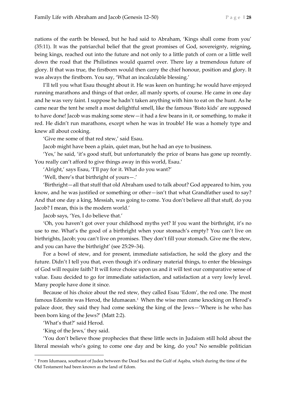nations of the earth be blessed, but he had said to Abraham, 'Kings shall come from you' (35:11). It was the patriarchal belief that the great promises of God, sovereignty, reigning, being kings, reached out into the future and not only to a little patch of corn or a little well down the road that the Philistines would quarrel over. There lay a tremendous future of glory. If that was true, the firstborn would then carry the chief honour, position and glory. It was always the firstborn. You say, 'What an incalculable blessing.'

I'll tell you what Esau thought about it. He was keen on hunting; he would have enjoyed running marathons and things of that order, all manly sports, of course. He came in one day and he was very faint. I suppose he hadn't taken anything with him to eat on the hunt. As he came near the tent he smelt a most delightful smell, like the famous 'Bisto kids' are supposed to have done! Jacob was making some stew—it had a few beans in it, or something, to make it red. He didn't run marathons, except when he was in trouble! He was a homely type and knew all about cooking.

'Give me some of that red stew,' said Esau.

Jacob might have been a plain, quiet man, but he had an eye to business.

'Yes,' he said, 'it's good stuff, but unfortunately the price of beans has gone up recently. You really can't afford to give things away in this world, Esau.'

'Alright,' says Esau, 'I'll pay for it. What do you want?'

'Well, there's that birthright of yours—.'

'Birthright—all that stuff that old Abraham used to talk about? God appeared to him, you know, and he was justified or something or other—isn't that what Grandfather used to say? And that one day a king, Messiah, was going to come. You don't believe all that stuff, do you Jacob? I mean, this is the modern world.'

Jacob says, 'Yes, I do believe that.'

'Oh, you haven't got over your childhood myths yet? If you want the birthright, it's no use to me. What's the good of a birthright when your stomach's empty? You can't live on birthrights, Jacob; you can't live on promises. They don't fill your stomach. Give me the stew, and you can have the birthright' (see 25:29–34).

For a bowl of stew, and for present, immediate satisfaction, he sold the glory and the future. Didn't I tell you that, even though it's ordinary material things, to enter the blessings of God will require faith? It will force choice upon us and it will test our comparative sense of value. Esau decided to go for immediate satisfaction, and satisfaction at a very lowly level. Many people have done it since.

Because of his choice about the red stew, they called Esau 'Edom', the red one. The most famous Edomite was Herod, the Idumaean. [1](#page-27-0) When the wise men came knocking on Herod's palace door, they said they had come seeking the king of the Jews—'Where is he who has been born king of the Jews?' (Matt 2:2).

'What's that?' said Herod.

'King of the Jews,' they said.

'You don't believe those prophecies that these little sects in Judaism still hold about the literal messiah who's going to come one day and be king, do you? No sensible politician

<span id="page-27-0"></span> <sup>1</sup> From Idumaea, southeast of Judea between the Dead Sea and the Gulf of Aqaba, which during the time of the Old Testament had been known as the land of Edom.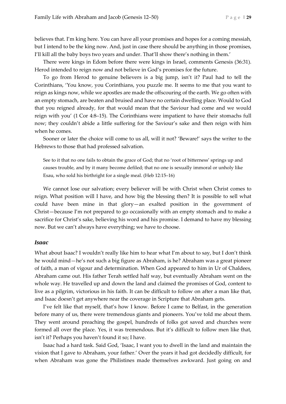believes that. I'm king here. You can have all your promises and hopes for a coming messiah, but I intend to be the king now. And, just in case there should be anything in those promises, I'll kill all the baby boys two years and under. That'll show there's nothing in them.'

There were kings in Edom before there were kings in Israel, comments Genesis (36:31). Herod intended to reign now and not believe in God's promises for the future.

To go from Herod to genuine believers is a big jump, isn't it? Paul had to tell the Corinthians, 'You know, you Corinthians, you puzzle me. It seems to me that you want to reign as kings now, while we apostles are made the offscouring of the earth. We go often with an empty stomach, are beaten and bruised and have no certain dwelling place. Would to God that you reigned already, for that would mean that the Saviour had come and we would reign with you' (1 Cor 4:8–15). The Corinthians were impatient to have their stomachs full now; they couldn't abide a little suffering for the Saviour's sake and then reign with him when he comes.

Sooner or later the choice will come to us all, will it not? 'Beware!' says the writer to the Hebrews to those that had professed salvation.

See to it that no one fails to obtain the grace of God; that no 'root of bitterness' springs up and causes trouble, and by it many become defiled; that no one is sexually immoral or unholy like Esau, who sold his birthright for a single meal. (Heb 12:15–16)

We cannot lose our salvation; every believer will be with Christ when Christ comes to reign. What position will I have, and how big the blessing then? It is possible to sell what could have been mine in that glory—an exalted position in the government of Christ—because I'm not prepared to go occasionally with an empty stomach and to make a sacrifice for Christ's sake, believing his word and his promise. I demand to have my blessing now. But we can't always have everything; we have to choose.

#### *Isaac*

What about Isaac? I wouldn't really like him to hear what I'm about to say, but I don't think he would mind—he's not such a big figure as Abraham, is he? Abraham was a great pioneer of faith, a man of vigour and determination. When God appeared to him in Ur of Chaldees, Abraham came out. His father Terah settled half way, but eventually Abraham went on the whole way. He travelled up and down the land and claimed the promises of God, content to live as a pilgrim, victorious in his faith. It can be difficult to follow on after a man like that, and Isaac doesn't get anywhere near the coverage in Scripture that Abraham gets.

I've felt like that myself, that's how I know. Before I came to Belfast, in the generation before many of us, there were tremendous giants and pioneers. You've told me about them. They went around preaching the gospel, hundreds of folks got saved and churches were formed all over the place. Yes, it was tremendous. But it's difficult to follow men like that, isn't it? Perhaps you haven't found it so; I have.

Isaac had a hard task. Said God, 'Isaac, I want you to dwell in the land and maintain the vision that I gave to Abraham, your father.' Over the years it had got decidedly difficult, for when Abraham was gone the Philistines made themselves awkward. Just going on and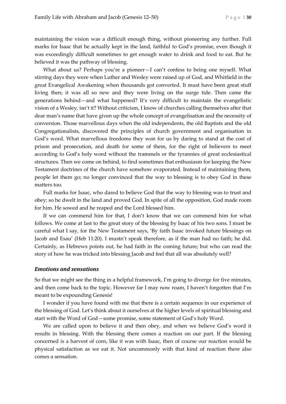maintaining the vision was a difficult enough thing, without pioneering any further. Full marks for Isaac that he actually kept in the land, faithful to God's promise, even though it was exceedingly difficult sometimes to get enough water to drink and food to eat. But he believed it was the pathway of blessing.

What about us? Perhaps you're a pioneer—I can't confess to being one myself. What stirring days they were when Luther and Wesley were raised up of God, and Whitfield in the great Evangelical Awakening when thousands got converted. It must have been great stuff living then; it was all so new and they were living on the surge tide. Then came the generations behind—and what happened? It's very difficult to maintain the evangelistic vision of a Wesley, isn't it? Without criticism, I know of churches calling themselves after that dear man's name that have given up the whole concept of evangelisation and the necessity of conversion. Those marvellous days when the old independents, the old Baptists and the old Congregationalists, discovered the principles of church government and organisation in God's word. What marvellous freedoms they won for us by daring to stand at the cost of prison and prosecution, and death for some of them, for the right of believers to meet according to God's holy word without the trammels or the tyrannies of great ecclesiastical structures. Then we come on behind, to find sometimes that enthusiasm for keeping the New Testament doctrines of the church have somehow evaporated. Instead of maintaining them, people let them go; no longer convinced that the way to blessing is to obey God in these matters too.

Full marks for Isaac, who dared to believe God that the way to blessing was to trust and obey; so he dwelt in the land and proved God. In spite of all the opposition, God made room for him. He sowed and he reaped and the Lord blessed him.

If we can commend him for that, I don't know that we can commend him for what follows. We come at last to the great story of the blessing by Isaac of his two sons. I must be careful what I say, for the New Testament says, 'By faith Isaac invoked future blessings on Jacob and Esau' (Heb 11:20). I mustn't speak therefore, as if the man had no faith; he did. Certainly, as Hebrews points out, he had faith in the coming future; but who can read the story of how he was tricked into blessing Jacob and feel that all was absolutely well?

#### *Emotions and sensations*

So that we might see the thing in a helpful framework, I'm going to diverge for five minutes, and then come back to the topic. However far I may now roam, I haven't forgotten that I'm meant to be expounding Genesis!

I wonder if you have found with me that there is a certain sequence in our experience of the blessing of God. Let's think about it ourselves at the higher levels of spiritual blessing and start with the Word of God—some promise, some statement of God's holy Word.

We are called upon to believe it and then obey, and when we believe God's word it results in blessing. With the blessing there comes a reaction on our part. If the blessing concerned is a harvest of corn, like it was with Isaac, then of course our reaction would be physical satisfaction as we eat it. Not uncommonly with that kind of reaction there also comes a sensation.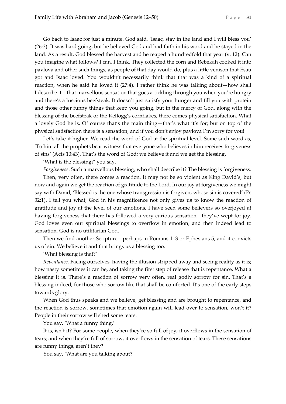Go back to Isaac for just a minute. God said, 'Isaac, stay in the land and I will bless you' (26:3). It was hard going, but he believed God and had faith in his word and he stayed in the land. As a result, God blessed the harvest and he reaped a hundredfold that year (v. 12). Can you imagine what follows? I can, I think. They collected the corn and Rebekah cooked it into pavlova and other such things, as people of that day would do, plus a little venison that Esau got and Isaac loved. You wouldn't necessarily think that that was a kind of a spiritual reaction, when he said he loved it (27:4). I rather think he was talking about—how shall I describe it—that marvellous sensation that goes a-tickling through you when you're hungry and there's a luscious beefsteak. It doesn't just satisfy your hunger and fill you with protein and those other funny things that keep you going, but in the mercy of God, along with the blessing of the beefsteak or the Kellogg's cornflakes, there comes physical satisfaction. What a lovely God he is. Of course that's the main thing—that's what it's for; but on top of the physical satisfaction there is a sensation, and if you don't enjoy pavlova I'm sorry for you!

Let's take it higher. We read the word of God at the spiritual level. Some such word as, 'To him all the prophets bear witness that everyone who believes in him receives forgiveness of sins' (Acts 10:43). That's the word of God; we believe it and we get the blessing.

'What is the blessing?' you say.

*Forgiveness*. Such a marvellous blessing, who shall describe it? The blessing is forgiveness.

Then, very often, there comes a reaction. It may not be so violent as King David's, but now and again we get the reaction of gratitude to the Lord. In our joy at forgiveness we might say with David, 'Blessed is the one whose transgression is forgiven, whose sin is covered' (Ps 32:1). I tell you what, God in his magnificence not only gives us to know the reaction of gratitude and joy at the level of our emotions, I have seen some believers so overjoyed at having forgiveness that there has followed a very curious sensation—they've wept for joy. God loves even our spiritual blessings to overflow in emotion, and then indeed lead to sensation. God is no utilitarian God.

Then we find another Scripture—perhaps in Romans 1–3 or Ephesians 5, and it convicts us of sin. We believe it and that brings us a blessing too.

'What blessing is that?'

*Repentance*. Facing ourselves, having the illusion stripped away and seeing reality as it is; how nasty sometimes it can be, and taking the first step of release that is repentance. What a blessing it is. There's a reaction of sorrow very often, real godly sorrow for sin. That's a blessing indeed, for those who sorrow like that shall be comforted. It's one of the early steps towards glory.

When God thus speaks and we believe, get blessing and are brought to repentance, and the reaction is sorrow, sometimes that emotion again will lead over to sensation, won't it? People in their sorrow will shed some tears.

You say, 'What a funny thing.'

It is, isn't it? For some people, when they're so full of joy, it overflows in the sensation of tears; and when they're full of sorrow, it overflows in the sensation of tears. These sensations are funny things, aren't they?

You say, 'What are you talking about?'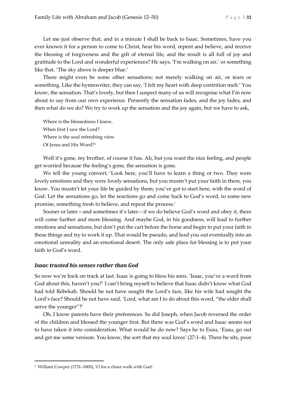Let me just observe that, and in a minute I shall be back to Isaac. Sometimes, have you ever known it for a person to come to Christ, hear his word, repent and believe, and receive the blessing of forgiveness and the gift of eternal life, and the result is all full of joy and gratitude to the Lord and wonderful experiences? He says, 'I'm walking on air,' or something like that. 'The sky above is deeper blue.'

There might even be some other sensations; not merely walking on air, or tears or something. Like the hymnwriter, they can say, 'I felt my heart with deep contrition melt.' You know, the sensation. That's lovely, but then I suspect many of us will recognise what I'm now about to say from our own experience. Presently the sensation fades, and the joy fades, and then what do we do? We try to work up the sensation and the joy again, but we have to ask,

Where is the blessedness I knew, When first I saw the Lord? Where is the soul refreshing view Of Jesus and His Word?[2](#page-31-0)

Well it's gone, my brother, of course it has. Ah, but you want the nice feeling, and people get worried because the feeling's gone, the sensation is gone.

We tell the young convert, 'Look here, you'll have to learn a thing or two. They were lovely emotions and they were lovely sensations, but you mustn't put your faith in them, you know. You mustn't let your life be guided by them; you've got to start here, with the word of God. Let the sensations go, let the reactions go and come back to God's word, to some new promise, something fresh to believe, and repeat the process.'

Sooner or later—and sometimes it's later—if we do believe God's word and obey it, there will come further and more blessing. And maybe God, in his goodness, will lead to further emotions and sensations, but don't put the cart before the horse and begin to put your faith in these things and try to work it up. That would be pseudo, and lead you out eventually into an emotional unreality and an emotional desert. The only safe place for blessing is to put your faith in God's word.

#### *Isaac trusted his senses rather than God*

So now we're back on track at last. Isaac is going to bless his sons. 'Isaac, you've a word from God about this, haven't you?' I can't bring myself to believe that Isaac didn't know what God had told Rebekah. Should he not have sought the Lord's face, like his wife had sought the Lord's face? Should he not have said, 'Lord, what am I to do about this word, "the elder shall serve the younger"?'

Oh, I know parents have their preferences. So did Joseph, when Jacob reversed the order of the children and blessed the younger first. But there was God's word and Isaac seems not to have taken it into consideration. What would he do now? Says he to Esau, 'Esau, go out and get me some venison. You know, the sort that my soul loves' (27:1–4). There he sits, poor

<span id="page-31-0"></span> <sup>2</sup> William Cowper (1731–1800), 'O for a closer walk with God'.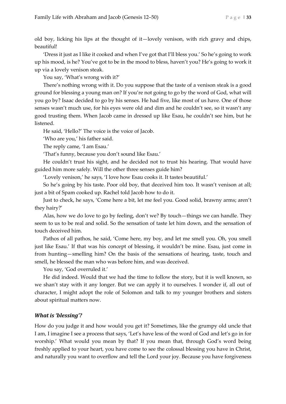old boy, licking his lips at the thought of it—lovely venison, with rich gravy and chips, beautiful!

'Dress it just as I like it cooked and when I've got that I'll bless you.' So he's going to work up his mood, is he? You've got to be in the mood to bless, haven't you? He's going to work it up via a lovely venison steak.

You say, 'What's wrong with it?'

There's nothing wrong with it. Do you suppose that the taste of a venison steak is a good ground for blessing a young man on? If you're not going to go by the word of God, what will you go by? Isaac decided to go by his senses. He had five, like most of us have. One of those senses wasn't much use, for his eyes were old and dim and he couldn't see, so it wasn't any good trusting them. When Jacob came in dressed up like Esau, he couldn't see him, but he listened.

He said, 'Hello?' The voice is the voice of Jacob.

'Who are you,' his father said.

The reply came, 'I am Esau.'

'That's funny, because you don't sound like Esau.'

He couldn't trust his sight, and he decided not to trust his hearing. That would have guided him more safely. Will the other three senses guide him?

'Lovely venison,' he says, 'I love how Esau cooks it. It tastes beautiful.'

So he's going by his taste. Poor old boy, that deceived him too. It wasn't venison at all; just a bit of Spam cooked up. Rachel told Jacob how to do it.

Just to check, he says, 'Come here a bit, let me feel you. Good solid, brawny arms; aren't they hairy?'

Alas, how we do love to go by feeling, don't we? By touch—things we can handle. They seem to us to be real and solid. So the sensation of taste let him down, and the sensation of touch deceived him.

Pathos of all pathos, he said, 'Come here, my boy, and let me smell you. Oh, you smell just like Esau.' If that was his concept of blessing, it wouldn't be mine. Esau, just come in from hunting—smelling him? On the basis of the sensations of hearing, taste, touch and smell, he blessed the man who was before him, and was deceived.

You say, 'God overruled it.'

He did indeed. Would that we had the time to follow the story, but it is well known, so we shan't stay with it any longer. But we can apply it to ourselves. I wonder if, all out of character, I might adopt the role of Solomon and talk to my younger brothers and sisters about spiritual matters now.

# *What is 'blessing'?*

How do you judge it and how would you get it? Sometimes, like the grumpy old uncle that I am, I imagine I see a process that says, 'Let's have less of the word of God and let's go in for worship.' What would you mean by that? If you mean that, through God's word being freshly applied to your heart, you have come to see the colossal blessing you have in Christ, and naturally you want to overflow and tell the Lord your joy. Because you have forgiveness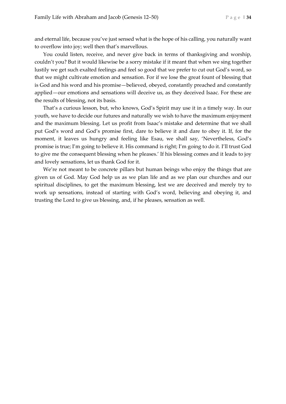and eternal life, because you've just sensed what is the hope of his calling, you naturally want to overflow into joy; well then that's marvellous.

You could listen, receive, and never give back in terms of thanksgiving and worship, couldn't you? But it would likewise be a sorry mistake if it meant that when we sing together lustily we get such exalted feelings and feel so good that we prefer to cut out God's word, so that we might cultivate emotion and sensation. For if we lose the great fount of blessing that is God and his word and his promise—believed, obeyed, constantly preached and constantly applied—our emotions and sensations will deceive us, as they deceived Isaac. For these are the results of blessing, not its basis.

That's a curious lesson, but, who knows, God's Spirit may use it in a timely way. In our youth, we have to decide our futures and naturally we wish to have the maximum enjoyment and the maximum blessing. Let us profit from Isaac's mistake and determine that we shall put God's word and God's promise first, dare to believe it and dare to obey it. If, for the moment, it leaves us hungry and feeling like Esau, we shall say, 'Nevertheless, God's promise is true; I'm going to believe it. His command is right; I'm going to do it. I'll trust God to give me the consequent blessing when he pleases.' If his blessing comes and it leads to joy and lovely sensations, let us thank God for it.

We're not meant to be concrete pillars but human beings who enjoy the things that are given us of God. May God help us as we plan life and as we plan our churches and our spiritual disciplines, to get the maximum blessing, lest we are deceived and merely try to work up sensations, instead of starting with God's word, believing and obeying it, and trusting the Lord to give us blessing, and, if he pleases, sensation as well.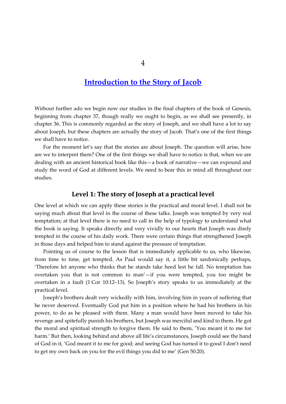# <span id="page-34-0"></span>**[Introduction to the Story of Jacob](#page-1-0)**

Without further ado we begin now our studies in the final chapters of the book of Genesis, beginning from chapter 37, though really we ought to begin, as we shall see presently, in chapter 36. This is commonly regarded as the story of Joseph, and we shall have a lot to say about Joseph, but these chapters are actually the story of Jacob. That's one of the first things we shall have to notice.

For the moment let's say that the stories are about Joseph. The question will arise, how are we to interpret them? One of the first things we shall have to notice is that, when we are dealing with an ancient historical book like this—a book of narrative—we can expound and study the word of God at different levels. We need to bear this in mind all throughout our studies.

#### **Level 1: The story of Joseph at a practical level**

One level at which we can apply these stories is the practical and moral level. I shall not be saying much about that level in the course of these talks. Joseph was tempted by very real temptation; at that level there is no need to call in the help of typology to understand what the book is saying. It speaks directly and very vividly to our hearts that Joseph was direly tempted in the course of his daily work. There were certain things that strengthened Joseph in those days and helped him to stand against the pressure of temptation.

Pointing us of course to the lesson that is immediately applicable to us, who likewise, from time to time, get tempted. As Paul would say it, a little bit sardonically perhaps, 'Therefore let anyone who thinks that he stands take heed lest he fall. No temptation has overtaken you that is not common to man'—if you were tempted, you too might be overtaken in a fault (1 Cor 10:12–13). So Joseph's story speaks to us immediately at the practical level.

Joseph's brothers dealt very wickedly with him, involving him in years of suffering that he never deserved. Eventually God put him in a position where he had his brothers in his power, to do as he pleased with them. Many a man would have been moved to take his revenge and spitefully punish his brothers, but Joseph was merciful and kind to them. He got the moral and spiritual strength to forgive them. He said to them, 'You meant it to me for harm.' But then, looking behind and above all life's circumstances, Joseph could see the hand of God in it, 'God meant it to me for good; and seeing God has turned it to good I don't need to get my own back on you for the evil things you did to me' (Gen 50:20).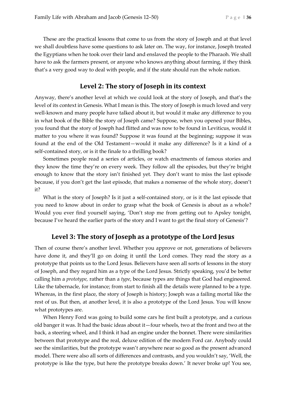These are the practical lessons that come to us from the story of Joseph and at that level we shall doubtless have some questions to ask later on. The way, for instance, Joseph treated the Egyptians when he took over their land and enslaved the people to the Pharaoh. We shall have to ask the farmers present, or anyone who knows anything about farming, if they think that's a very good way to deal with people, and if the state should run the whole nation.

# **Level 2: The story of Joseph in its context**

Anyway, there's another level at which we could look at the story of Joseph, and that's the level of its context in Genesis. What I mean is this. The story of Joseph is much loved and very well-known and many people have talked about it, but would it make any difference to you in what book of the Bible the story of Joseph came? Suppose, when you opened your Bibles, you found that the story of Joseph had flitted and was now to be found in Leviticus, would it matter to you where it was found? Suppose it was found at the beginning; suppose it was found at the end of the Old Testament—would it make any difference? Is it a kind of a self-contained story, or is it the finale to a thrilling book?

Sometimes people read a series of articles, or watch enactments of famous stories and they know the time they're on every week. They follow all the episodes, but they're bright enough to know that the story isn't finished yet. They don't want to miss the last episode because, if you don't get the last episode, that makes a nonsense of the whole story, doesn't it?

What is the story of Joseph? Is it just a self-contained story, or is it the last episode that you need to know about in order to grasp what the book of Genesis is about as a whole? Would you ever find yourself saying, 'Don't stop me from getting out to Apsley tonight, because I've heard the earlier parts of the story and I want to get the final story of Genesis'?

# **Level 3: The story of Joseph as a prototype of the Lord Jesus**

Then of course there's another level. Whether you approve or not, generations of believers have done it, and they'll go on doing it until the Lord comes. They read the story as a prototype that points us to the Lord Jesus. Believers have seen all sorts of lessons in the story of Joseph, and they regard him as a type of the Lord Jesus. Strictly speaking, you'd be better calling him a *prototype,* rather than a *type*, because types are things that God had engineered. Like the tabernacle, for instance; from start to finish all the details were planned to be a type. Whereas, in the first place, the story of Joseph is history; Joseph was a failing mortal like the rest of us. But then, at another level, it is also a prototype of the Lord Jesus. You will know what prototypes are.

When Henry Ford was going to build some cars he first built a prototype, and a curious old banger it was. It had the basic ideas about it—four wheels, two at the front and two at the back, a steering wheel, and I think it had an engine under the bonnet. There were similarities between that prototype and the real, deluxe edition of the modern Ford car. Anybody could see the similarities, but the prototype wasn't anywhere near so good as the present advanced model. There were also all sorts of differences and contrasts, and you wouldn't say, 'Well, the prototype is like the type, but here the prototype breaks down.' It never broke up! You see,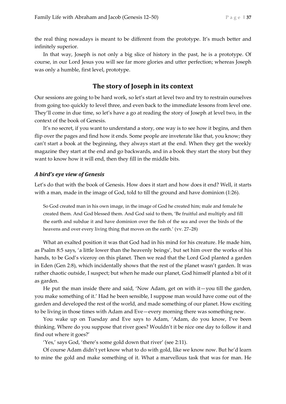the real thing nowadays is meant to be different from the prototype. It's much better and infinitely superior.

In that way, Joseph is not only a big slice of history in the past, he is a prototype. Of course, in our Lord Jesus you will see far more glories and utter perfection; whereas Joseph was only a humble, first level, prototype.

# **The story of Joseph in its context**

Our sessions are going to be hard work, so let's start at level two and try to restrain ourselves from going too quickly to level three, and even back to the immediate lessons from level one. They'll come in due time, so let's have a go at reading the story of Joseph at level two, in the context of the book of Genesis.

It's no secret, if you want to understand a story, one way is to see how it begins, and then flip over the pages and find how it ends. Some people are inveterate like that, you know; they can't start a book at the beginning, they always start at the end. When they get the weekly magazine they start at the end and go backwards, and in a book they start the story but they want to know how it will end, then they fill in the middle bits.

### *A bird's eye view of Genesis*

Let's do that with the book of Genesis. How does it start and how does it end? Well, it starts with a man, made in the image of God, told to till the ground and have dominion (1:26).

So God created man in his own image, in the image of God he created him; male and female he created them. And God blessed them. And God said to them, 'Be fruitful and multiply and fill the earth and subdue it and have dominion over the fish of the sea and over the birds of the heavens and over every living thing that moves on the earth.' (vv. 27–28)

What an exalted position it was that God had in his mind for his creature. He made him, as Psalm 8:5 says, 'a little lower than the heavenly beings', but set him over the works of his hands, to be God's viceroy on this planet. Then we read that the Lord God planted a garden in Eden (Gen 2:8), which incidentally shows that the rest of the planet wasn't garden. It was rather chaotic outside, I suspect; but when he made our planet, God himself planted a bit of it as garden.

He put the man inside there and said, 'Now Adam, get on with it—you till the garden, you make something of it.' Had he been sensible, I suppose man would have come out of the garden and developed the rest of the world, and made something of our planet. How exciting to be living in those times with Adam and Eve—every morning there was something new.

You wake up on Tuesday and Eve says to Adam, 'Adam, do you know, I've been thinking. Where do you suppose that river goes? Wouldn't it be nice one day to follow it and find out where it goes?'

'Yes,' says God, 'there's some gold down that river' (see 2:11).

Of course Adam didn't yet know what to do with gold, like we know now. But he'd learn to mine the gold and make something of it. What a marvellous task that was for man. He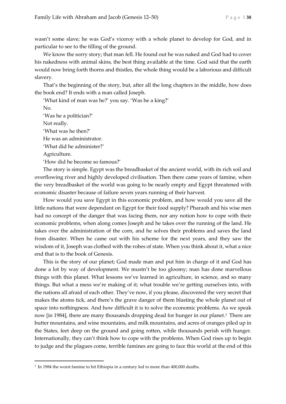wasn't some slave; he was God's viceroy with a whole planet to develop for God, and in particular to see to the tilling of the ground.

We know the sorry story; that man fell. He found out he was naked and God had to cover his nakedness with animal skins, the best thing available at the time. God said that the earth would now bring forth thorns and thistles, the whole thing would be a laborious and difficult slavery.

That's the beginning of the story, but, after all the long chapters in the middle, how does the book end? It ends with a man called Joseph.

'What kind of man was he?' you say. 'Was he a king?'

No.

'Was he a politician?'

Not really.

'What was he then?'

He was an administrator.

'What did he administer?'

Agriculture.

'How did he become so famous?'

The story is simple. Egypt was the breadbasket of the ancient world, with its rich soil and overflowing river and highly developed civilisation. Then there came years of famine, when the very breadbasket of the world was going to be nearly empty and Egypt threatened with economic disaster because of failure seven years running of their harvest.

How would you save Egypt in this economic problem, and how would you save all the little nations that were dependant on Egypt for their food supply? Pharaoh and his wise men had no concept of the danger that was facing them, nor any notion how to cope with their economic problems, when along comes Joseph and he takes over the running of the land. He takes over the administration of the corn, and he solves their problems and saves the land from disaster. When he came out with his scheme for the next years, and they saw the wisdom of it, Joseph was clothed with the robes of state. When you think about it, what a nice end that is to the book of Genesis.

This is the story of our planet; God made man and put him in charge of it and God has done a lot by way of development. We mustn't be too gloomy; man has done marvellous things with this planet. What lessons we've learned in agriculture, in science, and so many things. But what a mess we're making of it; what trouble we're getting ourselves into, with the nations all afraid of each other. They've now, if you please, discovered the very secret that makes the atoms tick, and there's the grave danger of them blasting the whole planet out of space into nothingness. And how difficult it is to solve the economic problems. As we speak now [in 1984], there are many thousands dropping dead for hunger in our planet. [3](#page-37-0) There are butter mountains, and wine mountains, and milk mountains, and acres of oranges piled up in the States, feet deep on the ground and going rotten, while thousands perish with hunger. Internationally, they can't think how to cope with the problems. When God rises up to begin to judge and the plagues come, terrible famines are going to face this world at the end of this

<span id="page-37-0"></span><sup>&</sup>lt;sup>3</sup> In 1984 the worst famine to hit Ethiopia in a century led to more than 400,000 deaths.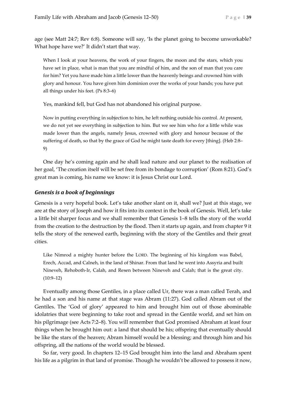age (see Matt 24:7; Rev 6:8). Someone will say, 'Is the planet going to become unworkable? What hope have we?' It didn't start that way.

When I look at your heavens, the work of your fingers, the moon and the stars, which you have set in place, what is man that you are mindful of him, and the son of man that you care for him? Yet you have made him a little lower than the heavenly beings and crowned him with glory and honour. You have given him dominion over the works of your hands; you have put all things under his feet. (Ps 8:3–6)

Yes, mankind fell, but God has not abandoned his original purpose.

Now in putting everything in subjection to him, he left nothing outside his control. At present, we do not yet see everything in subjection to him. But we see him who for a little while was made lower than the angels, namely Jesus, crowned with glory and honour because of the suffering of death, so that by the grace of God he might taste death for every [thing]. (Heb 2:8– 9)

One day he's coming again and he shall lead nature and our planet to the realisation of her goal, 'The creation itself will be set free from its bondage to corruption' (Rom 8:21). God's great man is coming, his name we know: it is Jesus Christ our Lord.

### *Genesis is a book of beginnings*

Genesis is a very hopeful book. Let's take another slant on it, shall we? Just at this stage, we are at the story of Joseph and how it fits into its context in the book of Genesis. Well, let's take a little bit sharper focus and we shall remember that Genesis 1–8 tells the story of the world from the creation to the destruction by the flood. Then it starts up again, and from chapter 9 it tells the story of the renewed earth, beginning with the story of the Gentiles and their great cities.

Like Nimrod a mighty hunter before the LORD. The beginning of his kingdom was Babel, Erech, Accad, and Calneh, in the land of Shinar. From that land he went into Assyria and built Nineveh, Rehoboth-Ir, Calah, and Resen between Nineveh and Calah; that is the great city. (10:9–12)

Eventually among those Gentiles, in a place called Ur, there was a man called Terah, and he had a son and his name at that stage was Abram (11:27). God called Abram out of the Gentiles. The 'God of glory' appeared to him and brought him out of those abominable idolatries that were beginning to take root and spread in the Gentile world, and set him on his pilgrimage (see Acts 7:2–8). You will remember that God promised Abraham at least four things when he brought him out: a land that should be his; offspring that eventually should be like the stars of the heaven; Abram himself would be a blessing; and through him and his offspring, all the nations of the world would be blessed.

So far, very good. In chapters 12–15 God brought him into the land and Abraham spent his life as a pilgrim in that land of promise. Though he wouldn't be allowed to possess it now,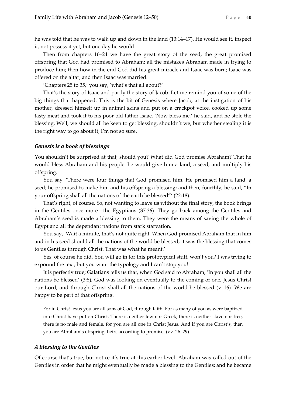he was told that he was to walk up and down in the land (13:14–17). He would see it, inspect it, not possess it yet, but one day he would.

Then from chapters 16–24 we have the great story of the seed, the great promised offspring that God had promised to Abraham; all the mistakes Abraham made in trying to produce him; then how in the end God did his great miracle and Isaac was born; Isaac was offered on the altar; and then Isaac was married.

'Chapters 25 to 35,' you say, 'what's that all about?'

That's the story of Isaac and partly the story of Jacob. Let me remind you of some of the big things that happened. This is the bit of Genesis where Jacob, at the instigation of his mother, dressed himself up in animal skins and put on a crackpot voice, cooked up some tasty meat and took it to his poor old father Isaac. 'Now bless me,' he said, and he stole the blessing. Well, we should all be keen to get blessing, shouldn't we, but whether stealing it is the right way to go about it, I'm not so sure.

### *Genesis is a book of blessings*

You shouldn't be surprised at that, should you? What did God promise Abraham? That he would bless Abraham and his people: he would give him a land, a seed, and multiply his offspring.

You say, 'There were four things that God promised him. He promised him a land, a seed; he promised to make him and his offspring a blessing; and then, fourthly, he said, "In your offspring shall all the nations of the earth be blessed"' (22:18).

That's right, of course. So, not wanting to leave us without the final story, the book brings in the Gentiles once more—the Egyptians (37:36). They go back among the Gentiles and Abraham's seed is made a blessing to them. They were the means of saving the whole of Egypt and all the dependant nations from stark starvation.

You say, 'Wait a minute, that's not quite right. When God promised Abraham that in him and in his seed should all the nations of the world be blessed, it was the blessing that comes to us Gentiles through Christ. That was what he meant.'

Yes, of course he did. You will go in for this prototypical stuff, won't you? I was trying to expound the text, but you want the typology and I can't stop you!

It is perfectly true; Galatians tells us that, when God said to Abraham, 'In you shall all the nations be blessed' (3:8), God was looking on eventually to the coming of one, Jesus Christ our Lord, and through Christ shall all the nations of the world be blessed (v. 16). We are happy to be part of that offspring.

For in Christ Jesus you are all sons of God, through faith. For as many of you as were baptized into Christ have put on Christ. There is neither Jew nor Greek, there is neither slave nor free, there is no male and female, for you are all one in Christ Jesus. And if you are Christ's, then you are Abraham's offspring, heirs according to promise. (vv. 26–29)

#### *A blessing to the Gentiles*

Of course that's true, but notice it's true at this earlier level. Abraham was called out of the Gentiles in order that he might eventually be made a blessing to the Gentiles; and he became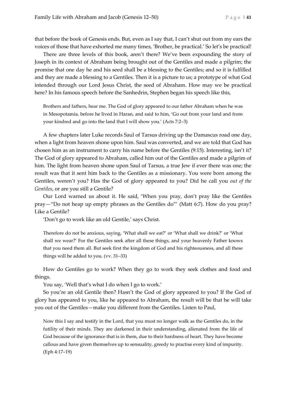that before the book of Genesis ends. But, even as I say that, I can't shut out from my ears the voices of those that have exhorted me many times, 'Brother, be practical.' So let's be practical!

There are three levels of this book, aren't there? We've been expounding the story of Joseph in its context of Abraham being brought out of the Gentiles and made a pilgrim; the promise that one day he and his seed shall be a blessing to the Gentiles; and so it is fulfilled and they are made a blessing to a Gentiles. Then it is a picture to us; a prototype of what God intended through our Lord Jesus Christ, the seed of Abraham. How may we be practical here? In his famous speech before the Sanhedrin, Stephen began his speech like this,

Brothers and fathers, hear me. The God of glory appeared to our father Abraham when he was in Mesopotamia, before he lived in Haran, and said to him, 'Go out from your land and from your kindred and go into the land that I will show you.' (Acts 7:2–3)

A few chapters later Luke records Saul of Tarsus driving up the Damascus road one day, when a light from heaven shone upon him. Saul was converted, and we are told that God has chosen him as an instrument to carry his name before the Gentiles (9:15). Interesting, isn't it? The God of glory appeared to Abraham, called him out of the Gentiles and made a pilgrim of him. The light from heaven shone upon Saul of Tarsus, a true Jew if ever there was one; the result was that it sent him back to the Gentiles as a missionary. You were born among the Gentiles, weren't you? Has the God of glory appeared to you? Did he call you *out of the Gentiles*, or are you still a Gentile?

Our Lord warned us about it. He said, 'When you pray, don't pray like the Gentiles pray—"Do not heap up empty phrases as the Gentiles do"' (Matt 6:7). How do you pray? Like a Gentile?

'Don't go to work like an old Gentile,' says Christ.

Therefore do not be anxious, saying, 'What shall we eat?' or 'What shall we drink?' or 'What shall we wear?' For the Gentiles seek after all these things, and your heavenly Father knows that you need them all. But seek first the kingdom of God and his righteousness, and all these things will be added to you. (vv. 31–33)

How do Gentiles go to work? When they go to work they seek clothes and food and things.

You say, 'Well that's what I do when I go to work.'

So you're an old Gentile then? Hasn't the God of glory appeared to you? If the God of glory has appeared to you, like he appeared to Abraham, the result will be that he will take you out of the Gentiles—make you different from the Gentiles. Listen to Paul,

Now this I say and testify in the Lord, that you must no longer walk as the Gentiles do, in the futility of their minds. They are darkened in their understanding, alienated from the life of God because of the ignorance that is in them, due to their hardness of heart. They have become callous and have given themselves up to sensuality, greedy to practise every kind of impurity. (Eph 4:17–19)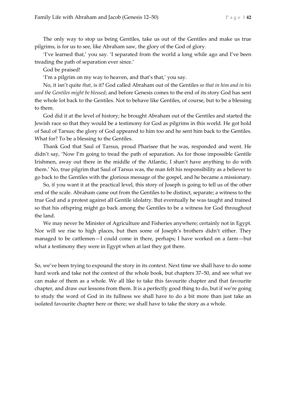The only way to stop us being Gentiles, take us out of the Gentiles and make us true pilgrims, is for us to see, like Abraham saw, the glory of the God of glory.

'I've learned that,' you say. 'I separated from the world a long while ago and I've been treading the path of separation ever since.'

God be praised!

'I'm a pilgrim on my way to heaven, and that's that,' you say.

No, it isn't quite *that*, is it? God called Abraham out of the Gentiles *so that in him and in his seed the Gentiles might be blessed*; and before Genesis comes to the end of its story God has sent the whole lot back to the Gentiles. Not to behave like Gentiles, of course, but to be a blessing to them.

God did it at the level of history; he brought Abraham out of the Gentiles and started the Jewish race so that they would be a testimony for God as pilgrims in this world. He got hold of Saul of Tarsus; the glory of God appeared to him too and he sent him back to the Gentiles. What for? To be a blessing to the Gentiles.

Thank God that Saul of Tarsus, proud Pharisee that he was, responded and went. He didn't say, 'Now I'm going to tread the path of separation. As for those impossible Gentile Irishmen, away out there in the middle of the Atlantic, I shan't have anything to do with them.' No, true pilgrim that Saul of Tarsus was, the man felt his responsibility as a believer to go back to the Gentiles with the glorious message of the gospel, and he became a missionary.

So, if you want it at the practical level, this story of Joseph is going to tell us of the other end of the scale. Abraham came out from the Gentiles to be distinct, separate; a witness to the true God and a protest against all Gentile idolatry. But eventually he was taught and trained so that his offspring might go back among the Gentiles to be a witness for God throughout the land.

We may never be Minister of Agriculture and Fisheries anywhere; certainly not in Egypt. Nor will we rise to high places, but then some of Joseph's brothers didn't either. They managed to be cattlemen—I could come in there, perhaps; I have worked on a farm—but what a testimony they were in Egypt when at last they got there.

So, we've been trying to expound the story in its context. Next time we shall have to do some hard work and take not the context of the whole book, but chapters 37–50, and see what we can make of them as a whole. We all like to take this favourite chapter and that favourite chapter, and draw our lessons from them. It is a perfectly good thing to do, but if we're going to study the word of God in its fullness we shall have to do a bit more than just take an isolated favourite chapter here or there; we shall have to take the story as a whole.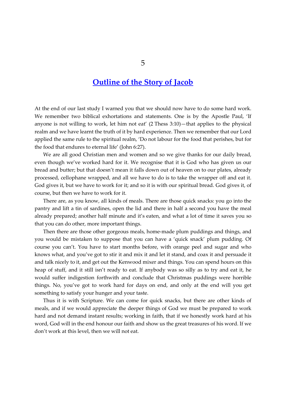# **[Outline of the Story of Jacob](#page-1-0)**

At the end of our last study I warned you that we should now have to do some hard work. We remember two biblical exhortations and statements. One is by the Apostle Paul, 'If anyone is not willing to work, let him not eat' (2 Thess 3:10)—that applies to the physical realm and we have learnt the truth of it by hard experience. Then we remember that our Lord applied the same rule to the spiritual realm, 'Do not labour for the food that perishes, but for the food that endures to eternal life' (John 6:27).

We are all good Christian men and women and so we give thanks for our daily bread, even though we've worked hard for it. We recognise that it is God who has given us our bread and butter; but that doesn't mean it falls down out of heaven on to our plates, already processed, cellophane wrapped, and all we have to do is to take the wrapper off and eat it. God gives it, but we have to work for it; and so it is with our spiritual bread. God gives it, of course, but then we have to work for it.

There are, as you know, all kinds of meals. There are those quick snacks: you go into the pantry and lift a tin of sardines, open the lid and there in half a second you have the meal already prepared; another half minute and it's eaten, and what a lot of time it saves you so that you can do other, more important things.

Then there are those other gorgeous meals, home-made plum puddings and things, and you would be mistaken to suppose that you can have a 'quick snack' plum pudding. Of course you can't. You have to start months before, with orange peel and sugar and who knows what, and you've got to stir it and mix it and let it stand, and coax it and persuade it and talk nicely to it, and get out the Kenwood mixer and things. You can spend hours on this heap of stuff, and it still isn't ready to eat. If anybody was so silly as to try and eat it, he would suffer indigestion forthwith and conclude that Christmas puddings were horrible things. No, you've got to work hard for days on end, and only at the end will you get something to satisfy your hunger and your taste.

Thus it is with Scripture. We can come for quick snacks, but there are other kinds of meals, and if we would appreciate the deeper things of God we must be prepared to work hard and not demand instant results; working in faith, that if we honestly work hard at his word, God will in the end honour our faith and show us the great treasures of his word. If we don't work at this level, then we will not eat.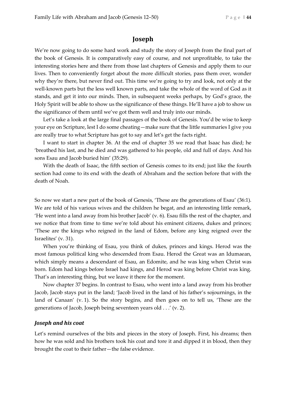# **Joseph**

We're now going to do some hard work and study the story of Joseph from the final part of the book of Genesis. It is comparatively easy of course, and not unprofitable, to take the interesting stories here and there from those last chapters of Genesis and apply them to our lives. Then to conveniently forget about the more difficult stories, pass them over, wonder why they're there, but never find out. This time we're going to try and look, not only at the well-known parts but the less well known parts, and take the whole of the word of God as it stands, and get it into our minds. Then, in subsequent weeks perhaps, by God's grace, the Holy Spirit will be able to show us the significance of these things. He'll have a job to show us the significance of them until we've got them well and truly into our minds.

Let's take a look at the large final passages of the book of Genesis. You'd be wise to keep your eye on Scripture, lest I do some cheating—make sure that the little summaries I give you are really true to what Scripture has got to say and let's get the facts right.

I want to start in chapter 36. At the end of chapter 35 we read that Isaac has died; he 'breathed his last, and he died and was gathered to his people, old and full of days. And his sons Esau and Jacob buried him' (35:29).

With the death of Isaac, the fifth section of Genesis comes to its end; just like the fourth section had come to its end with the death of Abraham and the section before that with the death of Noah.

So now we start a new part of the book of Genesis, 'These are the generations of Esau' (36:1). We are told of his various wives and the children he begat, and an interesting little remark, 'He went into a land away from his brother Jacob' (v. 6). Esau fills the rest of the chapter, and we notice that from time to time we're told about his eminent citizens, dukes and princes; 'These are the kings who reigned in the land of Edom, before any king reigned over the Israelites' (v. 31).

When you're thinking of Esau, you think of dukes, princes and kings. Herod was the most famous political king who descended from Esau. Herod the Great was an Idumaean, which simply means a descendant of Esau, an Edomite, and he was king when Christ was born. Edom had kings before Israel had kings, and Herod was king before Christ was king. That's an interesting thing, but we leave it there for the moment.

Now chapter 37 begins. In contrast to Esau, who went into a land away from his brother Jacob, Jacob stays put in the land; 'Jacob lived in the land of his father's sojournings, in the land of Canaan' (v. 1). So the story begins, and then goes on to tell us, 'These are the generations of Jacob, Joseph being seventeen years old . . .' (v. 2).

### *Joseph and his coat*

Let's remind ourselves of the bits and pieces in the story of Joseph. First, his dreams; then how he was sold and his brothers took his coat and tore it and dipped it in blood, then they brought the coat to their father—the false evidence.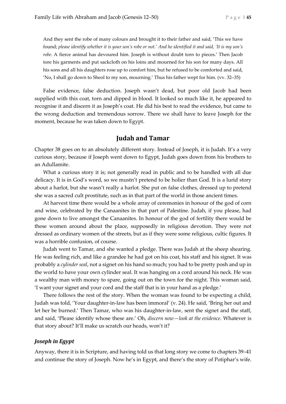And they sent the robe of many colours and brought it to their father and said, 'This we have found; *please identify whether it is your son's robe or not.' And he identified it and said, 'It is my son's robe.* A fierce animal has devoured him. Joseph is without doubt torn to pieces.' Then Jacob tore his garments and put sackcloth on his loins and mourned for his son for many days. All his sons and all his daughters rose up to comfort him, but he refused to be comforted and said, 'No, I shall go down to Sheol to my son, mourning.' Thus his father wept for him. (vv. 32–35)

False evidence, false deduction. Joseph wasn't dead, but poor old Jacob had been supplied with this coat, torn and dipped in blood. It looked so much like it, he appeared to recognise it and discern it as Joseph's coat. He did his best to read the evidence, but came to the wrong deduction and tremendous sorrow. There we shall have to leave Joseph for the moment, because he was taken down to Egypt.

## **Judah and Tamar**

Chapter 38 goes on to an absolutely different story. Instead of Joseph, it is Judah. It's a very curious story, because if Joseph went down to Egypt, Judah goes down from his brothers to an Adullamite.

What a curious story it is; not generally read in public and to be handled with all due delicacy. It is in God's word, so we mustn't pretend to be holier than God. It is a lurid story about a harlot, but she wasn't really a harlot. She put on false clothes, dressed up to pretend she was a sacred cult prostitute, such as in that part of the world in those ancient times.

At harvest time there would be a whole array of ceremonies in honour of the god of corn and wine, celebrated by the Canaanites in that part of Palestine. Judah, if you please, had gone down to live amongst the Canaanites. In honour of the god of fertility there would be these women around about the place, supposedly in religious devotion. They were not dressed as ordinary women of the streets, but as if they were some religious, cultic figures. It was a horrible confusion, of course.

Judah went to Tamar, and she wanted a pledge. There was Judah at the sheep shearing. He was feeling rich, and like a grandee he had got on his coat, his staff and his signet. It was probably a *cylinder seal*, not a signet on his hand so much; you had to be pretty posh and up in the world to have your own cylinder seal. It was hanging on a cord around his neck. He was a wealthy man with money to spare, going out on the town for the night. This woman said, 'I want your signet and your cord and the staff that is in your hand as a pledge.'

There follows the rest of the story. When the woman was found to be expecting a child, Judah was told, 'Your daughter-in-law has been immoral' (v. 24). He said, 'Bring her out and let her be burned.' Then Tamar, who was his daughter-in-law, sent the signet and the staff, and said, 'Please identify whose these are.' Oh, *discern now—look at the evidence*. Whatever is that story about? It'll make us scratch our heads, won't it?

### *Joseph in Egypt*

Anyway, there it is in Scripture, and having told us that long story we come to chapters 39–41 and continue the story of Joseph. Now he's in Egypt, and there's the story of Potiphar's wife.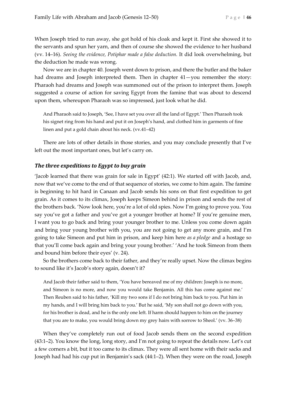When Joseph tried to run away, she got hold of his cloak and kept it. First she showed it to the servants and spun her yarn, and then of course she showed the evidence to her husband (vv. 14–16). *Seeing the evidence, Potiphar made a false deduction.* It did look overwhelming, but the deduction he made was wrong.

Now we are in chapter 40. Joseph went down to prison, and there the butler and the baker had dreams and Joseph interpreted them. Then in chapter 41—you remember the story: Pharaoh had dreams and Joseph was summoned out of the prison to interpret them. Joseph suggested a course of action for saving Egypt from the famine that was about to descend upon them, whereupon Pharaoh was so impressed, just look what he did.

And Pharaoh said to Joseph, 'See, I have set you over all the land of Egypt.' Then Pharaoh took his signet ring from his hand and put it on Joseph's hand, and clothed him in garments of fine linen and put a gold chain about his neck. (vv.41–42)

There are lots of other details in those stories, and you may conclude presently that I've left out the most important ones, but let's carry on.

## *The three expeditions to Egypt to buy grain*

'Jacob learned that there was grain for sale in Egypt' (42:1). We started off with Jacob, and, now that we've come to the end of that sequence of stories, we come to him again. The famine is beginning to hit hard in Canaan and Jacob sends his sons on that first expedition to get grain. As it comes to its climax, Joseph keeps Simeon behind in prison and sends the rest of the brothers back. 'Now look here, you're a lot of old spies. Now I'm going to prove you. You say you've got a father and you've got a younger brother at home? If you're genuine men, I want you to go back and bring your younger brother to me. Unless you come down again and bring your young brother with you, you are not going to get any more grain, and I'm going to take Simeon and put him in prison, and keep him here *as a pledge* and a hostage so that you'll come back again and bring your young brother.' 'And he took Simeon from them and bound him before their eyes' (v. 24).

So the brothers come back to their father, and they're really upset. Now the climax begins to sound like it's Jacob's story again, doesn't it?

And Jacob their father said to them, 'You have bereaved me of my children: Joseph is no more, and Simeon is no more, and now you would take Benjamin. All this has come against me.' Then Reuben said to his father, 'Kill my two sons if I do not bring him back to you. Put him in my hands, and I will bring him back to you.' But he said, 'My son shall not go down with you, for his brother is dead, and he is the only one left. If harm should happen to him on the journey that you are to make, you would bring down my grey hairs with sorrow to Sheol.' (vv. 36–38)

When they've completely run out of food Jacob sends them on the second expedition (43:1–2). You know the long, long story, and I'm not going to repeat the details now. Let's cut a few corners a bit, but it too came to its climax. They were all sent home with their sacks and Joseph had had his cup put in Benjamin's sack (44:1–2). When they were on the road, Joseph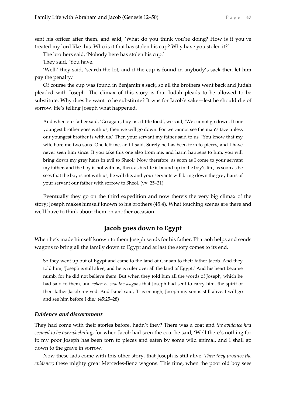sent his officer after them, and said, 'What do you think you're doing? How is it you've treated my lord like this. Who is it that has stolen his cup? Why have you stolen it?'

The brothers said, 'Nobody here has stolen his cup.'

They said, 'You have.'

'Well,' they said, 'search the lot, and if the cup is found in anybody's sack then let him pay the penalty.'

Of course the cup was found in Benjamin's sack, so all the brothers went back and Judah pleaded with Joseph. The climax of this story is that Judah pleads to be allowed to be substitute. Why does he want to be substitute? It was for Jacob's sake—lest he should die of sorrow. He's telling Joseph what happened.

And when our father said, 'Go again, buy us a little food', we said, 'We cannot go down. If our youngest brother goes with us, then we will go down. For we cannot see the man's face unless our youngest brother is with us.' Then your servant my father said to us, 'You know that my wife bore me two sons. One left me, and I said, Surely he has been torn to pieces, and I have never seen him since. If you take this one also from me, and harm happens to him, you will bring down my grey hairs in evil to Sheol.' Now therefore, as soon as I come to your servant my father, and the boy is not with us, then, as his life is bound up in the boy's life, as soon as he sees that the boy is not with us, he will die, and your servants will bring down the grey hairs of your servant our father with sorrow to Sheol. (vv. 25–31)

Eventually they go on the third expedition and now there's the very big climax of the story; Joseph makes himself known to his brothers (45:4). What touching scenes are there and we'll have to think about them on another occasion.

# **Jacob goes down to Egypt**

When he's made himself known to them Joseph sends for his father. Pharaoh helps and sends wagons to bring all the family down to Egypt and at last the story comes to its end.

So they went up out of Egypt and came to the land of Canaan to their father Jacob. And they told him, 'Joseph is still alive, and he is ruler over all the land of Egypt.' And his heart became numb, for he did not believe them. But when they told him all the words of Joseph, which he had said to them, and *when he saw the wagons* that Joseph had sent to carry him, the spirit of their father Jacob revived. And Israel said, 'It is enough; Joseph my son is still alive. I will go and see him before I die.' (45:25–28)

## *Evidence and discernment*

They had come with their stories before, hadn't they? There was a coat and *the evidence had seemed to be overwhelming*, for when Jacob had seen the coat he said, 'Well there's nothing for it; my poor Joseph has been torn to pieces and eaten by some wild animal, and I shall go down to the grave in sorrow.'

Now these lads come with this other story, that Joseph is still alive. *Then they produce the evidence*; these mighty great Mercedes-Benz wagons. This time, when the poor old boy sees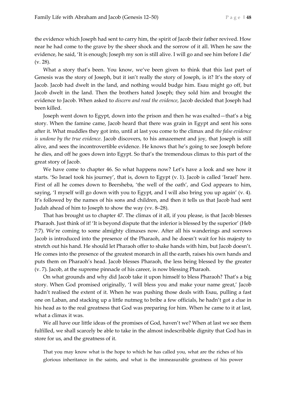the evidence which Joseph had sent to carry him, the spirit of Jacob their father revived. How near he had come to the grave by the sheer shock and the sorrow of it all. When he saw the evidence, he said, 'It is enough; Joseph my son is still alive. I will go and see him before I die' (v. 28).

What a story that's been. You know, we've been given to think that this last part of Genesis was the story of Joseph, but it isn't really the story of Joseph, is it? It's the story of Jacob. Jacob had dwelt in the land, and nothing would budge him. Esau might go off, but Jacob dwelt in the land. Then the brothers hated Joseph; they sold him and brought the evidence to Jacob. When asked to *discern and read the evidence*, Jacob decided that Joseph had been killed.

Joseph went down to Egypt, down into the prison and then he was exalted—that's a big story. When the famine came, Jacob heard that there was grain in Egypt and sent his sons after it. What muddles they got into, until at last you come to the climax and *the false evidence is undone by the true evidence*. Jacob discovers, to his amazement and joy, that Joseph is still alive, and sees the incontrovertible evidence. He knows that he's going to see Joseph before he dies, and off he goes down into Egypt. So that's the tremendous climax to this part of the great story of Jacob.

We have come to chapter 46. So what happens now? Let's have a look and see how it starts. 'So Israel took his journey', that is, down to Egypt (v. 1). Jacob is called 'Israel' here. First of all he comes down to Beersheba, 'the well of the oath', and God appears to him, saying, 'I myself will go down with you to Egypt, and I will also bring you up again' (v. 4). It's followed by the names of his sons and children, and then it tells us that Jacob had sent Judah ahead of him to Joseph to show the way (vv. 8–28).

That has brought us to chapter 47. The climax of it all, if you please, is that Jacob blesses Pharaoh. Just think of it! 'It is beyond dispute that the inferior is blessed by the superior' (Heb 7:7). We're coming to some almighty climaxes now. After all his wanderings and sorrows Jacob is introduced into the presence of the Pharaoh, and he doesn't wait for his majesty to stretch out his hand. He should let Pharaoh offer to shake hands with him, but Jacob doesn't. He comes into the presence of the greatest monarch in all the earth, raises his own hands and puts them on Pharaoh's head. Jacob blesses Pharaoh, the less being blessed by the greater (v. 7). Jacob, at the supreme pinnacle of his career, is now blessing Pharaoh.

On what grounds and why did Jacob take it upon himself to bless Pharaoh? That's a big story. When God promised originally, 'I will bless you and make your name great,' Jacob hadn't realised the extent of it. When he was pushing those deals with Esau, pulling a fast one on Laban, and stacking up a little nutmeg to bribe a few officials, he hadn't got a clue in his head as to the real greatness that God was preparing for him. When he came to it at last, what a climax it was.

We all have our little ideas of the promises of God, haven't we? When at last we see them fulfilled, we shall scarcely be able to take in the almost indescribable dignity that God has in store for us, and the greatness of it.

That you may know what is the hope to which he has called you, what are the riches of his glorious inheritance in the saints, and what is the immeasurable greatness of his power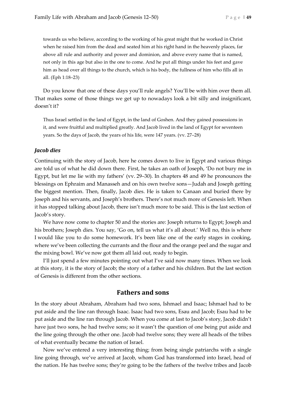towards us who believe, according to the working of his great might that he worked in Christ when he raised him from the dead and seated him at his right hand in the heavenly places, far above all rule and authority and power and dominion, and above every name that is named, not only in this age but also in the one to come. And he put all things under his feet and gave him as head over all things to the church, which is his body, the fullness of him who fills all in all. (Eph 1:18–23)

Do you know that one of these days you'll rule angels? You'll be with him over them all. That makes some of those things we get up to nowadays look a bit silly and insignificant, doesn't it?

Thus Israel settled in the land of Egypt, in the land of Goshen. And they gained possessions in it, and were fruitful and multiplied greatly. And Jacob lived in the land of Egypt for seventeen years. So the days of Jacob, the years of his life, were 147 years. (vv. 27–28)

### *Jacob dies*

Continuing with the story of Jacob, here he comes down to live in Egypt and various things are told us of what he did down there. First, he takes an oath of Joseph, 'Do not bury me in Egypt, but let me lie with my fathers' (vv. 29–30). In chapters 48 and 49 he pronounces the blessings on Ephraim and Manasseh and on his own twelve sons—Judah and Joseph getting the biggest mention. Then, finally, Jacob dies. He is taken to Canaan and buried there by Joseph and his servants, and Joseph's brothers. There's not much more of Genesis left. When it has stopped talking about Jacob, there isn't much more to be said. This is the last section of Jacob's story.

We have now come to chapter 50 and the stories are: Joseph returns to Egypt; Joseph and his brothers; Joseph dies. You say, 'Go on, tell us what it's all about.' Well no, this is where I would like you to do some homework. It's been like one of the early stages in cooking, where we've been collecting the currants and the flour and the orange peel and the sugar and the mixing bowl. We've now got them all laid out, ready to begin.

I'll just spend a few minutes pointing out what I've said now many times. When we look at this story, it is the story of Jacob; the story of a father and his children. But the last section of Genesis is different from the other sections.

# **Fathers and sons**

In the story about Abraham, Abraham had two sons, Ishmael and Isaac; Ishmael had to be put aside and the line ran through Isaac. Isaac had two sons, Esau and Jacob; Esau had to be put aside and the line ran through Jacob. When you come at last to Jacob's story, Jacob didn't have just two sons, he had twelve sons; so it wasn't the question of one being put aside and the line going through the other one. Jacob had twelve sons; they were all heads of the tribes of what eventually became the nation of Israel.

Now we've entered a very interesting thing; from being single patriarchs with a single line going through, we've arrived at Jacob, whom God has transformed into Israel, head of the nation. He has twelve sons; they're going to be the fathers of the twelve tribes and Jacob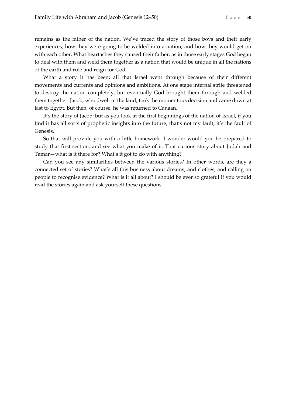remains as the father of the nation. We've traced the story of those boys and their early experiences, how they were going to be welded into a nation, and how they would get on with each other. What heartaches they caused their father, as in those early stages God began to deal with them and weld them together as a nation that would be unique in all the nations of the earth and rule and reign for God.

What a story it has been; all that Israel went through because of their different movements and currents and opinions and ambitions. At one stage internal strife threatened to destroy the nation completely, but eventually God brought them through and welded them together. Jacob, who dwelt in the land, took the momentous decision and came down at last to Egypt. But then, of course, he was returned to Canaan.

It's the story of Jacob; but as you look at the first beginnings of the nation of Israel, if you find it has all sorts of prophetic insights into the future, that's not my fault; it's the fault of Genesis.

So that will provide you with a little homework. I wonder would you be prepared to study that first section, and see what you make of it. That curious story about Judah and Tamar—what is it there for? What's it got to do with anything?

Can you see any similarities between the various stories? In other words, are they a connected set of stories? What's all this business about dreams, and clothes, and calling on people to recognise evidence? What is it all about? I should be ever so grateful if you would read the stories again and ask yourself these questions.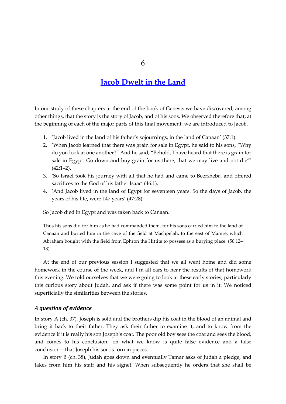# **[Jacob Dwelt in the Land](#page-1-0)**

In our study of these chapters at the end of the book of Genesis we have discovered, among other things, that the story is the story of Jacob, and of his sons. We observed therefore that, at the beginning of each of the major parts of this final movement, we are introduced to Jacob.

- 1. 'Jacob lived in the land of his father's sojournings, in the land of Canaan' (37:1).
- 2. 'When Jacob learned that there was grain for sale in Egypt, he said to his sons, "Why do you look at one another?" And he said, "Behold, I have heard that there is grain for sale in Egypt. Go down and buy grain for us there, that we may live and not die"'  $(42:1-2)$ .
- 3. 'So Israel took his journey with all that he had and came to Beersheba, and offered sacrifices to the God of his father Isaac' (46:1).
- 4. 'And Jacob lived in the land of Egypt for seventeen years. So the days of Jacob, the years of his life, were 147 years' (47:28).

So Jacob died in Egypt and was taken back to Canaan.

Thus his sons did for him as he had commanded them, for his sons carried him to the land of Canaan and buried him in the cave of the field at Machpelah, to the east of Mamre, which Abraham bought with the field from Ephron the Hittite to possess as a burying place. (50:12– 13)

At the end of our previous session I suggested that we all went home and did some homework in the course of the week, and I'm all ears to hear the results of that homework this evening. We told ourselves that we were going to look at these early stories, particularly this curious story about Judah, and ask if there was some point for us in it. We noticed superficially the similarities between the stories.

## *A question of evidence*

In story A (ch. 37), Joseph is sold and the brothers dip his coat in the blood of an animal and bring it back to their father. They ask their father to examine it, and to know from the evidence if it is really his son Joseph's coat. The poor old boy sees the coat and sees the blood, and comes to his conclusion—on what we know is quite false evidence and a false conclusion—that Joseph his son is torn in pieces.

In story B (ch. 38), Judah goes down and eventually Tamar asks of Judah a pledge, and takes from him his staff and his signet. When subsequently he orders that she shall be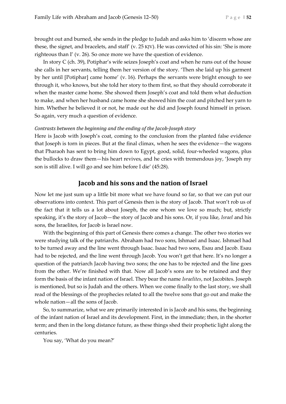brought out and burned, she sends in the pledge to Judah and asks him to 'discern whose are these, the signet, and bracelets, and staff' (v. 25 KJV). He was convicted of his sin: 'She is more righteous than I' (v. 26). So once more we have the question of evidence.

In story C (ch. 39), Potiphar's wife seizes Joseph's coat and when he runs out of the house she calls in her servants, telling them her version of the story. 'Then she laid up his garment by her until [Potiphar] came home' (v. 16). Perhaps the servants were bright enough to see through it, who knows, but she told her story to them first, so that they should corroborate it when the master came home. She showed them Joseph's coat and told them what deduction to make, and when her husband came home she showed him the coat and pitched her yarn to him. Whether he believed it or not, he made out he did and Joseph found himself in prison. So again, very much a question of evidence.

### *Contrasts between the beginning and the ending of the Jacob-Joseph story*

Here is Jacob with Joseph's coat, coming to the conclusion from the planted false evidence that Joseph is torn in pieces. But at the final climax, when he sees the evidence—the wagons that Pharaoh has sent to bring him down to Egypt, good, solid, four-wheeled wagons, plus the bullocks to draw them—his heart revives, and he cries with tremendous joy, 'Joseph my son is still alive. I will go and see him before I die' (45:28).

# **Jacob and his sons and the nation of Israel**

Now let me just sum up a little bit more what we have found so far, so that we can put our observations into context. This part of Genesis then is the story of Jacob. That won't rob us of the fact that it tells us a lot about Joseph, the one whom we love so much; but, strictly speaking, it's the story of Jacob—the story of Jacob and his sons. Or, if you like, *Israel* and his sons, the Israelites, for Jacob is Israel now.

With the beginning of this part of Genesis there comes a change. The other two stories we were studying talk of the patriarchs. Abraham had two sons, Ishmael and Isaac. Ishmael had to be turned away and the line went through Isaac. Isaac had two sons, Esau and Jacob. Esau had to be rejected, and the line went through Jacob. You won't get that here. It's no longer a question of the patriarch Jacob having two sons; the one has to be rejected and the line goes from the other. We're finished with that. Now all Jacob's sons are to be retained and they form the basis of the infant nation of Israel. They bear the name *Israelites*, not Jacobites. Joseph is mentioned, but so is Judah and the others. When we come finally to the last story, we shall read of the blessings of the prophecies related to all the twelve sons that go out and make the whole nation—all the sons of Jacob.

So, to summarize, what we are primarily interested in is Jacob and his sons, the beginning of the infant nation of Israel and its development. First, in the immediate; then, in the shorter term; and then in the long distance future, as these things shed their prophetic light along the centuries.

You say, 'What do you mean?'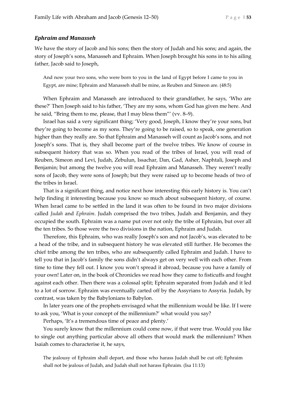### *Ephraim and Manasseh*

We have the story of Jacob and his sons; then the story of Judah and his sons; and again, the story of Joseph's sons, Manasseh and Ephraim. When Joseph brought his sons in to his ailing father, Jacob said to Joseph,

And now your two sons, who were born to you in the land of Egypt before I came to you in Egypt, are mine; Ephraim and Manasseh shall be mine, as Reuben and Simeon are. (48:5)

When Ephraim and Manasseh are introduced to their grandfather, he says, 'Who are these?' Then Joseph said to his father, 'They are my sons, whom God has given me here. And he said, "Bring them to me, please, that I may bless them"' (vv. 8–9).

Israel has said a very significant thing; 'Very good, Joseph, I know they're your sons, but they're going to become as my sons. They're going to be raised, so to speak, one generation higher than they really are. So that Ephraim and Manasseh will count as Jacob's sons, and not Joseph's sons. That is, they shall become part of the twelve tribes. We know of course in subsequent history that was so. When you read of the tribes of Israel, you will read of Reuben, Simeon and Levi, Judah, Zebulun, Issachar, Dan, Gad, Asher, Naphtali, Joseph and Benjamin; but among the twelve you will read Ephraim and Manasseh. They weren't really sons of Jacob, they were sons of Joseph; but they were raised up to become heads of two of the tribes in Israel.

That is a significant thing, and notice next how interesting this early history is. You can't help finding it interesting because you know so much about subsequent history, of course. When Israel came to be settled in the land it was often to be found in two major divisions called *Judah* and *Ephraim*. Judah comprised the two tribes, Judah and Benjamin, and they occupied the south. Ephraim was a name put over not only the tribe of Ephraim, but over all the ten tribes. So those were the two divisions in the nation, Ephraim and Judah.

Therefore, this Ephraim, who was really Joseph's son and not Jacob's, was elevated to be a head of the tribe, and in subsequent history he was elevated still further. He becomes the chief tribe among the ten tribes, who are subsequently called Ephraim and Judah. I have to tell you that in Jacob's family the sons didn't always get on very well with each other. From time to time they fell out. I know you won't spread it abroad, because you have a family of your own! Later on, in the book of Chronicles we read how they came to fisticuffs and fought against each other. Then there was a colossal split; Ephraim separated from Judah and it led to a lot of sorrow. Ephraim was eventually carted off by the Assyrians to Assyria. Judah, by contrast, was taken by the Babylonians to Babylon.

In later years one of the prophets envisaged what the millennium would be like. If I were to ask you, 'What is your concept of the millennium?' what would you say?

Perhaps, 'It's a tremendous time of peace and plenty.'

You surely know that the millennium could come now, if that were true. Would you like to single out anything particular above all others that would mark the millennium? When Isaiah comes to characterise it, he says,

The jealousy of Ephraim shall depart, and those who harass Judah shall be cut off; Ephraim shall not be jealous of Judah, and Judah shall not harass Ephraim. (Isa 11:13)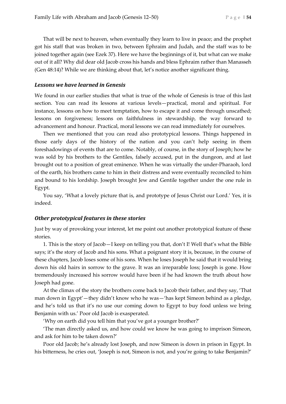That will be next to heaven, when eventually they learn to live in peace; and the prophet got his staff that was broken in two, between Ephraim and Judah, and the staff was to be joined together again (see Ezek 37). Here we have the beginnings of it, but what can we make out of it all? Why did dear old Jacob cross his hands and bless Ephraim rather than Manasseh (Gen 48:14)? While we are thinking about that, let's notice another significant thing.

## *Lessons we have learned in Genesis*

We found in our earlier studies that what is true of the whole of Genesis is true of this last section. You can read its lessons at various levels—practical, moral and spiritual. For instance, lessons on how to meet temptation, how to escape it and come through unscathed; lessons on forgiveness; lessons on faithfulness in stewardship, the way forward to advancement and honour. Practical, moral lessons we can read immediately for ourselves.

Then we mentioned that you can read also prototypical lessons. Things happened in those early days of the history of the nation and you can't help seeing in them foreshadowings of events that are to come. Notably, of course, in the story of Joseph; how he was sold by his brothers to the Gentiles, falsely accused, put in the dungeon, and at last brought out to a position of great eminence. When he was virtually the under-Pharaoh, lord of the earth, his brothers came to him in their distress and were eventually reconciled to him and bound to his lordship. Joseph brought Jew and Gentile together under the one rule in Egypt.

You say, 'What a lovely picture that is, and prototype of Jesus Christ our Lord.' Yes, it is indeed.

### *Other prototypical features in these stories*

Just by way of provoking your interest, let me point out another prototypical feature of these stories.

1. This is the story of Jacob—I keep on telling you that, don't I! Well that's what the Bible says; it's the story of Jacob and his sons. What a poignant story it is, because, in the course of these chapters, Jacob loses some of his sons. When he loses Joseph he said that it would bring down his old hairs in sorrow to the grave. It was an irreparable loss; Joseph is gone. How tremendously increased his sorrow would have been if he had known the truth about how Joseph had gone.

At the climax of the story the brothers come back to Jacob their father, and they say, 'That man down in Egypt'—they didn't know who he was—'has kept Simeon behind as a pledge, and he's told us that it's no use our coming down to Egypt to buy food unless we bring Benjamin with us.' Poor old Jacob is exasperated.

'Why on earth did you tell him that you've got a younger brother?'

'The man directly asked us, and how could we know he was going to imprison Simeon, and ask for him to be taken down?'

Poor old Jacob; he's already lost Joseph, and now Simeon is down in prison in Egypt. In his bitterness, he cries out, 'Joseph is not, Simeon is not, and you're going to take Benjamin?'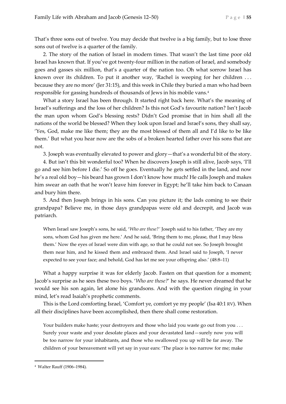That's three sons out of twelve. You may decide that twelve is a big family, but to lose three sons out of twelve is a quarter of the family.

2. The story of the nation of Israel in modern times. That wasn't the last time poor old Israel has known that. If you've got twenty-four million in the nation of Israel, and somebody goes and gasses six million, that's a quarter of the nation too. Oh what sorrow Israel has known over its children. To put it another way, 'Rachel is weeping for her children . . . because they are no more' (Jer 31:15), and this week in Chile they buried a man who had been responsible for gassing hundreds of thousands of Jews in his mobile vans.[4](#page-54-0)

What a story Israel has been through. It started right back here. What's the meaning of Israel's sufferings and the loss of her children? Is this not God's favourite nation? Isn't Jacob the man upon whom God's blessing rests? Didn't God promise that in him shall all the nations of the world be blessed? When they look upon Israel and Israel's sons, they shall say, 'Yes, God, make me like them; they are the most blessed of them all and I'd like to be like them.' But what you hear now are the sobs of a broken hearted father over his sons that are not.

3. Joseph was eventually elevated to power and glory—that's a wonderful bit of the story.

4. But isn't this bit wonderful too? When he discovers Joseph is still alive, Jacob says, 'I'll go and see him before I die.' So off he goes. Eventually he gets settled in the land, and now he's a real old boy—his beard has grown I don't know how much! He calls Joseph and makes him swear an oath that he won't leave him forever in Egypt; he'll take him back to Canaan and bury him there.

5. And then Joseph brings in his sons. Can you picture it; the lads coming to see their grandpapa? Believe me, in those days grandpapas were old and decrepit, and Jacob was patriarch.

When Israel saw Joseph's sons, he said, '*Who are these?'* Joseph said to his father, 'They are my sons, whom God has given me here.' And he said, 'Bring them to me, please, that I may bless them.' Now the eyes of Israel were dim with age, so that he could not see. So Joseph brought them near him, and he kissed them and embraced them. And Israel said to Joseph, 'I never expected to see your face; and behold, God has let me see your offspring also.' (48:8–11)

What a happy surprise it was for elderly Jacob. Fasten on that question for a moment; Jacob's surprise as he sees these two boys. '*Who are these?*' he says. He never dreamed that he would see his son again, let alone his grandsons. And with the question ringing in your mind, let's read Isaiah's prophetic comments.

This is the Lord comforting Israel, 'Comfort ye, comfort ye my people' (Isa 40:1 RV). When all their disciplines have been accomplished, then there shall come restoration.

Your builders make haste; your destroyers and those who laid you waste go out from you . . . Surely your waste and your desolate places and your devastated land—surely now you will be too narrow for your inhabitants, and those who swallowed you up will be far away. The children of your bereavement will yet say in your ears: 'The place is too narrow for me; make

<span id="page-54-0"></span> <sup>4</sup> Walter Rauff (1906–1984).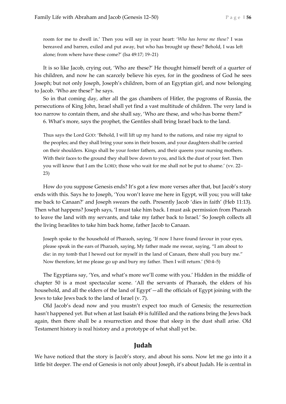room for me to dwell in.' Then you will say in your heart: '*Who has borne me these?* I was bereaved and barren, exiled and put away, but who has brought up these? Behold, I was left alone; from where have these come?' (Isa 49:17; 19–21)

It is so like Jacob, crying out, 'Who are these?' He thought himself bereft of a quarter of his children, and now he can scarcely believe his eyes, for in the goodness of God he sees Joseph; but not only Joseph, Joseph's children, born of an Egyptian girl, and now belonging to Jacob. 'Who are these?' he says.

So in that coming day, after all the gas chambers of Hitler, the pogroms of Russia, the persecutions of King John, Israel shall yet find a vast multitude of children. The very land is too narrow to contain them, and she shall say, 'Who are these, and who has borne them?'

6. What's more, says the prophet, the Gentiles shall bring Israel back to the land.

Thus says the Lord GOD: 'Behold, I will lift up my hand to the nations, and raise my signal to the peoples; and they shall bring your sons in their bosom, and your daughters shall be carried on their shoulders. Kings shall be your foster fathers, and their queens your nursing mothers. With their faces to the ground they shall bow down to you, and lick the dust of your feet. Then you will know that I am the LORD; those who wait for me shall not be put to shame.' (vv. 22– 23)

How do you suppose Genesis ends? It's got a few more verses after that, but Jacob's story ends with this. Says he to Joseph, 'You won't leave me here in Egypt, will you; you will take me back to Canaan?' and Joseph swears the oath. Presently Jacob 'dies in faith' (Heb 11:13). Then what happens? Joseph says, 'I must take him back. I must ask permission from Pharaoh to leave the land with my servants, and take my father back to Israel.' So Joseph collects all the living Israelites to take him back home, father Jacob to Canaan.

Joseph spoke to the household of Pharaoh, saying, 'If now I have found favour in your eyes, please speak in the ears of Pharaoh, saying, My father made me swear, saying, "I am about to die: in my tomb that I hewed out for myself in the land of Canaan, there shall you bury me." Now therefore, let me please go up and bury my father. Then I will return.' (50:4–5)

The Egyptians say, 'Yes, and what's more we'll come with you.' Hidden in the middle of chapter 50 is a most spectacular scene. 'All the servants of Pharaoh, the elders of his household, and all the elders of the land of Egypt'—all the officials of Egypt joining with the Jews to take Jews back to the land of Israel (v. 7).

Old Jacob's dead now and you mustn't expect too much of Genesis; the resurrection hasn't happened yet. But when at last Isaiah 49 is fulfilled and the nations bring the Jews back again, then there shall be a resurrection and those that sleep in the dust shall arise. Old Testament history is real history and a prototype of what shall yet be.

# **Judah**

We have noticed that the story is Jacob's story, and about his sons. Now let me go into it a little bit deeper. The end of Genesis is not only about Joseph, it's about Judah. He is central in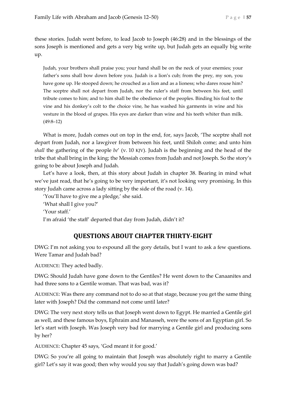these stories. Judah went before, to lead Jacob to Joseph (46:28) and in the blessings of the sons Joseph is mentioned and gets a very big write up, but Judah gets an equally big write up.

Judah, your brothers shall praise you; your hand shall be on the neck of your enemies; your father's sons shall bow down before you. Judah is a lion's cub; from the prey, my son, you have gone up. He stooped down; he crouched as a lion and as a lioness; who dares rouse him? The sceptre shall not depart from Judah, nor the ruler's staff from between his feet, until tribute comes to him; and to him shall be the obedience of the peoples. Binding his foal to the vine and his donkey's colt to the choice vine, he has washed his garments in wine and his vesture in the blood of grapes. His eyes are darker than wine and his teeth whiter than milk. (49:8–12)

What is more, Judah comes out on top in the end, for, says Jacob, 'The sceptre shall not depart from Judah, nor a lawgiver from between his feet, until Shiloh come; and unto him *shall* the gathering of the people *be*' (v. 10 KJV). Judah is the beginning and the head of the tribe that shall bring in the king; the Messiah comes from Judah and not Joseph. So the story's going to be about Joseph and Judah.

Let's have a look, then, at this story about Judah in chapter 38. Bearing in mind what we've just read, that he's going to be very important, it's not looking very promising. In this story Judah came across a lady sitting by the side of the road (v. 14).

- 'You'll have to give me a pledge,' she said.
- 'What shall I give you?'

'Your staff.'

I'm afraid 'the staff' departed that day from Judah, didn't it?

# **QUESTIONS ABOUT CHAPTER THIRTY-EIGHT**

DWG: I'm not asking you to expound all the gory details, but I want to ask a few questions. Were Tamar and Judah bad?

AUDIENCE: They acted badly.

DWG: Should Judah have gone down to the Gentiles? He went down to the Canaanites and had three sons to a Gentile woman. That was bad, was it?

AUDIENCE: Was there any command not to do so at that stage, because you get the same thing later with Joseph? Did the command not come until later?

DWG: The very next story tells us that Joseph went down to Egypt. He married a Gentile girl as well, and these famous boys, Ephraim and Manasseh, were the sons of an Egyptian girl. So let's start with Joseph. Was Joseph very bad for marrying a Gentile girl and producing sons by her?

AUDIENCE: Chapter 45 says, 'God meant it for good.'

DWG: So you're all going to maintain that Joseph was absolutely right to marry a Gentile girl? Let's say it was good; then why would you say that Judah's going down was bad?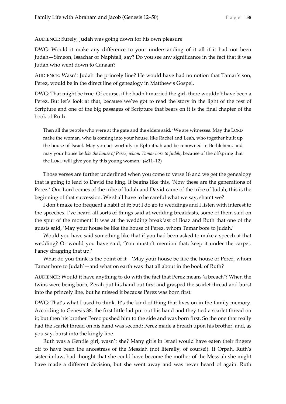AUDIENCE: Surely, Judah was going down for his own pleasure.

DWG: Would it make any difference to your understanding of it all if it had not been Judah—Simeon, Issachar or Naphtali, say? Do you see any significance in the fact that it was Judah who went down to Canaan?

AUDIENCE: Wasn't Judah the princely line? He would have had no notion that Tamar's son, Perez, would be in the direct line of genealogy in Matthew's Gospel.

DWG: That might be true. Of course, if he hadn't married the girl, there wouldn't have been a Perez. But let's look at that, because we've got to read the story in the light of the rest of Scripture and one of the big passages of Scripture that bears on it is the final chapter of the book of Ruth.

Then all the people who were at the gate and the elders said, 'We are witnesses. May the LORD make the woman, who is coming into your house, like Rachel and Leah, who together built up the house of Israel. May you act worthily in Ephrathah and be renowned in Bethlehem, and may your house be *like the house of Perez, whom Tamar bore to Judah*, because of the offspring that the LORD will give you by this young woman.' (4:11–12)

Those verses are further underlined when you come to verse 18 and we get the genealogy that is going to lead to David the king. It begins like this, 'Now these are the generations of Perez.' Our Lord comes of the tribe of Judah and David came of the tribe of Judah; this is the beginning of that succession. We shall have to be careful what we say, shan't we?

I don't make too frequent a habit of it; but I do go to weddings and I listen with interest to the speeches. I've heard all sorts of things said at wedding breakfasts, some of them said on the spur of the moment! It was at the wedding breakfast of Boaz and Ruth that one of the guests said, 'May your house be like the house of Perez, whom Tamar bore to Judah.'

Would you have said something like that if you had been asked to make a speech at that wedding? Or would you have said, 'You mustn't mention that; keep it under the carpet. Fancy dragging that up!'

What do you think is the point of it—'May your house be like the house of Perez, whom Tamar bore to Judah'—and what on earth was that all about in the book of Ruth?

AUDIENCE: Would it have anything to do with the fact that Perez means 'a breach'? When the twins were being born, Zerah put his hand out first and grasped the scarlet thread and burst into the princely line, but he missed it because Perez was born first.

DWG: That's what I used to think. It's the kind of thing that lives on in the family memory. According to Genesis 38, the first little lad put out his hand and they tied a scarlet thread on it; but then his brother Perez pushed him to the side and was born first. So the one that really had the scarlet thread on his hand was second; Perez made a breach upon his brother, and, as you say, burst into the kingly line.

Ruth was a Gentile girl, wasn't she? Many girls in Israel would have eaten their fingers off to have been the ancestress of the Messiah (not literally, of course!). If Orpah, Ruth's sister-in-law, had thought that she could have become the mother of the Messiah she might have made a different decision, but she went away and was never heard of again. Ruth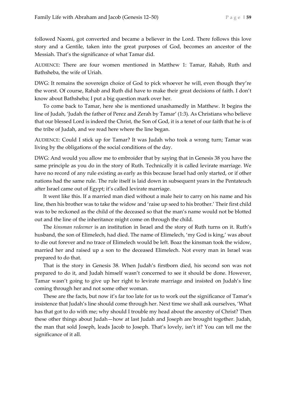followed Naomi, got converted and became a believer in the Lord. There follows this love story and a Gentile, taken into the great purposes of God, becomes an ancestor of the Messiah. That's the significance of what Tamar did.

AUDIENCE: There are four women mentioned in Matthew 1: Tamar, Rahab, Ruth and Bathsheba, the wife of Uriah.

DWG: It remains the sovereign choice of God to pick whoever he will, even though they're the worst. Of course, Rahab and Ruth did have to make their great decisions of faith. I don't know about Bathsheba; I put a big question mark over her.

To come back to Tamar, here she is mentioned unashamedly in Matthew. It begins the line of Judah, 'Judah the father of Perez and Zerah by Tamar' (1:3). As Christians who believe that our blessed Lord is indeed the Christ, the Son of God, it is a tenet of our faith that he is of the tribe of Judah, and we read here where the line began.

AUDIENCE: Could I stick up for Tamar? It was Judah who took a wrong turn; Tamar was living by the obligations of the social conditions of the day.

DWG: And would you allow me to embroider that by saying that in Genesis 38 you have the same principle as you do in the story of Ruth. Technically it is called levirate marriage. We have no record of any rule existing as early as this because Israel had only started, or if other nations had the same rule. The rule itself is laid down in subsequent years in the Pentateuch after Israel came out of Egypt; it's called levirate marriage.

It went like this. If a married man died without a male heir to carry on his name and his line, then his brother was to take the widow and 'raise up seed to his brother.' Their first child was to be reckoned as the child of the deceased so that the man's name would not be blotted out and the line of the inheritance might come on through the child.

The *kinsman redeemer* is an institution in Israel and the story of Ruth turns on it. Ruth's husband, the son of Elimelech, had died. The name of Elimelech, 'my God is king,' was about to die out forever and no trace of Elimelech would be left. Boaz the kinsman took the widow, married her and raised up a son to the deceased Elimelech. Not every man in Israel was prepared to do that.

That is the story in Genesis 38. When Judah's firstborn died, his second son was not prepared to do it, and Judah himself wasn't concerned to see it should be done. However, Tamar wasn't going to give up her right to levirate marriage and insisted on Judah's line coming through her and not some other woman.

These are the facts, but now it's far too late for us to work out the significance of Tamar's insistence that Judah's line should come through her. Next time we shall ask ourselves, 'What has that got to do with me; why should I trouble my head about the ancestry of Christ? Then these other things about Judah—how at last Judah and Joseph are brought together. Judah, the man that sold Joseph, leads Jacob to Joseph. That's lovely, isn't it? You can tell me the significance of it all.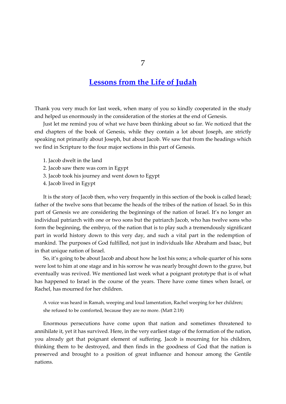# **[Lessons from the Life of Judah](#page-1-0)**

Thank you very much for last week, when many of you so kindly cooperated in the study and helped us enormously in the consideration of the stories at the end of Genesis.

Just let me remind you of what we have been thinking about so far. We noticed that the end chapters of the book of Genesis, while they contain a lot about Joseph, are strictly speaking not primarily about Joseph, but about Jacob. We saw that from the headings which we find in Scripture to the four major sections in this part of Genesis.

- 1. Jacob dwelt in the land
- 2. Jacob saw there was corn in Egypt
- 3. Jacob took his journey and went down to Egypt
- 4. Jacob lived in Egypt

It is the story of Jacob then, who very frequently in this section of the book is called Israel; father of the twelve sons that became the heads of the tribes of the nation of Israel. So in this part of Genesis we are considering the beginnings of the nation of Israel. It's no longer an individual patriarch with one or two sons but the patriarch Jacob, who has twelve sons who form the beginning, the embryo, of the nation that is to play such a tremendously significant part in world history down to this very day, and such a vital part in the redemption of mankind. The purposes of God fulfilled, not just in individuals like Abraham and Isaac, but in that unique nation of Israel.

So, it's going to be about Jacob and about how he lost his sons; a whole quarter of his sons were lost to him at one stage and in his sorrow he was nearly brought down to the grave, but eventually was revived. We mentioned last week what a poignant prototype that is of what has happened to Israel in the course of the years. There have come times when Israel, or Rachel, has mourned for her children.

A voice was heard in Ramah, weeping and loud lamentation, Rachel weeping for her children; she refused to be comforted, because they are no more. (Matt 2:18)

Enormous persecutions have come upon that nation and sometimes threatened to annihilate it, yet it has survived. Here, in the very earliest stage of the formation of the nation, you already get that poignant element of suffering. Jacob is mourning for his children, thinking them to be destroyed, and then finds in the goodness of God that the nation is preserved and brought to a position of great influence and honour among the Gentile nations.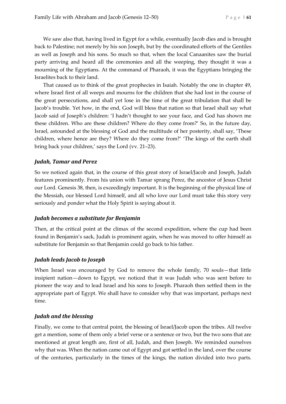We saw also that, having lived in Egypt for a while, eventually Jacob dies and is brought back to Palestine; not merely by his son Joseph, but by the coordinated efforts of the Gentiles as well as Joseph and his sons. So much so that, when the local Canaanites saw the burial party arriving and heard all the ceremonies and all the weeping, they thought it was a mourning of the Egyptians. At the command of Pharaoh, it was the Egyptians bringing the Israelites back to their land.

That caused us to think of the great prophecies in Isaiah. Notably the one in chapter 49, where Israel first of all weeps and mourns for the children that she had lost in the course of the great persecutions, and shall yet lose in the time of the great tribulation that shall be Jacob's trouble. Yet how, in the end, God will bless that nation so that Israel shall say what Jacob said of Joseph's children: 'I hadn't thought to see your face, and God has shown me these children. Who are these children? Where do they come from?' So, in the future day, Israel, astounded at the blessing of God and the multitude of her posterity, shall say, 'These children, where hence are they? Where do they come from?' 'The kings of the earth shall bring back your children,' says the Lord (vv. 21–23).

# *Judah, Tamar and Perez*

So we noticed again that, in the course of this great story of Israel/Jacob and Joseph, Judah features prominently. From his union with Tamar sprang Perez, the ancestor of Jesus Christ our Lord. Genesis 38, then, is exceedingly important. It is the beginning of the physical line of the Messiah, our blessed Lord himself, and all who love our Lord must take this story very seriously and ponder what the Holy Spirit is saying about it.

# *Judah becomes a substitute for Benjamin*

Then, at the critical point at the climax of the second expedition, where the cup had been found in Benjamin's sack, Judah is prominent again, when he was moved to offer himself as substitute for Benjamin so that Benjamin could go back to his father.

# *Judah leads Jacob to Joseph*

When Israel was encouraged by God to remove the whole family, 70 souls—that little insipient nation—down to Egypt, we noticed that it was Judah who was sent before to pioneer the way and to lead Israel and his sons to Joseph. Pharaoh then settled them in the appropriate part of Egypt. We shall have to consider why that was important, perhaps next time.

# *Judah and the blessing*

Finally, we come to that central point, the blessing of Israel/Jacob upon the tribes. All twelve get a mention, some of them only a brief verse or a sentence or two, but the two sons that are mentioned at great length are, first of all, Judah, and then Joseph. We reminded ourselves why that was. When the nation came out of Egypt and got settled in the land, over the course of the centuries, particularly in the times of the kings, the nation divided into two parts.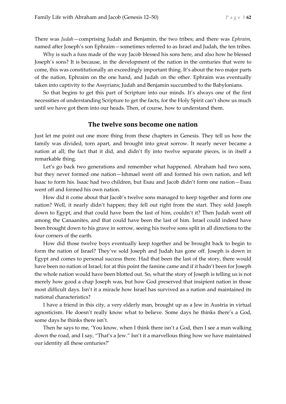There was *Judah*—comprising Judah and Benjamin, the two tribes; and there was *Ephraim*, named after Joseph's son Ephraim—sometimes referred to as Israel and Judah, the ten tribes.

Why is such a fuss made of the way Jacob blessed his sons here, and also how he blessed Joseph's sons? It is because, in the development of the nation in the centuries that were to come, this was constitutionally an exceedingly important thing. It's about the two major parts of the nation, Ephraim on the one hand, and Judah on the other. Ephraim was eventually taken into captivity to the Assyrians; Judah and Benjamin succumbed to the Babylonians.

So that begins to get this part of Scripture into our minds. It's always one of the first necessities of understanding Scripture to get the facts, for the Holy Spirit can't show us much until we have got them into our heads. Then, of course, how to understand them.

# **The twelve sons become one nation**

Just let me point out one more thing from these chapters in Genesis. They tell us how the family was divided, torn apart, and brought into great sorrow. It nearly never became a nation at all; the fact that it did, and didn't fly into twelve separate pieces, is in itself a remarkable thing.

Let's go back two generations and remember what happened. Abraham had two sons, but they never formed one nation—Ishmael went off and formed his own nation, and left Isaac to form his. Isaac had two children, but Esau and Jacob didn't form one nation—Esau went off and formed his own nation.

How did it come about that Jacob's twelve sons managed to keep together and form one nation? Well, it nearly didn't happen; they fell out right from the start. They sold Joseph down to Egypt, and that could have been the last of him, couldn't it? Then Judah went off among the Canaanites, and that could have been the last of him. Israel could indeed have been brought down to his grave in sorrow, seeing his twelve sons split in all directions to the four corners of the earth.

How did those twelve boys eventually keep together and be brought back to begin to form the nation of Israel? They've sold Joseph and Judah has gone off. Joseph is down in Egypt and comes to personal success there. Had that been the last of the story, there would have been no nation of Israel; for at this point the famine came and if it hadn't been for Joseph the whole nation would have been blotted out. So, what the story of Joseph is telling us is not merely how good a chap Joseph was, but how God preserved that insipient nation in those most difficult days. Isn't it a miracle how Israel has survived as a nation and maintained its national characteristics?

I have a friend in this city, a very elderly man, brought up as a Jew in Austria in virtual agnosticism. He doesn't really know what to believe. Some days he thinks there's a God, some days he thinks there isn't.

Then he says to me, 'You know, when I think there isn't a God, then I see a man walking down the road, and I say, "That's a Jew." Isn't it a marvellous thing how we have maintained our identity all these centuries?'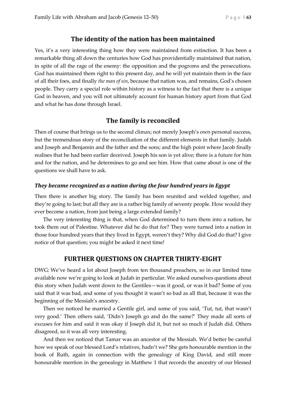# **The identity of the nation has been maintained**

Yes, it's a very interesting thing how they were maintained from extinction. It has been a remarkable thing all down the centuries how God has providentially maintained that nation, in spite of all the rage of the enemy: the opposition and the pogroms and the persecutions. God has maintained them right to this present day, and he will yet maintain them in the face of all their foes, and finally *the man of sin*, because that nation was, and remains, God's chosen people. They carry a special role within history as a witness to the fact that there is a unique God in heaven, and you will not ultimately account for human history apart from that God and what he has done through Israel.

# **The family is reconciled**

Then of course that brings us to the second climax; not merely Joseph's own personal success, but the tremendous story of the reconciliation of the different elements in that family. Judah and Joseph and Benjamin and the father and the sons; and the high point where Jacob finally realises that he had been earlier deceived. Joseph his son is yet alive; there is a future for him and for the nation, and he determines to go and see him. How that came about is one of the questions we shall have to ask.

# *They became recognized as a nation during the four hundred years in Egypt*

Then there is another big story. The family has been reunited and welded together, and they're going to last; but all they are is a rather big family of seventy people. How would they ever become a nation, from just being a large extended family?

The very interesting thing is that, when God determined to turn them into a nation, he took them out of Palestine. Whatever did he do that for? They were turned into a nation in those four hundred years that they lived in Egypt, weren't they? Why did God do that? I give notice of that question; you might be asked it next time!

# **FURTHER QUESTIONS ON CHAPTER THIRTY-EIGHT**

DWG: We've heard a lot about Joseph from ten thousand preachers, so in our limited time available now we're going to look at Judah in particular. We asked ourselves questions about this story when Judah went down to the Gentiles—was it good, or was it bad? Some of you said that it was bad, and some of you thought it wasn't so bad as all that, because it was the beginning of the Messiah's ancestry.

Then we noticed he married a Gentile girl, and some of you said, 'Tut, tut, that wasn't very good.' Then others said, 'Didn't Joseph go and do the same?' They made all sorts of excuses for him and said it was okay if Joseph did it, but not so much if Judah did. Others disagreed, so it was all very interesting.

And then we noticed that Tamar was an ancestor of the Messiah. We'd better be careful how we speak of our blessed Lord's relatives, hadn't we? She gets honourable mention in the book of Ruth, again in connection with the genealogy of King David, and still more honourable mention in the genealogy in Matthew 1 that records the ancestry of our blessed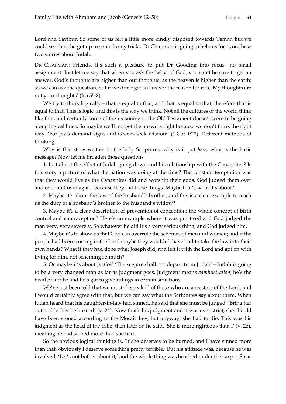Lord and Saviour. So some of us felt a little more kindly disposed towards Tamar, but we could see that she got up to some funny tricks. Dr Chapman is going to help us focus on these two stories about Judah.

DR CHAPMAN: Friends, it's such a pleasure to put Dr Gooding into focus—no small assignment! Just let me say that when you ask the 'why' of God, you can't be sure to get an answer. God's thoughts are higher than our thoughts, as the heaven is higher than the earth; so we can ask the question, but if we don't get an answer the reason for it is, 'My thoughts are not your thoughts' (Isa 55:8).

We try to think logically—that is equal to that, and that is equal to that; therefore that is equal to that. This is logic, and this is the way we think. Not all the cultures of the world think like that, and certainly some of the reasoning in the Old Testament doesn't seem to be going along logical lines. So maybe we'll not get the answers right because we don't think the right way. 'For Jews demand signs and Greeks seek wisdom' (1 Cor 1:22). Different methods of thinking.

Why is this story written in the holy Scriptures; why is it put *here*; what is the basic message? Now let me broaden those questions:

1. Is it about the effect of Judah going down and his relationship with the Canaanites? Is this story a picture of what the nation was doing at the time? The constant temptation was that they would live as the Canaanites did and worship their gods. God judged them over and over and over again, because they did these things. Maybe that's what it's about?

2. Maybe it's about the law of the husband's brother, and this is a clear example to teach us the duty of a husband's brother to the husband's widow?

3. Maybe it's a clear description of prevention of conception; the whole concept of birth control and contraception? Here's an example where it was practised and God judged the man very, very severely. So whatever he did it's a very serious thing, and God judged him.

4. Maybe it's to show us that God can overrule the schemes of men and women; and if the people had been trusting in the Lord maybe they wouldn't have had to take the law into their own hands? What if they had done what Joseph did, and left it with the Lord and got on with living for him, not scheming so much?

5. Or maybe it's about *justice*? 'The sceptre shall not depart from Judah'—Judah is going to be a very changed man as far as judgment goes. Judgment means *administration*; he's the head of a tribe and he's got to give rulings in certain situations.

We've just been told that we mustn't speak ill of those who are ancestors of the Lord, and I would certainly agree with that, but we can say what the Scriptures say about them. When Judah heard that his daughter-in-law had sinned, he said that she must be judged. 'Bring her out and let her be burned' (v. 24). Now that's his judgment and it was over strict; she should have been stoned according to the Mosaic law, but anyway, she had to die. This was his judgment as the head of the tribe; then later on he said, 'She is more righteous than I' (v. 26), meaning he had sinned more than she had.

So the obvious logical thinking is, 'If she deserves to be burned, and I have sinned more than that, obviously I deserve something pretty terrible.' But his attitude was, because he was involved, 'Let's not bother about it,' and the whole thing was brushed under the carpet. So as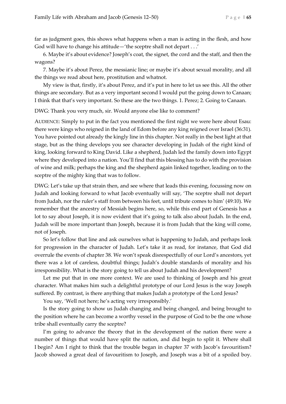far as judgment goes, this shows what happens when a man is acting in the flesh, and how God will have to change his attitude—'the sceptre shall not depart . . .'

6. Maybe it's about evidence? Joseph's coat, the signet, the cord and the staff, and then the wagons?

7. Maybe it's about Perez, the messianic line; or maybe it's about sexual morality, and all the things we read about here, prostitution and whatnot.

My view is that, firstly, it's about Perez, and it's put in here to let us see this. All the other things are secondary. But as a very important second I would put the going down to Canaan; I think that that's very important. So these are the two things. 1. Perez; 2. Going to Canaan.

DWG: Thank you very much, sir. Would anyone else like to comment?

AUDIENCE: Simply to put in the fact you mentioned the first night we were here about Esau: there were kings who reigned in the land of Edom before any king reigned over Israel (36:31). You have pointed out already the kingly line in this chapter. Not really in the best light at that stage, but as the thing develops you see character developing in Judah of the right kind of king, looking forward to King David. Like a shepherd, Judah led the family down into Egypt where they developed into a nation. You'll find that this blessing has to do with the provision of wine and milk; perhaps the king and the shepherd again linked together, leading on to the sceptre of the mighty king that was to follow.

DWG: Let's take up that strain then, and see where that leads this evening, focussing now on Judah and looking forward to what Jacob eventually will say, 'The sceptre shall not depart from Judah, nor the ruler's staff from between his feet, until tribute comes to him' (49:10). We remember that the ancestry of Messiah begins here, so, while this end part of Genesis has a lot to say about Joseph, it is now evident that it's going to talk also about Judah. In the end, Judah will be more important than Joseph, because it is from Judah that the king will come, not of Joseph.

So let's follow that line and ask ourselves what is happening to Judah, and perhaps look for progression in the character of Judah. Let's take it as read, for instance, that God did overrule the events of chapter 38. We won't speak disrespectfully of our Lord's ancestors, yet there was a lot of careless, doubtful things; Judah's double standards of morality and his irresponsibility. What is the story going to tell us about Judah and his development?

Let me put that in one more context. We are used to thinking of Joseph and his great character. What makes him such a delightful prototype of our Lord Jesus is the way Joseph suffered. By contrast, is there anything that makes Judah a prototype of the Lord Jesus?

You say, 'Well not here; he's acting very irresponsibly.'

Is the story going to show us Judah changing and being changed, and being brought to the position where he can become a worthy vessel in the purpose of God to be the one whose tribe shall eventually carry the sceptre?

I'm going to advance the theory that in the development of the nation there were a number of things that would have split the nation, and did begin to split it. Where shall I begin? Am I right to think that the trouble began in chapter 37 with Jacob's favouritism? Jacob showed a great deal of favouritism to Joseph, and Joseph was a bit of a spoiled boy.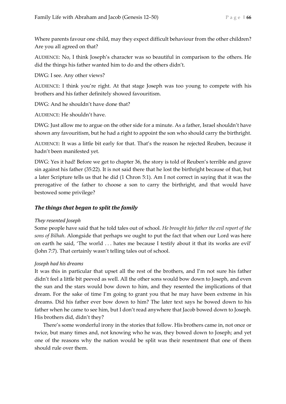Where parents favour one child, may they expect difficult behaviour from the other children? Are you all agreed on that?

AUDIENCE: No, I think Joseph's character was so beautiful in comparison to the others. He did the things his father wanted him to do and the others didn't.

DWG: I see. Any other views?

AUDIENCE: I think you're right. At that stage Joseph was too young to compete with his brothers and his father definitely showed favouritism.

DWG: And he shouldn't have done that?

AUDIENCE: He shouldn't have.

DWG: Just allow me to argue on the other side for a minute. As a father, Israel shouldn't have shown any favouritism, but he had a right to appoint the son who should carry the birthright.

AUDIENCE: It was a little bit early for that. That's the reason he rejected Reuben, because it hadn't been manifested yet.

DWG: Yes it had! Before we get to chapter 36, the story is told of Reuben's terrible and grave sin against his father (35:22). It is not said there that he lost the birthright because of that, but a later Scripture tells us that he did (1 Chron 5:1). Am I not correct in saying that it was the prerogative of the father to choose a son to carry the birthright, and that would have bestowed some privilege?

# *The things that began to split the family*

## *They resented Joseph*

Some people have said that he told tales out of school. *He brought his father the evil report of the sons of Bilhah*. Alongside that perhaps we ought to put the fact that when our Lord was here on earth he said, 'The world . . . hates me because I testify about it that its works are evil' (John 7:7). That certainly wasn't telling tales out of school.

## *Joseph had his dreams*

It was this in particular that upset all the rest of the brothers, and I'm not sure his father didn't feel a little bit peeved as well. All the other sons would bow down to Joseph, and even the sun and the stars would bow down to him, and they resented the implications of that dream. For the sake of time I'm going to grant you that he may have been extreme in his dreams. Did his father ever bow down to him? The later text says he bowed down to his father when he came to see him, but I don't read anywhere that Jacob bowed down to Joseph. His brothers did, didn't they?

There's some wonderful irony in the stories that follow. His brothers came in, not once or twice, but many times and, not knowing who he was, they bowed down to Joseph; and yet one of the reasons why the nation would be split was their resentment that one of them should rule over them.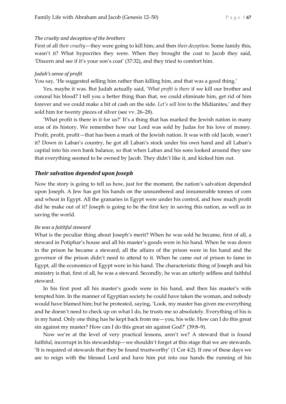### *The cruelty and deception of the brothers*

First of all *their cruelty*—they were going to kill him; and then *their deception*. Some family this, wasn't it? What hypocrites they were. When they brought the coat to Jacob they said, 'Discern and see if it's your son's coat' (37:32), and they tried to comfort him.

### *Judah's sense of profit*

You say, 'He suggested selling him rather than killing him, and that was a good thing.'

Yes, maybe it was. But Judah actually said, '*What profit is there* if we kill our brother and conceal his blood? I tell you a better thing than that, we could eliminate him, get rid of him forever and we could make a bit of cash on the side. *Let's sell him* to the Midianites,' and they sold him for twenty pieces of silver (see vv. 26–28).

'What profit is there in it for us?' It's a thing that has marked the Jewish nation in many eras of its history. We remember how our Lord was sold by Judas for his love of money. Profit, profit, profit—that has been a mark of the Jewish nation. It was with old Jacob, wasn't it? Down in Laban's country, he got all Laban's stock under his own hand and all Laban's capital into his own bank balance, so that when Laban and his sons looked around they saw that everything seemed to be owned by Jacob. They didn't like it, and kicked him out.

### *Their salvation depended upon Joseph*

Now the story is going to tell us how, just for the moment, the nation's salvation depended upon Joseph. A Jew has got his hands on the unnumbered and innumerable tonnes of corn and wheat in Egypt. All the granaries in Egypt were under his control, and how much profit did he make out of it? Joseph is going to be the first key in saving this nation, as well as in saving the world.

#### *He was a faithful steward*

What is the peculiar thing about Joseph's merit? When he was sold he became, first of all, a steward in Potiphar's house and all his master's goods were in his hand. When he was down in the prison he became a steward; all the affairs of the prison were in his hand and the governor of the prison didn't need to attend to it. When he came out of prison to fame in Egypt, all the economics of Egypt were in his hand. The characteristic thing of Joseph and his ministry is that, first of all, he was a steward. Secondly, he was an utterly selfless and faithful steward.

In his first post all his master's goods were in his hand, and then his master's wife tempted him. In the manner of Egyptian society he could have taken the woman, and nobody would have blamed him; but he protested, saying, 'Look, my master has given me everything and he doesn't need to check up on what I do, he trusts me so absolutely. Everything of his is in my hand. Only one thing has he kept back from me—you, his wife. How can I do this great sin against my master? How can I do this great sin against God?' (39:8–9).

Now we're at the level of very practical lessons, aren't we? A steward that is found faithful, incorrupt in his stewardship—we shouldn't forget at this stage that we are stewards. 'It is required of stewards that they be found trustworthy' (1 Cor 4:2). If one of these days we are to reign with the blessed Lord and have him put into our hands the running of his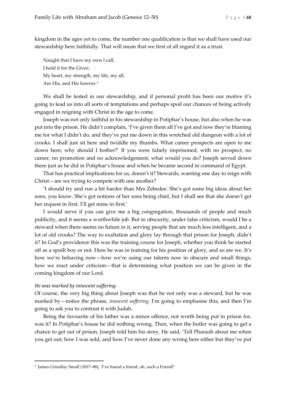kingdom in the ages yet to come, the number one qualification is that we shall have used our stewardship here faithfully. That will mean that we first of all regard it as a trust.

Naught that I have my own I call, I hold it for the Giver; My heart, my strength, my life, my all, Are His, and His forever.[5](#page-67-0)

We shall be tested in our stewardship, and if personal profit has been our motive it's going to lead us into all sorts of temptations and perhaps spoil our chances of being actively engaged in reigning with Christ in the age to come.

Joseph was not only faithful in his stewardship in Potiphar's house, but also when he was put into the prison. He didn't complain, 'I've given them all I've got and now they're blaming me for what I didn't do, and they've put me down in this wretched old dungeon with a lot of crooks. I shall just sit here and twiddle my thumbs. What career prospects are open to me down here; why should I bother?' If you were falsely imprisoned, with no prospect, no career, no promotion and no acknowledgement, what would you do? Joseph served down there just as he did in Potiphar's house and when he became second in command of Egypt.

That has practical implications for us, doesn't it? Stewards, wanting one day to reign with Christ—are we trying to compete with one another?

'I should try and run a bit harder than Mrs Zebedee. She's got some big ideas about her sons, you know. She's got notions of her sons being chief, but I shall see that she doesn't get her request in first. I'll get mine in first.'

I would serve if you can give me a big congregation, thousands of people and much publicity, and it seems a worthwhile job. But in obscurity, under false criticism, would I be a steward when there seems no future in it, serving people that are much less intelligent, and a lot of old crooks? The way to exaltation and glory lay through that prison for Joseph, didn't it? In God's providence this was the training course for Joseph, whether you think he started off as a spoilt boy or not. Here he was in training for his position of glory, and so are we. It's how we're behaving now—how we're using our talents now in obscure and small things, how we react under criticism—that is determining what position we can be given in the coming kingdom of our Lord.

### *He was marked by innocent suffering*

Of course, the very big thing about Joseph was that he not only was a steward, but he was marked by—notice the phrase, *innocent suffering*. I'm going to emphasise this, and then I'm going to ask you to contrast it with Judah.

Being the favourite of his father was a minor offence, not worth being put in prison for, was it? In Potiphar's house he did nothing wrong. Then, when the butler was going to get a chance to get out of prison, Joseph told him his story. He said, 'Tell Pharaoh about me when you get out; how I was sold, and how I've never done any wrong here either but they've put

<span id="page-67-0"></span> <sup>5</sup> James Grindlay Small (1817–88), 'I've found a friend, oh, such a Friend!'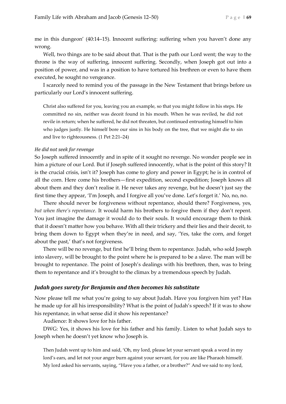me in this dungeon' (40:14–15). Innocent suffering: suffering when you haven't done any wrong.

Well, two things are to be said about that. That is the path our Lord went; the way to the throne is the way of suffering, innocent suffering. Secondly, when Joseph got out into a position of power, and was in a position to have tortured his brethren or even to have them executed, he sought no vengeance.

I scarcely need to remind you of the passage in the New Testament that brings before us particularly our Lord's innocent suffering.

Christ also suffered for you, leaving you an example, so that you might follow in his steps. He committed no sin, neither was deceit found in his mouth. When he was reviled, he did not revile in return; when he suffered, he did not threaten, but continued entrusting himself to him who judges justly. He himself bore our sins in his body on the tree, that we might die to sin and live to righteousness. (1 Pet 2:21–24)

#### *He did not seek for revenge*

So Joseph suffered innocently and in spite of it sought no revenge. No wonder people see in him a picture of our Lord. But if Joseph suffered innocently, what is the point of this story? It is the crucial crisis, isn't it? Joseph has come to glory and power in Egypt; he is in control of all the corn. Here come his brothers—first expedition, second expedition; Joseph knows all about them and they don't realise it. He never takes any revenge, but he doesn't just say the first time they appear, 'I'm Joseph, and I forgive all you've done. Let's forget it.' No, no, no.

There should never be forgiveness without repentance, should there? Forgiveness, yes, *but when there's repentance*. It would harm his brothers to forgive them if they don't repent. You just imagine the damage it would do to their souls. It would encourage them to think that it doesn't matter how you behave. With all their trickery and their lies and their deceit, to bring them down to Egypt when they're in need, and say, 'Yes, take the corn, and forget about the past,' that's not forgiveness.

There will be no revenge, but first he'll bring them to repentance. Judah, who sold Joseph into slavery, will be brought to the point where he is prepared to be a slave. The man will be brought to repentance. The point of Joseph's dealings with his brethren, then, was to bring them to repentance and it's brought to the climax by a tremendous speech by Judah.

### *Judah goes surety for Benjamin and then becomes his substitute*

Now please tell me what you're going to say about Judah. Have you forgiven him yet? Has he made up for all his irresponsibility? What is the point of Judah's speech? If it was to show his repentance, in what sense did it show his repentance?

Audience: It shows love for his father.

DWG: Yes, it shows his love for his father and his family. Listen to what Judah says to Joseph when he doesn't yet know who Joseph is.

Then Judah went up to him and said, 'Oh, my lord, please let your servant speak a word in my lord's ears, and let not your anger burn against your servant, for you are like Pharaoh himself. My lord asked his servants, saying, "Have you a father, or a brother?" And we said to my lord,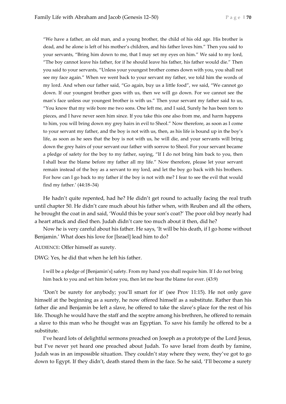"We have a father, an old man, and a young brother, the child of his old age. His brother is dead, and he alone is left of his mother's children, and his father loves him." Then you said to your servants, "Bring him down to me, that I may set my eyes on him." We said to my lord, "The boy cannot leave his father, for if he should leave his father, his father would die." Then you said to your servants, "Unless your youngest brother comes down with you, you shall not see my face again." When we went back to your servant my father, we told him the words of my lord. And when our father said, "Go again, buy us a little food", we said, "We cannot go down. If our youngest brother goes with us, then we will go down. For we cannot see the man's face unless our youngest brother is with us." Then your servant my father said to us, "You know that my wife bore me two sons. One left me, and I said, Surely he has been torn to pieces, and I have never seen him since. If you take this one also from me, and harm happens to him, you will bring down my grey hairs in evil to Sheol." Now therefore, as soon as I come to your servant my father, and the boy is not with us, then, as his life is bound up in the boy's life, as soon as he sees that the boy is not with us, he will die, and your servants will bring down the grey hairs of your servant our father with sorrow to Sheol. For your servant became a pledge of safety for the boy to my father, saying, "If I do not bring him back to you, then I shall bear the blame before my father all my life." Now therefore, please let your servant remain instead of the boy as a servant to my lord, and let the boy go back with his brothers. For how can I go back to my father if the boy is not with me? I fear to see the evil that would find my father.' (44:18–34)

He hadn't quite repented, had he? He didn't get round to actually facing the real truth until chapter 50. He didn't care much about his father when, with Reuben and all the others, he brought the coat in and said, 'Would this be your son's coat?' The poor old boy nearly had a heart attack and died then. Judah didn't care too much about it then, did he?

Now he is very careful about his father. He says, 'It will be his death, if I go home without Benjamin.' What does his love for [Israel] lead him to do?

AUDIENCE: Offer himself as surety.

DWG: Yes, he did that when he left his father.

I will be a pledge of [Benjamin's] safety. From my hand you shall require him. If I do not bring him back to you and set him before you, then let me bear the blame for ever. (43:9)

'Don't be surety for anybody; you'll smart for it' (see Prov 11:15). He not only gave himself at the beginning as a surety, he now offered himself as a substitute. Rather than his father die and Benjamin be left a slave, he offered to take the slave's place for the rest of his life. Though he would have the staff and the sceptre among his brethren, he offered to remain a slave to this man who he thought was an Egyptian. To save his family he offered to be a substitute.

I've heard lots of delightful sermons preached on Joseph as a prototype of the Lord Jesus, but I've never yet heard one preached about Judah. To save Israel from death by famine, Judah was in an impossible situation. They couldn't stay where they were, they've got to go down to Egypt. If they didn't, death stared them in the face. So he said, 'I'll become a surety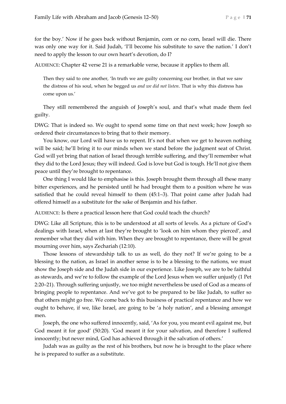for the boy.' Now if he goes back without Benjamin, corn or no corn, Israel will die. There was only one way for it. Said Judah, 'I'll become his substitute to save the nation.' I don't need to apply the lesson to our own heart's devotion, do I?

AUDIENCE: Chapter 42 verse 21 is a remarkable verse, because it applies to them all.

Then they said to one another, 'In truth we are guilty concerning our brother, in that we saw the distress of his soul, when he begged us *and we did not listen*. That is why this distress has come upon us.'

They still remembered the anguish of Joseph's soul, and that's what made them feel guilty.

DWG: That is indeed so. We ought to spend some time on that next week; how Joseph so ordered their circumstances to bring that to their memory.

You know, our Lord will have us to repent. It's not that when we get to heaven nothing will be said; he'll bring it to our minds when we stand before the judgment seat of Christ. God will yet bring that nation of Israel through terrible suffering, and they'll remember what they did to the Lord Jesus; they will indeed. God is love but God is tough. He'll not give them peace until they're brought to repentance.

One thing I would like to emphasise is this. Joseph brought them through all these many bitter experiences, and he persisted until he had brought them to a position where he was satisfied that he could reveal himself to them (45:1–3). That point came after Judah had offered himself as a substitute for the sake of Benjamin and his father.

AUDIENCE: Is there a practical lesson here that God could teach the church?

DWG: Like all Scripture, this is to be understood at all sorts of levels. As a picture of God's dealings with Israel, when at last they're brought to 'look on him whom they pierced', and remember what they did with him. When they are brought to repentance, there will be great mourning over him, says Zechariah (12:10).

Those lessons of stewardship talk to us as well, do they not? If we're going to be a blessing to the nation, as Israel in another sense is to be a blessing to the nations, we must show the Joseph side and the Judah side in our experience. Like Joseph, we are to be faithful as stewards, and we're to follow the example of the Lord Jesus when we suffer unjustly (1 Pet 2:20–21). Through suffering unjustly, we too might nevertheless be used of God as a means of bringing people to repentance. And we've got to be prepared to be like Judah, to suffer so that others might go free. We come back to this business of practical repentance and how we ought to behave, if we, like Israel, are going to be 'a holy nation', and a blessing amongst men.

Joseph, the one who suffered innocently, said, 'As for you, you meant evil against me, but God meant it for good' (50:20). 'God meant it for your salvation, and therefore I suffered innocently; but never mind, God has achieved through it the salvation of others.'

Judah was as guilty as the rest of his brothers, but now he is brought to the place where he is prepared to suffer as a substitute.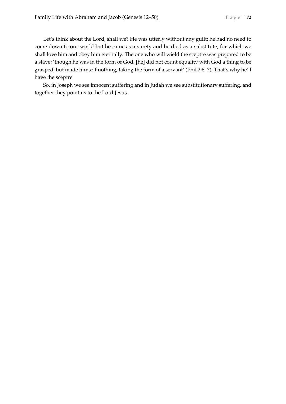Let's think about the Lord, shall we? He was utterly without any guilt; he had no need to come down to our world but he came as a surety and he died as a substitute, for which we shall love him and obey him eternally. The one who will wield the sceptre was prepared to be a slave; 'though he was in the form of God, [he] did not count equality with God a thing to be grasped, but made himself nothing, taking the form of a servant' (Phil 2:6–7). That's why he'll have the sceptre.

So, in Joseph we see innocent suffering and in Judah we see substitutionary suffering, and together they point us to the Lord Jesus.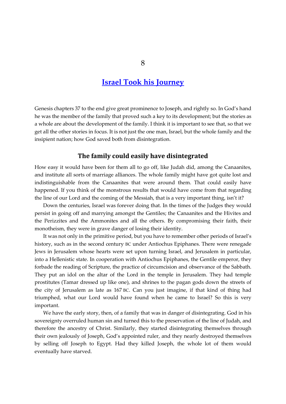## **[Israel Took his Journey](#page-1-0)**

Genesis chapters 37 to the end give great prominence to Joseph, and rightly so. In God's hand he was the member of the family that proved such a key to its development; but the stories as a whole are about the development of the family. I think it is important to see that, so that we get all the other stories in focus. It is not just the one man, Israel, but the whole family and the insipient nation; how God saved both from disintegration.

#### **The family could easily have disintegrated**

How easy it would have been for them all to go off, like Judah did, among the Canaanites, and institute all sorts of marriage alliances. The whole family might have got quite lost and indistinguishable from the Canaanites that were around them. That could easily have happened. If you think of the monstrous results that would have come from that regarding the line of our Lord and the coming of the Messiah, that is a very important thing, isn't it?

Down the centuries, Israel was forever doing that. In the times of the Judges they would persist in going off and marrying amongst the Gentiles; the Canaanites and the Hivites and the Perizzites and the Ammonites and all the others. By compromising their faith, their monotheism, they were in grave danger of losing their identity.

It was not only in the primitive period, but you have to remember other periods of Israel's history, such as in the second century BC under Antiochus Epiphanes. There were renegade Jews in Jerusalem whose hearts were set upon turning Israel, and Jerusalem in particular, into a Hellenistic state. In cooperation with Antiochus Epiphanes, the Gentile emperor, they forbade the reading of Scripture, the practice of circumcision and observance of the Sabbath. They put an idol on the altar of the Lord in the temple in Jerusalem. They had temple prostitutes (Tamar dressed up like one), and shrines to the pagan gods down the streets of the city of Jerusalem as late as 167 BC. Can you just imagine, if that kind of thing had triumphed, what our Lord would have found when he came to Israel? So this is very important.

We have the early story, then, of a family that was in danger of disintegrating. God in his sovereignty overruled human sin and turned this to the preservation of the line of Judah, and therefore the ancestry of Christ. Similarly, they started disintegrating themselves through their own jealously of Joseph, God's appointed ruler, and they nearly destroyed themselves by selling off Joseph to Egypt. Had they killed Joseph, the whole lot of them would eventually have starved.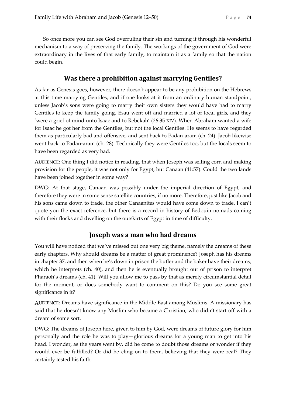So once more you can see God overruling their sin and turning it through his wonderful mechanism to a way of preserving the family. The workings of the government of God were extraordinary in the lives of that early family, to maintain it as a family so that the nation could begin.

### **Was there a prohibition against marrying Gentiles?**

As far as Genesis goes, however, there doesn't appear to be any prohibition on the Hebrews at this time marrying Gentiles, and if one looks at it from an ordinary human standpoint, unless Jacob's sons were going to marry their own sisters they would have had to marry Gentiles to keep the family going. Esau went off and married a lot of local girls, and they 'were a grief of mind unto Isaac and to Rebekah' (26:35 KJV). When Abraham wanted a wife for Isaac he got her from the Gentiles, but not the local Gentiles. He seems to have regarded them as particularly bad and offensive, and sent back to Padan-aram (ch. 24). Jacob likewise went back to Padan-aram (ch. 28). Technically they were Gentiles too, but the locals seem to have been regarded as very bad.

AUDIENCE: One thing I did notice in reading, that when Joseph was selling corn and making provision for the people, it was not only for Egypt, but Canaan (41:57). Could the two lands have been joined together in some way?

DWG: At that stage, Canaan was possibly under the imperial direction of Egypt, and therefore they were in some sense satellite countries, if no more. Therefore, just like Jacob and his sons came down to trade, the other Canaanites would have come down to trade. I can't quote you the exact reference, but there is a record in history of Bedouin nomads coming with their flocks and dwelling on the outskirts of Egypt in time of difficulty.

### **Joseph was a man who had dreams**

You will have noticed that we've missed out one very big theme, namely the dreams of these early chapters. Why should dreams be a matter of great prominence? Joseph has his dreams in chapter 37, and then when he's down in prison the butler and the baker have their dreams, which he interprets (ch. 40), and then he is eventually brought out of prison to interpret Pharaoh's dreams (ch. 41). Will you allow me to pass by that as merely circumstantial detail for the moment, or does somebody want to comment on this? Do you see some great significance in it?

AUDIENCE: Dreams have significance in the Middle East among Muslims. A missionary has said that he doesn't know any Muslim who became a Christian, who didn't start off with a dream of some sort.

DWG: The dreams of Joseph here, given to him by God, were dreams of future glory for him personally and the role he was to play—glorious dreams for a young man to get into his head. I wonder, as the years went by, did he come to doubt those dreams or wonder if they would ever be fulfilled? Or did he cling on to them, believing that they were real? They certainly tested his faith.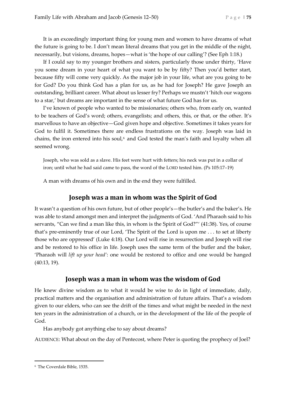It is an exceedingly important thing for young men and women to have dreams of what the future is going to be. I don't mean literal dreams that you get in the middle of the night, necessarily, but visions, dreams, hopes—what is 'the hope of our calling'? (See Eph 1:18.)

If I could say to my younger brothers and sisters, particularly those under thirty, 'Have you some dream in your heart of what you want to be by fifty? Then you'd better start, because fifty will come very quickly. As the major job in your life, what are you going to be for God? Do you think God has a plan for us, as he had for Joseph? He gave Joseph an outstanding, brilliant career. What about us lesser fry? Perhaps we mustn't 'hitch our wagons to a star,' but dreams are important in the sense of what future God has for us.

I've known of people who wanted to be missionaries; others who, from early on, wanted to be teachers of God's word; others, evangelists; and others, this, or that, or the other. It's marvellous to have an objective—God given hope and objective. Sometimes it takes years for God to fulfil it. Sometimes there are endless frustrations on the way. Joseph was laid in chains, the iron entered into his soul, $6$  and God tested the man's faith and loyalty when all seemed wrong.

Joseph, who was sold as a slave. His feet were hurt with fetters; his neck was put in a collar of iron; until what he had said came to pass, the word of the LORD tested him. (Ps 105:17–19)

A man with dreams of his own and in the end they were fulfilled.

### **Joseph was a man in whom was the Spirit of God**

It wasn't a question of his own future, but of other people's—the butler's and the baker's. He was able to stand amongst men and interpret the judgments of God. 'And Pharaoh said to his servants, "Can we find a man like this, in whom is the Spirit of God?"' (41:38). Yes, of course that's pre-eminently true of our Lord, 'The Spirit of the Lord is upon me . . . to set at liberty those who are oppressed' (Luke 4:18). Our Lord will rise in resurrection and Joseph will rise and be restored to his office in life. Joseph uses the same term of the butler and the baker, 'Pharaoh will *lift up your head'*: one would be restored to office and one would be hanged (40:13, 19).

### **Joseph was a man in whom was the wisdom of God**

He knew divine wisdom as to what it would be wise to do in light of immediate, daily, practical matters and the organisation and administration of future affairs. That's a wisdom given to our elders, who can see the drift of the times and what might be needed in the next ten years in the administration of a church, or in the development of the life of the people of God.

Has anybody got anything else to say about dreams?

AUDIENCE: What about on the day of Pentecost, where Peter is quoting the prophecy of Joel?

<span id="page-74-0"></span> <sup>6</sup> The Coverdale Bible, 1535.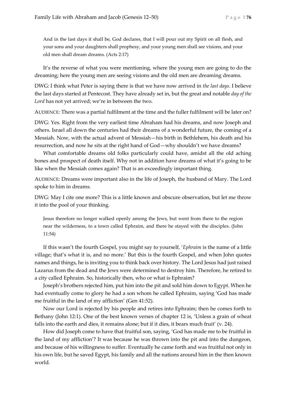And in the last days it shall be, God declares, that I will pour out my Spirit on all flesh, and your sons and your daughters shall prophesy, and your young men shall see visions, and your old men shall dream dreams. (Acts 2:17)

It's the reverse of what you were mentioning, where the young men are going to do the dreaming; here the young men are seeing visions and the old men are dreaming dreams.

DWG: I think what Peter is saying there is that we have now arrived in *the last days*. I believe the last days started at Pentecost. They have already set in, but the great and notable *day of the Lord* has not yet arrived; we're in between the two.

AUDIENCE: There was a partial fulfilment at the time and the fuller fulfilment will be later on?

DWG: Yes. Right from the very earliest time Abraham had his dreams, and now Joseph and others. Israel all down the centuries had their dreams of a wonderful future, the coming of a Messiah. Now, with the actual advent of Messiah—his birth in Bethlehem, his death and his resurrection, and now he sits at the right hand of God—why shouldn't we have dreams?

What comfortable dreams old folks particularly could have, amidst all the old aching bones and prospect of death itself. Why not in addition have dreams of what it's going to be like when the Messiah comes again? That is an exceedingly important thing.

AUDIENCE: Dreams were important also in the life of Joseph, the husband of Mary. The Lord spoke to him in dreams.

DWG: May I cite one more? This is a little known and obscure observation, but let me throw it into the pool of your thinking.

Jesus therefore no longer walked openly among the Jews, but went from there to the region near the wilderness, to a town called Ephraim, and there he stayed with the disciples. (John 11:54)

If this wasn't the fourth Gospel, you might say to yourself, '*Ephraim* is the name of a little village; that's what it is, and no more.' But this is the fourth Gospel, and when John quotes names and things, he is inviting you to think back over history. The Lord Jesus had just raised Lazarus from the dead and the Jews were determined to destroy him. Therefore, he retired to a city called Ephraim. So, historically then, who or what is Ephraim?

Joseph's brothers rejected him, put him into the pit and sold him down to Egypt. When he had eventually come to glory he had a son whom he called Ephraim, saying 'God has made me fruitful in the land of my affliction' (Gen 41:52).

Now our Lord is rejected by his people and retires into Ephraim; then he comes forth to Bethany (John 12:1). One of the best known verses of chapter 12 is, 'Unless a grain of wheat falls into the earth and dies, it remains alone; but if it dies, it bears much fruit'  $(v. 24)$ .

How did Joseph come to have that fruitful son, saying, 'God has made me to be fruitful in the land of my affliction'? It was because he was thrown into the pit and into the dungeon, and because of his willingness to suffer. Eventually he came forth and was fruitful not only in his own life, but he saved Egypt, his family and all the nations around him in the then known world.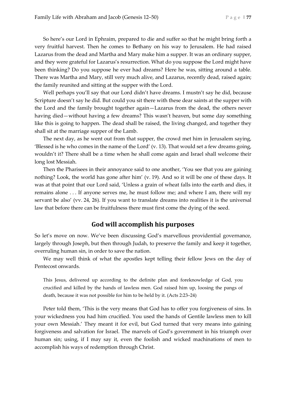So here's our Lord in Ephraim, prepared to die and suffer so that he might bring forth a very fruitful harvest. Then he comes to Bethany on his way to Jerusalem. He had raised Lazarus from the dead and Martha and Mary make him a supper. It was an ordinary supper, and they were grateful for Lazarus's resurrection. What do you suppose the Lord might have been thinking? Do you suppose he ever had dreams? Here he was, sitting around a table. There was Martha and Mary, still very much alive, and Lazarus, recently dead, raised again; the family reunited and sitting at the supper with the Lord.

Well perhaps you'll say that our Lord didn't have dreams. I mustn't say he did, because Scripture doesn't say he did. But could you sit there with these dear saints at the supper with the Lord and the family brought together again—Lazarus from the dead, the others never having died—without having a few dreams? This wasn't heaven, but some day something like this is going to happen. The dead shall be raised, the living changed, and together they shall sit at the marriage supper of the Lamb.

The next day, as he went out from that supper, the crowd met him in Jerusalem saying, 'Blessed is he who comes in the name of the Lord' (v. 13). That would set a few dreams going, wouldn't it? There shall be a time when he shall come again and Israel shall welcome their long lost Messiah.

Then the Pharisees in their annoyance said to one another, 'You see that you are gaining nothing? Look, the world has gone after him' (v. 19). And so it will be one of these days. It was at that point that our Lord said, 'Unless a grain of wheat falls into the earth and dies, it remains alone . . . If anyone serves me, he must follow me; and where I am, there will my servant be also' (vv. 24, 26). If you want to translate dreams into realities it is the universal law that before there can be fruitfulness there must first come the dying of the seed.

#### **God will accomplish his purposes**

So let's move on now. We've been discussing God's marvellous providential governance, largely through Joseph, but then through Judah, to preserve the family and keep it together, overruling human sin, in order to save the nation.

We may well think of what the apostles kept telling their fellow Jews on the day of Pentecost onwards.

This Jesus, delivered up according to the definite plan and foreknowledge of God, you crucified and killed by the hands of lawless men. God raised him up, loosing the pangs of death, because it was not possible for him to be held by it. (Acts 2:23–24)

Peter told them, 'This is the very means that God has to offer you forgiveness of sins. In your wickedness you had him crucified. You used the hands of Gentile lawless men to kill your own Messiah.' They meant it for evil, but God turned that very means into gaining forgiveness and salvation for Israel. The marvels of God's government in his triumph over human sin; using, if I may say it, even the foolish and wicked machinations of men to accomplish his ways of redemption through Christ.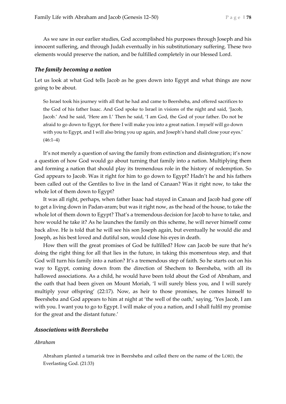As we saw in our earlier studies, God accomplished his purposes through Joseph and his innocent suffering, and through Judah eventually in his substitutionary suffering. These two elements would preserve the nation, and be fulfilled completely in our blessed Lord.

#### *The family becoming a nation*

Let us look at what God tells Jacob as he goes down into Egypt and what things are now going to be about.

So Israel took his journey with all that he had and came to Beersheba, and offered sacrifices to the God of his father Isaac. And God spoke to Israel in visions of the night and said, 'Jacob, Jacob.' And he said, 'Here am I.' Then he said, 'I am God, the God of your father. Do not be afraid to go down to Egypt, for there I will make you into a great nation. I myself will go down with you to Egypt, and I will also bring you up again, and Joseph's hand shall close your eyes.' (46:1–4)

It's not merely a question of saving the family from extinction and disintegration; it's now a question of how God would go about turning that family into a nation. Multiplying them and forming a nation that should play its tremendous role in the history of redemption. So God appears to Jacob. Was it right for him to go down to Egypt? Hadn't he and his fathers been called out of the Gentiles to live in the land of Canaan? Was it right now, to take the whole lot of them down to Egypt?

It was all right, perhaps, when father Isaac had stayed in Canaan and Jacob had gone off to get a living down in Padan-aram; but was it right now, as the head of the house, to take the whole lot of them down to Egypt? That's a tremendous decision for Jacob to have to take, and how would he take it? As he launches the family on this scheme, he will never himself come back alive. He is told that he will see his son Joseph again, but eventually he would die and Joseph, as his best loved and dutiful son, would close his eyes in death.

How then will the great promises of God be fulfilled? How can Jacob be sure that he's doing the right thing for all that lies in the future, in taking this momentous step, and that God will turn his family into a nation? It's a tremendous step of faith. So he starts out on his way to Egypt, coming down from the direction of Shechem to Beersheba, with all its hallowed associations. As a child, he would have been told about the God of Abraham, and the oath that had been given on Mount Moriah, 'I will surely bless you, and I will surely multiply your offspring' (22:17). Now, as heir to those promises, he comes himself to Beersheba and God appears to him at night at 'the well of the oath,' saying, 'Yes Jacob, I am with you. I want you to go to Egypt. I will make of you a nation, and I shall fulfil my promise for the great and the distant future.'

#### *Associations with Beersheba*

#### *Abraham*

Abraham planted a tamarisk tree in Beersheba and called there on the name of the LORD, the Everlasting God. (21:33)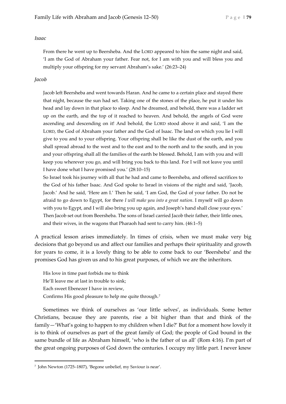#### *Isaac*

From there he went up to Beersheba. And the LORD appeared to him the same night and said, 'I am the God of Abraham your father. Fear not, for I am with you and will bless you and multiply your offspring for my servant Abraham's sake.' (26:23–24)

#### *Jacob*

Jacob left Beersheba and went towards Haran. And he came to a certain place and stayed there that night, because the sun had set. Taking one of the stones of the place, he put it under his head and lay down in that place to sleep. And he dreamed, and behold, there was a ladder set up on the earth, and the top of it reached to heaven. And behold, the angels of God were ascending and descending on it! And behold, the LORD stood above it and said, 'I am the LORD, the God of Abraham your father and the God of Isaac. The land on which you lie I will give to you and to your offspring. Your offspring shall be like the dust of the earth, and you shall spread abroad to the west and to the east and to the north and to the south, and in you and your offspring shall all the families of the earth be blessed. Behold, I am with you and will keep you wherever you go, and will bring you back to this land. For I will not leave you until I have done what I have promised you.' (28:10–15)

So Israel took his journey with all that he had and came to Beersheba, and offered sacrifices to the God of his father Isaac. And God spoke to Israel in visions of the night and said, 'Jacob, Jacob.' And he said, 'Here am I.' Then he said, 'I am God, the God of your father. Do not be afraid to go down to Egypt, for there *I will make you into a great nation*. I myself will go down with you to Egypt, and I will also bring you up again, and Joseph's hand shall close your eyes.' Then Jacob set out from Beersheba. The sons of Israel carried Jacob their father, their little ones, and their wives, in the wagons that Pharaoh had sent to carry him. (46:1–5)

A practical lesson arises immediately. In times of crisis, when we must make very big decisions that go beyond us and affect our families and perhaps their spirituality and growth for years to come, it is a lovely thing to be able to come back to our 'Beersheba' and the promises God has given us and to his great purposes, of which we are the inheritors.

His love in time past forbids me to think He'll leave me at last in trouble to sink; Each sweet Ebenezer I have in review, Confirms His good pleasure to help me quite through.[7](#page-78-0)

Sometimes we think of ourselves as 'our little selves', as individuals. Some better Christians, because they are parents, rise a bit higher than that and think of the family—'What's going to happen to my children when I die?' But for a moment how lovely it is to think of ourselves as part of the great family of God; the people of God bound in the same bundle of life as Abraham himself, 'who is the father of us all' (Rom 4:16). I'm part of the great ongoing purposes of God down the centuries. I occupy my little part. I never knew

<span id="page-78-0"></span> <sup>7</sup> John Newton (1725–1807), 'Begone unbelief, my Saviour is near'.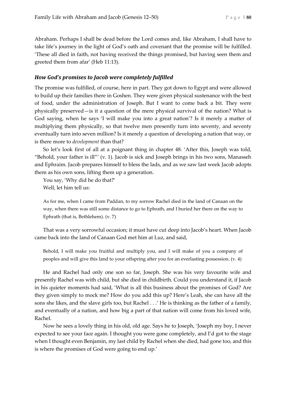Abraham. Perhaps I shall be dead before the Lord comes and, like Abraham, I shall have to take life's journey in the light of God's oath and covenant that the promise will be fulfilled. 'These all died in faith, not having received the things promised, but having seen them and greeted them from afar' (Heb 11:13).

#### *How God's promises to Jacob were completely fulfilled*

The promise was fulfilled, of course, here in part. They got down to Egypt and were allowed to build up their families there in Goshen. They were given physical sustenance with the best of food, under the administration of Joseph. But I want to come back a bit. They were physically preserved—is it a question of the mere physical survival of the nation? What is God saying, when he says 'I will make you into a great nation'? Is it merely a matter of multiplying them physically, so that twelve men presently turn into seventy, and seventy eventually turn into seven million? Is it merely a question of developing a nation that way, or is there more to *development* than that?

So let's look first of all at a poignant thing in chapter 48. 'After this, Joseph was told, "Behold, your father is ill"' (v. 1). Jacob is sick and Joseph brings in his two sons, Manasseh and Ephraim. Jacob prepares himself to bless the lads, and as we saw last week Jacob adopts them as his own sons, lifting them up a generation.

You say, 'Why did he do that?' Well, let him tell us:

As for me, when I came from Paddan, to my sorrow Rachel died in the land of Canaan on the way, when there was still some distance to go to Ephrath, and I buried her there on the way to Ephrath (that is, Bethlehem). (v. 7)

That was a very sorrowful occasion; it must have cut deep into Jacob's heart. When Jacob came back into the land of Canaan God met him at Luz, and said,

Behold, I will make you fruitful and multiply you, and I will make of you a company of peoples and will give this land to your offspring after you for an everlasting possession. (v. 4)

He and Rachel had only one son so far, Joseph. She was his very favourite wife and presently Rachel was with child, but she died in childbirth. Could you understand it, if Jacob in his quieter moments had said, 'What is all this business about the promises of God? Are they given simply to mock me? How do you add this up? Here's Leah, she can have all the sons she likes, and the slave girls too, but Rachel . . .' He is thinking as the father of a family, and eventually of a nation, and how big a part of that nation will come from his loved wife, Rachel.

Now he sees a lovely thing in his old, old age. Says he to Joseph, 'Joseph my boy, I never expected to see your face again. I thought you were gone completely, and I'd got to the stage when I thought even Benjamin, my last child by Rachel when she died, had gone too, and this is where the promises of God were going to end up.'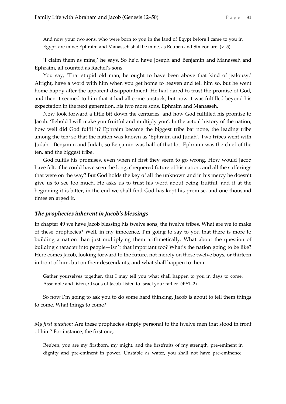And now your two sons, who were born to you in the land of Egypt before I came to you in Egypt, are mine; Ephraim and Manasseh shall be mine, as Reuben and Simeon are. (v. 5)

'I claim them as mine,' he says. So he'd have Joseph and Benjamin and Manasseh and Ephraim, all counted as Rachel's sons.

You say, 'That stupid old man, he ought to have been above that kind of jealousy.' Alright, have a word with him when you get home to heaven and tell him so, but he went home happy after the apparent disappointment. He had dared to trust the promise of God, and then it seemed to him that it had all come unstuck, but now it was fulfilled beyond his expectation in the next generation, his two more sons, Ephraim and Manasseh.

Now look forward a little bit down the centuries, and how God fulfilled his promise to Jacob: 'Behold I will make you fruitful and multiply you'. In the actual history of the nation, how well did God fulfil it? Ephraim became the biggest tribe bar none, the leading tribe among the ten; so that the nation was known as 'Ephraim and Judah'. Two tribes went with Judah—Benjamin and Judah, so Benjamin was half of that lot. Ephraim was the chief of the ten, and the biggest tribe.

God fulfils his promises, even when at first they seem to go wrong. How would Jacob have felt, if he could have seen the long, chequered future of his nation, and all the sufferings that were on the way? But God holds the key of all the unknown and in his mercy he doesn't give us to see too much. He asks us to trust his word about being fruitful, and if at the beginning it is bitter, in the end we shall find God has kept his promise, and one thousand times enlarged it.

#### *The prophecies inherent in Jacob's blessings*

In chapter 49 we have Jacob blessing his twelve sons, the twelve tribes. What are we to make of these prophecies? Well, in my innocence, I'm going to say to you that there is more to building a nation than just multiplying them arithmetically. What about the question of building character into people—isn't that important too? What's the nation going to be like? Here comes Jacob, looking forward to the future, not merely on these twelve boys, or thirteen in front of him, but on their descendants, and what shall happen to them.

Gather yourselves together, that I may tell you what shall happen to you in days to come. Assemble and listen, O sons of Jacob, listen to Israel your father. (49:1–2)

So now I'm going to ask you to do some hard thinking. Jacob is about to tell them things to come. What things to come?

*My first question:* Are these prophecies simply personal to the twelve men that stood in front of him? For instance, the first one,

Reuben, you are my firstborn, my might, and the firstfruits of my strength, pre-eminent in dignity and pre-eminent in power. Unstable as water, you shall not have pre-eminence,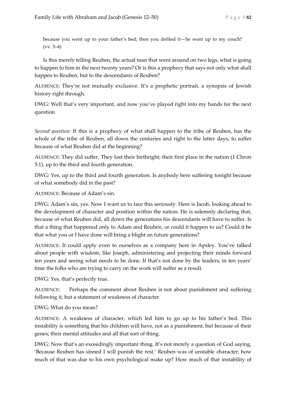because you went up to your father's bed; then you defiled it—he went up to my couch!' (vv. 3–4)

Is this merely telling Reuben, the actual man that went around on two legs, what is going to happen to him in the next twenty years? Or is this a prophecy that says not only what shall happen to Reuben, but to the descendants of Reuben?

AUDIENCE: They're not mutually exclusive. It's a prophetic portrait, a synopsis of Jewish history right through.

DWG: Well that's very important, and now you've played right into my hands for the next question.

*Second question:* If this is a prophecy of what shall happen to the tribe of Reuben, has the whole of the tribe of Reuben, all down the centuries and right to the latter days, to suffer because of what Reuben did at the beginning?

AUDIENCE: They did suffer. They lost their birthright; their first place in the nation (1 Chron 5:1), up to the third and fourth generation.

DWG: Yes, up to the third and fourth generation. Is anybody here suffering tonight because of what somebody did in the past?

AUDIENCE: Because of Adam's sin.

DWG: Adam's sin, yes. Now I want us to face this seriously. Here is Jacob, looking ahead to the development of character and position within the nation. He is solemnly declaring that, because of what Reuben did, all down the generations his descendants will have to suffer. Is that a thing that happened only to Adam and Reuben, or could it happen to us? Could it be that what you or I have done will bring a blight on future generations?

AUDIENCE: It could apply even to ourselves as a company here in Apsley. You've talked about people with wisdom, like Joseph, administering and projecting their minds forward ten years and seeing what needs to be done. If that's not done by the leaders, in ten years' time the folks who are trying to carry on the work will suffer as a result.

DWG: Yes, that's perfectly true.

AUDIENCE: Perhaps the comment about Reuben is not about punishment and suffering following it, but a statement of weakness of character.

### DWG: What do you mean?

AUDIENCE: A weakness of character, which led him to go up to his father's bed. This instability is something that his children will have, not as a punishment, but because of their genes; their mental attitudes and all that sort of thing.

DWG: Now that's an exceedingly important thing. It's not merely a question of God saying, 'Because Reuben has sinned I will punish the rest.' Reuben was of unstable character; how much of that was due to his own psychological make up? How much of that instability of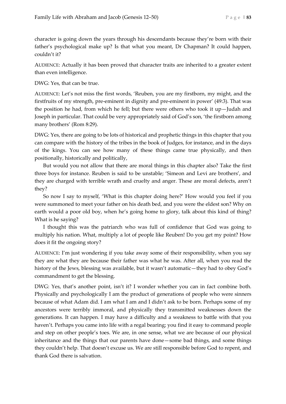character is going down the years through his descendants because they're born with their father's psychological make up? Is that what you meant, Dr Chapman? It could happen, couldn't it?

AUDIENCE: Actually it has been proved that character traits are inherited to a greater extent than even intelligence.

DWG: Yes, that can be true.

AUDIENCE: Let's not miss the first words, 'Reuben, you are my firstborn, my might, and the firstfruits of my strength, pre-eminent in dignity and pre-eminent in power' (49:3). That was the position he had, from which he fell; but there were others who took it up—Judah and Joseph in particular. That could be very appropriately said of God's son, 'the firstborn among many brothers' (Rom 8:29).

DWG: Yes, there are going to be lots of historical and prophetic things in this chapter that you can compare with the history of the tribes in the book of Judges, for instance, and in the days of the kings. You can see how many of these things came true physically, and then positionally, historically and politically,

But would you not allow that there are moral things in this chapter also? Take the first three boys for instance. Reuben is said to be unstable; 'Simeon and Levi are brothers', and they are charged with terrible wrath and cruelty and anger. These are moral defects, aren't they?

So now I say to myself, 'What is this chapter doing here?' How would you feel if you were summoned to meet your father on his death bed, and you were the eldest son? Why on earth would a poor old boy, when he's going home to glory, talk about this kind of thing? What is he saying?

I thought this was the patriarch who was full of confidence that God was going to multiply his nation. What, multiply a lot of people like Reuben! Do you get my point? How does it fit the ongoing story?

AUDIENCE: I'm just wondering if you take away some of their responsibility, when you say they are what they are because their father was what he was. After all, when you read the history of the Jews, blessing was available, but it wasn't automatic—they had to obey God's commandment to get the blessing.

DWG: Yes, that's another point, isn't it? I wonder whether you can in fact combine both. Physically and psychologically I am the product of generations of people who were sinners because of what Adam did. I am what I am and I didn't ask to be born. Perhaps some of my ancestors were terribly immoral, and physically they transmitted weaknesses down the generations. It can happen. I may have a difficulty and a weakness to battle with that you haven't. Perhaps you came into life with a regal bearing; you find it easy to command people and step on other people's toes. We are, in one sense, what we are because of our physical inheritance and the things that our parents have done—some bad things, and some things they couldn't help. That doesn't excuse us. We are still responsible before God to repent, and thank God there is salvation.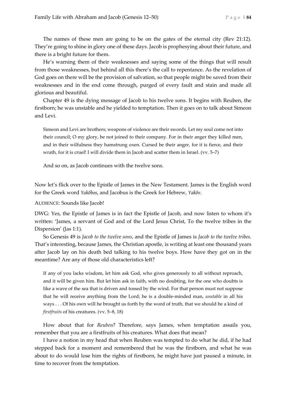The names of these men are going to be on the gates of the eternal city (Rev 21:12). They're going to shine in glory one of these days. Jacob is prophesying about their future, and there is a bright future for them.

He's warning them of their weaknesses and saying some of the things that will result from those weaknesses, but behind all this there's the call to repentance. As the revelation of God goes on there will be the provision of salvation, so that people might be saved from their weaknesses and in the end come through, purged of every fault and stain and made all glorious and beautiful.

Chapter 49 is the dying message of Jacob to his twelve sons. It begins with Reuben, the firstborn; he was unstable and he yielded to temptation. Then it goes on to talk about Simeon and Levi.

Simeon and Levi are brothers; weapons of violence are their swords. Let my soul come not into their council; O my glory, be not joined to their company. For in their anger they killed men, and in their wilfulness they hamstrung oxen. Cursed be their anger, for it is fierce, and their wrath, for it is cruel! I will divide them in Jacob and scatter them in Israel. (vv. 5–7)

And so on, as Jacob continues with the twelve sons.

Now let's flick over to the Epistle of James in the New Testament. James is the English word for the Greek word *Yakōbos*, and Jacobus is the Greek for Hebrew, *Yakōv*.

AUDIENCE: Sounds like Jacob!

DWG: Yes, the Epistle of James is in fact the Epistle of Jacob, and now listen to whom it's written: 'James, a servant of God and of the Lord Jesus Christ, To the twelve tribes in the Dispersion' (Jas 1:1).

So Genesis 49 is *Jacob to the twelve sons*, and the Epistle of James is *Jacob to the twelve tribes*. That's interesting, because James, the Christian apostle, is writing at least one thousand years after Jacob lay on his death bed talking to his twelve boys. How have they got on in the meantime? Are any of those old characteristics left?

If any of you lacks wisdom, let him ask God, who gives generously to all without reproach, and it will be given him. But let him ask in faith, with no doubting, for the one who doubts is like a wave of the sea that is driven and tossed by the wind. For that person must not suppose that he will receive anything from the Lord; he is a double-minded man, *unstable* in all his ways . . . Of his own will he brought us forth by the word of truth, that we should be a kind of *firstfruits* of his creatures. (vv. 5–8, 18)

How about that for *Reuben*? Therefore, says James, when temptation assails you, remember that you are a firstfruits of his creatures. What does that mean?

I have a notion in my head that when Reuben was tempted to do what he did, if he had stepped back for a moment and remembered that he was the firstborn, and what he was about to do would lose him the rights of firstborn, he might have just paused a minute, in time to recover from the temptation.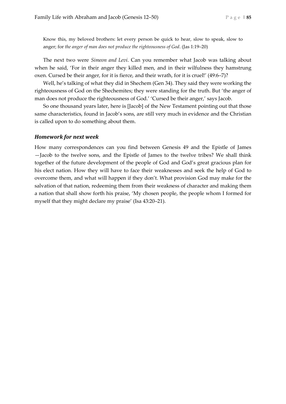Know this, my beloved brothers: let every person be quick to hear, slow to speak, slow to anger; for *the anger of man does not produce the righteousness of God*. (Jas 1:19–20)

The next two were *Simeon and Levi*. Can you remember what Jacob was talking about when he said, 'For in their anger they killed men, and in their wilfulness they hamstrung oxen. Cursed be their anger, for it is fierce, and their wrath, for it is cruel!' (49:6–7)?

Well, he's talking of what they did in Shechem (Gen 34). They said they were working the righteousness of God on the Shechemites; they were standing for the truth. But 'the anger of man does not produce the righteousness of God.' 'Cursed be their anger,' says Jacob.

So one thousand years later, here is [Jacob] of the New Testament pointing out that those same characteristics, found in Jacob's sons, are still very much in evidence and the Christian is called upon to do something about them.

#### *Homework for next week*

How many correspondences can you find between Genesis 49 and the Epistle of James —Jacob to the twelve sons, and the Epistle of James to the twelve tribes? We shall think together of the future development of the people of God and God's great gracious plan for his elect nation. How they will have to face their weaknesses and seek the help of God to overcome them, and what will happen if they don't. What provision God may make for the salvation of that nation, redeeming them from their weakness of character and making them a nation that shall show forth his praise, 'My chosen people, the people whom I formed for myself that they might declare my praise' (Isa 43:20–21).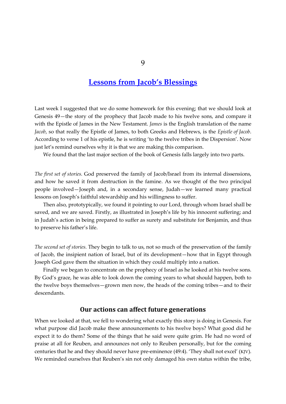## **[Lessons from Jacob's Blessings](#page-1-0)**

Last week I suggested that we do some homework for this evening; that we should look at Genesis 49—the story of the prophecy that Jacob made to his twelve sons, and compare it with the Epistle of James in the New Testament. *James* is the English translation of the name *Jacob*, so that really the Epistle of James, to both Greeks and Hebrews, is the *Epistle of Jacob*. According to verse 1 of his epistle, he is writing 'to the twelve tribes in the Dispersion'. Now just let's remind ourselves why it is that we are making this comparison.

We found that the last major section of the book of Genesis falls largely into two parts.

*The first set of stories.* God preserved the family of Jacob/Israel from its internal dissensions, and how he saved it from destruction in the famine. As we thought of the two principal people involved—Joseph and, in a secondary sense, Judah—we learned many practical lessons on Joseph's faithful stewardship and his willingness to suffer.

Then also, prototypically, we found it pointing to our Lord, through whom Israel shall be saved, and we are saved. Firstly, as illustrated in Joseph's life by his innocent suffering; and in Judah's action in being prepared to suffer as surety and substitute for Benjamin, and thus to preserve his father's life.

*The second set of stories.* They begin to talk to us, not so much of the preservation of the family of Jacob, the insipient nation of Israel, but of its development—how that in Egypt through Joseph God gave them the situation in which they could multiply into a nation.

Finally we began to concentrate on the prophecy of Israel as he looked at his twelve sons. By God's grace, he was able to look down the coming years to what should happen, both to the twelve boys themselves—grown men now, the heads of the coming tribes—and to their descendants.

#### **Our actions can affect future generations**

When we looked at that, we fell to wondering what exactly this story is doing in Genesis. For what purpose did Jacob make these announcements to his twelve boys? What good did he expect it to do them? Some of the things that he said were quite grim. He had no word of praise at all for Reuben, and announces not only to Reuben personally, but for the coming centuries that he and they should never have pre-eminence (49:4). 'They shall not excel' (KJV). We reminded ourselves that Reuben's sin not only damaged his own status within the tribe,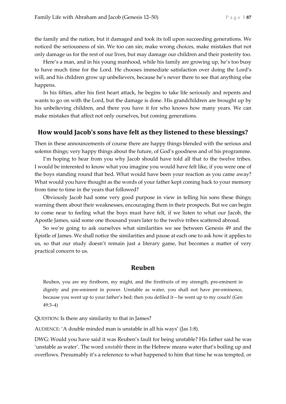the family and the nation, but it damaged and took its toll upon succeeding generations. We noticed the seriousness of sin. We too can sin; make wrong choices, make mistakes that not only damage us for the rest of our lives, but may damage our children and their posterity too.

Here's a man, and in his young manhood, while his family are growing up, he's too busy to have much time for the Lord. He chooses immediate satisfaction over doing the Lord's will, and his children grow up unbelievers, because he's never there to see that anything else happens.

In his fifties, after his first heart attack, he begins to take life seriously and repents and wants to go on with the Lord, but the damage is done. His grandchildren are brought up by his unbelieving children, and there you have it for who knows how many years. We can make mistakes that affect not only ourselves, but coming generations.

### **How would Jacob's sons have felt as they listened to these blessings?**

Then in these announcements of course there are happy things blended with the serious and solemn things; very happy things about the future, of God's goodness and of his programme.

I'm hoping to hear from you why Jacob should have told all that to the twelve tribes. I would be interested to know what you imagine you would have felt like, if you were one of the boys standing round that bed. What would have been your reaction as you came away? What would you have thought as the words of your father kept coming back to your memory from time to time in the years that followed?

Obviously Jacob had some very good purpose in view in telling his sons these things; warning them about their weaknesses, encouraging them in their prospects. But we can begin to come near to feeling what the boys must have felt, if we listen to what our Jacob, the Apostle James, said some one thousand years later to the twelve tribes scattered abroad.

So we're going to ask ourselves what similarities we see between Genesis 49 and the Epistle of James. We shall notice the similarities and pause at each one to ask how it applies to us, so that our study doesn't remain just a literary game, but becomes a matter of very practical concern to us.

### **Reuben**

Reuben, you are my firstborn, my might, and the firstfruits of my strength, pre-eminent in dignity and pre-eminent in power. Unstable as water, you shall not have pre-eminence, because you went up to your father's bed; then you defiled it—he went up to my couch! (Gen 49:3–4)

QUESTION: Is there any similarity to that in James?

AUDIENCE: 'A double minded man is unstable in all his ways' (Jas 1:8).

DWG: Would you have said it was Reuben's fault for being unstable? His father said he was 'unstable as water'. The word *unstable* there in the Hebrew means water that's boiling up and overflows. Presumably it's a reference to what happened to him that time he was tempted, or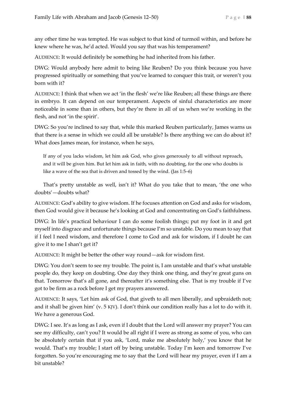any other time he was tempted. He was subject to that kind of turmoil within, and before he knew where he was, he'd acted. Would you say that was his temperament?

AUDIENCE: It would definitely be something he had inherited from his father.

DWG: Would anybody here admit to being like Reuben? Do you think because you have progressed spiritually or something that you've learned to conquer this trait, or weren't you born with it?

AUDIENCE: I think that when we act 'in the flesh' we're like Reuben; all these things are there in embryo. It can depend on our temperament. Aspects of sinful characteristics are more noticeable in some than in others, but they're there in all of us when we're working in the flesh, and not 'in the spirit'.

DWG: So you're inclined to say that, while this marked Reuben particularly, James warns us that there is a sense in which we could all be unstable? Is there anything we can do about it? What does James mean, for instance, when he says,

If any of you lacks wisdom, let him ask God, who gives generously to all without reproach, and it will be given him. But let him ask in faith, with no doubting, for the one who doubts is like a wave of the sea that is driven and tossed by the wind. (Jas 1:5–6)

That's pretty unstable as well, isn't it? What do you take that to mean, 'the one who doubts'—doubts what?

AUDIENCE: God's ability to give wisdom. If he focuses attention on God and asks for wisdom, then God would give it because he's looking at God and concentrating on God's faithfulness.

DWG: In life's practical behaviour I can do some foolish things; put my foot in it and get myself into disgrace and unfortunate things because I'm so unstable. Do you mean to say that if I feel I need wisdom, and therefore I come to God and ask for wisdom, if I doubt he can give it to me I shan't get it?

AUDIENCE: It might be better the other way round—ask for wisdom first.

DWG: You don't seem to see my trouble. The point is, I am unstable and that's what unstable people do, they keep on doubting. One day they think one thing, and they're great guns on that. Tomorrow that's all gone, and thereafter it's something else. That is my trouble if I've got to be firm as a rock before I get my prayers answered.

AUDIENCE: It says, 'Let him ask of God, that giveth to all men liberally, and upbraideth not; and it shall be given him' (v. 5 KJV). I don't think our condition really has a lot to do with it. We have a generous God.

DWG: I see. It's as long as I ask, even if I doubt that the Lord will answer my prayer? You can see my difficulty, can't you? It would be all right if I were as strong as some of you, who can be absolutely certain that if you ask, 'Lord, make me absolutely holy,' you know that he would. That's my trouble; I start off by being unstable. Today I'm keen and tomorrow I've forgotten. So you're encouraging me to say that the Lord will hear my prayer, even if I am a bit unstable?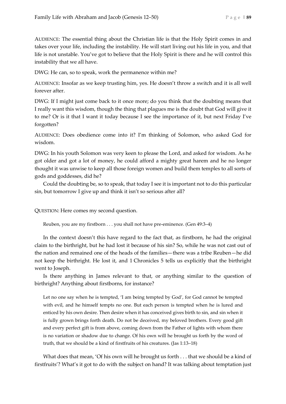AUDIENCE: The essential thing about the Christian life is that the Holy Spirit comes in and takes over your life, including the instability. He will start living out his life in you, and that life is not unstable. You've got to believe that the Holy Spirit is there and he will control this instability that we all have.

DWG: He can, so to speak, work the permanence within me?

AUDIENCE: Insofar as we keep trusting him, yes. He doesn't throw a switch and it is all well forever after.

DWG: If I might just come back to it once more; do you think that the doubting means that I really want this wisdom, though the thing that plagues me is the doubt that God will give it to me? Or is it that I want it today because I see the importance of it, but next Friday I've forgotten?

AUDIENCE: Does obedience come into it? I'm thinking of Solomon, who asked God for wisdom.

DWG: In his youth Solomon was very keen to please the Lord, and asked for wisdom. As he got older and got a lot of money, he could afford a mighty great harem and he no longer thought it was unwise to keep all those foreign women and build them temples to all sorts of gods and goddesses, did he?

Could the doubting be, so to speak, that today I see it is important not to do this particular sin, but tomorrow I give up and think it isn't so serious after all?

QUESTION: Here comes my second question.

Reuben, you are my firstborn . . . you shall not have pre-eminence. (Gen 49:3–4)

In the context doesn't this have regard to the fact that, as firstborn, he had the original claim to the birthright, but he had lost it because of his sin? So, while he was not cast out of the nation and remained one of the heads of the families—there was a tribe Reuben—he did not keep the birthright. He lost it, and 1 Chronicles 5 tells us explicitly that the birthright went to Joseph.

Is there anything in James relevant to that, or anything similar to the question of birthright? Anything about firstborns, for instance?

Let no one say when he is tempted, 'I am being tempted by God', for God cannot be tempted with evil, and he himself tempts no one. But each person is tempted when he is lured and enticed by his own desire. Then desire when it has conceived gives birth to sin, and sin when it is fully grown brings forth death. Do not be deceived, my beloved brothers. Every good gift and every perfect gift is from above, coming down from the Father of lights with whom there is no variation or shadow due to change. Of his own will he brought us forth by the word of truth, that we should be a kind of firstfruits of his creatures. (Jas 1:13–18)

What does that mean, 'Of his own will he brought us forth . . . that we should be a kind of firstfruits'? What's it got to do with the subject on hand? It was talking about temptation just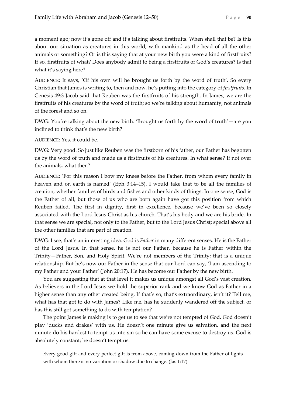a moment ago; now it's gone off and it's talking about firstfruits. When shall that be? Is this about our situation as creatures in this world, with mankind as the head of all the other animals or something? Or is this saying that at your new birth you were a kind of firstfruits? If so, firstfruits of what? Does anybody admit to being a firstfruits of God's creatures? Is that what it's saying here?

AUDIENCE: It says, 'Of his own will he brought us forth by the word of truth'. So every Christian that James is writing to, then and now, he's putting into the category of *firstfruits*. In Genesis 49:3 Jacob said that Reuben was the firstfruits of his strength. In James, we are the firstfruits of his creatures by the word of truth; so we're talking about humanity, not animals of the forest and so on.

DWG: You're talking about the new birth. 'Brought us forth by the word of truth'—are you inclined to think that's the new birth?

AUDIENCE: Yes, it could be.

DWG: Very good. So just like Reuben was the firstborn of his father, our Father has begotten us by the word of truth and made us a firstfruits of his creatures. In what sense? If not over the animals, what then?

AUDIENCE: 'For this reason I bow my knees before the Father, from whom every family in heaven and on earth is named' (Eph 3:14–15). I would take that to be all the families of creation, whether families of birds and fishes and other kinds of things. In one sense, God is the Father of all, but those of us who are born again have got this position from which Reuben failed. The first in dignity, first in excellence, because we've been so closely associated with the Lord Jesus Christ as his church. That's his body and we are his bride. In that sense we are special, not only to the Father, but to the Lord Jesus Christ; special above all the other families that are part of creation.

DWG: I see, that's an interesting idea. God is *Father* in many different senses. He is the Father of the Lord Jesus. In that sense, he is not our Father, because he is Father within the Trinity—Father, Son, and Holy Spirit. We're not members of the Trinity; that is a unique relationship. But he's now our Father in the sense that our Lord can say, 'I am ascending to my Father and your Father' (John 20:17). He has become our Father by the new birth.

You are suggesting that at that level it makes us unique amongst all God's vast creation. As believers in the Lord Jesus we hold the superior rank and we know God as Father in a higher sense than any other created being. If that's so, that's extraordinary, isn't it? Tell me, what has that got to do with James? Like me, has he suddenly wandered off the subject, or has this still got something to do with temptation?

The point James is making is to get us to see that we're not tempted of God. God doesn't play 'ducks and drakes' with us. He doesn't one minute give us salvation, and the next minute do his hardest to tempt us into sin so he can have some excuse to destroy us. God is absolutely constant; he doesn't tempt us.

Every good gift and every perfect gift is from above, coming down from the Father of lights with whom there is no variation or shadow due to change. (Jas 1:17)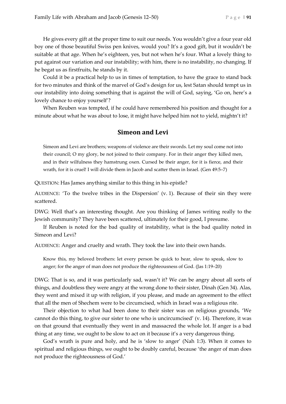He gives every gift at the proper time to suit our needs. You wouldn't give a four year old boy one of those beautiful Swiss pen knives, would you? It's a good gift, but it wouldn't be suitable at that age. When he's eighteen, yes, but not when he's four. What a lovely thing to put against our variation and our instability; with him, there is no instability, no changing. If he begat us as firstfruits, he stands by it.

Could it be a practical help to us in times of temptation, to have the grace to stand back for two minutes and think of the marvel of God's design for us, lest Satan should tempt us in our instability into doing something that is against the will of God, saying, 'Go on, here's a lovely chance to enjoy yourself'?

When Reuben was tempted, if he could have remembered his position and thought for a minute about what he was about to lose, it might have helped him not to yield, mightn't it?

### **Simeon and Levi**

Simeon and Levi are brothers; weapons of violence are their swords. Let my soul come not into their council; O my glory, be not joined to their company. For in their anger they killed men, and in their wilfulness they hamstrung oxen. Cursed be their anger, for it is fierce, and their wrath, for it is cruel! I will divide them in Jacob and scatter them in Israel. (Gen 49:5–7)

QUESTION: Has James anything similar to this thing in his epistle?

AUDIENCE: 'To the twelve tribes in the Dispersion' (v. 1). Because of their sin they were scattered.

DWG: Well that's an interesting thought. Are you thinking of James writing really to the Jewish community? They have been scattered, ultimately for their good, I presume.

If Reuben is noted for the bad quality of instability, what is the bad quality noted in Simeon and Levi?

AUDIENCE: Anger and cruelty and wrath. They took the law into their own hands.

Know this, my beloved brothers: let every person be quick to hear, slow to speak, slow to anger; for the anger of man does not produce the righteousness of God. (Jas 1:19–20)

DWG: That is so, and it was particularly sad, wasn't it? We can be angry about all sorts of things, and doubtless they were angry at the wrong done to their sister, Dinah (Gen 34). Alas, they went and mixed it up with religion, if you please, and made an agreement to the effect that all the men of Shechem were to be circumcised, which in Israel was a religious rite.

Their objection to what had been done to their sister was on religious grounds, 'We cannot do this thing, to give our sister to one who is uncircumcised' (v. 14). Therefore, it was on that ground that eventually they went in and massacred the whole lot. If anger is a bad thing at any time, we ought to be slow to act on it because it's a very dangerous thing.

God's wrath is pure and holy, and he is 'slow to anger' (Nah 1:3). When it comes to spiritual and religious things, we ought to be doubly careful, because 'the anger of man does not produce the righteousness of God.'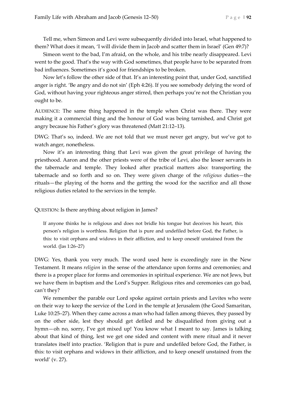Tell me, when Simeon and Levi were subsequently divided into Israel, what happened to them? What does it mean, 'I will divide them in Jacob and scatter them in Israel' (Gen 49:7)?

Simeon went to the bad, I'm afraid, on the whole, and his tribe nearly disappeared. Levi went to the good. That's the way with God sometimes, that people have to be separated from bad influences. Sometimes it's good for friendships to be broken.

Now let's follow the other side of that. It's an interesting point that, under God, sanctified anger is right. 'Be angry and do not sin' (Eph 4:26). If you see somebody defying the word of God, without having your righteous anger stirred, then perhaps you're not the Christian you ought to be.

AUDIENCE: The same thing happened in the temple when Christ was there. They were making it a commercial thing and the honour of God was being tarnished, and Christ got angry because his Father's glory was threatened (Matt 21:12–13).

DWG: That's so, indeed. We are not told that we must never get angry, but we've got to watch anger, nonetheless.

Now it's an interesting thing that Levi was given the great privilege of having the priesthood. Aaron and the other priests were of the tribe of Levi, also the lesser servants in the tabernacle and temple. They looked after practical matters also: transporting the tabernacle and so forth and so on. They were given charge of the *religious* duties—the rituals—the playing of the horns and the getting the wood for the sacrifice and all those religious duties related to the services in the temple.

QUESTION: Is there anything about religion in James?

If anyone thinks he is religious and does not bridle his tongue but deceives his heart, this person's religion is worthless. Religion that is pure and undefiled before God, the Father, is this: to visit orphans and widows in their affliction, and to keep oneself unstained from the world. (Jas 1:26–27)

DWG: Yes, thank you very much. The word used here is exceedingly rare in the New Testament. It means *religion* in the sense of the attendance upon forms and ceremonies; and there is a proper place for forms and ceremonies in spiritual experience. We are not Jews, but we have them in baptism and the Lord's Supper. Religious rites and ceremonies can go bad, can't they?

We remember the parable our Lord spoke against certain priests and Levites who were on their way to keep the service of the Lord in the temple at Jerusalem (the Good Samaritan, Luke 10:25–27). When they came across a man who had fallen among thieves, they passed by on the other side, lest they should get defiled and be disqualified from giving out a hymn—oh no, sorry, I've got mixed up! You know what I meant to say. James is talking about that kind of thing, lest we get one sided and content with mere ritual and it never translates itself into practice. 'Religion that is pure and undefiled before God, the Father, is this: to visit orphans and widows in their affliction, and to keep oneself unstained from the world' (v. 27).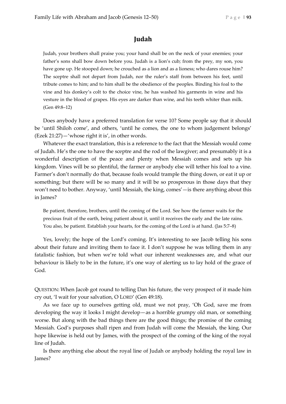### **Judah**

Judah, your brothers shall praise you; your hand shall be on the neck of your enemies; your father's sons shall bow down before you. Judah is a lion's cub; from the prey, my son, you have gone up. He stooped down; he crouched as a lion and as a lioness; who dares rouse him? The sceptre shall not depart from Judah, nor the ruler's staff from between his feet, until tribute comes to him; and to him shall be the obedience of the peoples. Binding his foal to the vine and his donkey's colt to the choice vine, he has washed his garments in wine and his vesture in the blood of grapes. His eyes are darker than wine, and his teeth whiter than milk. (Gen 49:8–12)

Does anybody have a preferred translation for verse 10? Some people say that it should be 'until Shiloh come', and others, 'until he comes, the one to whom judgement belongs' (Ezek 21:27)—'whose right it is', in other words.

Whatever the exact translation, this is a reference to the fact that the Messiah would come of Judah. He's the one to have the sceptre and the rod of the lawgiver; and presumably it is a wonderful description of the peace and plenty when Messiah comes and sets up his kingdom. Vines will be so plentiful, the farmer or anybody else will tether his foal to a vine. Farmer's don't normally do that, because foals would trample the thing down, or eat it up or something; but there will be so many and it will be so prosperous in those days that they won't need to bother. Anyway, 'until Messiah, the king, comes'—is there anything about this in James?

Be patient, therefore, brothers, until the coming of the Lord. See how the farmer waits for the precious fruit of the earth, being patient about it, until it receives the early and the late rains. You also, be patient. Establish your hearts, for the coming of the Lord is at hand. (Jas 5:7–8)

Yes, lovely; the hope of the Lord's coming. It's interesting to see Jacob telling his sons about their future and inviting them to face it. I don't suppose he was telling them in any fatalistic fashion, but when we're told what our inherent weaknesses are, and what our behaviour is likely to be in the future, it's one way of alerting us to lay hold of the grace of God.

QUESTION: When Jacob got round to telling Dan his future, the very prospect of it made him cry out, 'I wait for your salvation, O LORD' (Gen 49:18).

As we face up to ourselves getting old, must we not pray, 'Oh God, save me from developing the way it looks I might develop—as a horrible grumpy old man, or something worse. But along with the bad things there are the good things; the promise of the coming Messiah. God's purposes shall ripen and from Judah will come the Messiah, the king. Our hope likewise is held out by James, with the prospect of the coming of the king of the royal line of Judah.

Is there anything else about the royal line of Judah or anybody holding the royal law in James?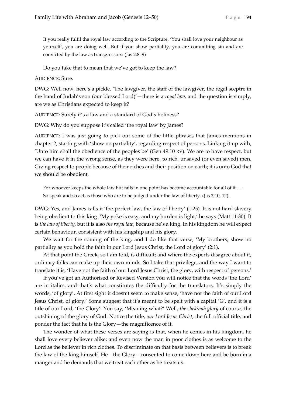If you really fulfil the royal law according to the Scripture, 'You shall love your neighbour as yourself', you are doing well. But if you show partiality, you are committing sin and are convicted by the law as transgressors. (Jas 2:8–9)

Do you take that to mean that we've got to keep the law?

AUDIENCE: Sure.

DWG: Well now, here's a pickle. 'The lawgiver, the staff of the lawgiver, the regal sceptre in the hand of Judah's son (our blessed Lord)'—there is a *royal law*, and the question is simply, are we as Christians expected to keep it?

AUDIENCE: Surely it's a law and a standard of God's holiness?

DWG: Why do you suppose it's called 'the royal law' by James?

AUDIENCE: I was just going to pick out some of the little phrases that James mentions in chapter 2, starting with 'show no partiality', regarding respect of persons. Linking it up with, 'Unto him shall the obedience of the peoples be' (Gen 49:10 RV). We are to have respect, but we can have it in the wrong sense, as they were here, to rich, unsaved (or even saved) men. Giving respect to people because of their riches and their position on earth; it is unto God that we should be obedient.

For whoever keeps the whole law but fails in one point has become accountable for all of it . . . So speak and so act as those who are to be judged under the law of liberty. (Jas 2:10, 12).

DWG: Yes, and James calls it 'the perfect law, the law of liberty' (1:25). It is not hard slavery being obedient to this king. 'My yoke is easy, and my burden is light,' he says (Matt 11:30). It is *the law of liberty*, but it is also *the royal law*, because he's a king. In his kingdom he will expect certain behaviour, consistent with his kingship and his glory.

We wait for the coming of the king, and I do like that verse, 'My brothers, show no partiality as you hold the faith in our Lord Jesus Christ, the Lord of glory' (2:1).

At that point the Greek, so I am told, is difficult; and where the experts disagree about it, ordinary folks can make up their own minds. So I take that privilege, and the way I want to translate it is, 'Have not the faith of our Lord Jesus Christ, the glory, with respect of persons.'

If you've got an Authorised or Revised Version you will notice that the words 'the Lord' are in italics, and that's what constitutes the difficulty for the translators. It's simply the words, 'of glory'. At first sight it doesn't seem to make sense, 'have not the faith of our Lord Jesus Christ, of glory.' Some suggest that it's meant to be spelt with a capital 'G', and it is a title of our Lord, 'the Glory'. You say, 'Meaning what?' Well, *the shekinah glory* of course; the outshining of the glory of God. Notice the title, *our Lord Jesus Christ*, the full official title, and ponder the fact that he is the Glory—the magnificence of it.

The wonder of what these verses are saying is that, when he comes in his kingdom, he shall love every believer alike; and even now the man in poor clothes is as welcome to the Lord as the believer in rich clothes. To discriminate on that basis between believers is to break the law of the king himself. He—the Glory—consented to come down here and be born in a manger and he demands that we treat each other as he treats us.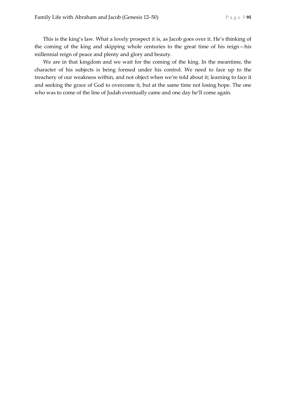This is the king's law. What a lovely prospect it is, as Jacob goes over it. He's thinking of the coming of the king and skipping whole centuries to the great time of his reign—his millennial reign of peace and plenty and glory and beauty.

We are in that kingdom and we wait for the coming of the king. In the meantime, the character of his subjects is being formed under his control. We need to face up to the treachery of our weakness within, and not object when we're told about it; learning to face it and seeking the grace of God to overcome it, but at the same time not losing hope. The one who was to come of the line of Judah eventually came and one day he'll come again.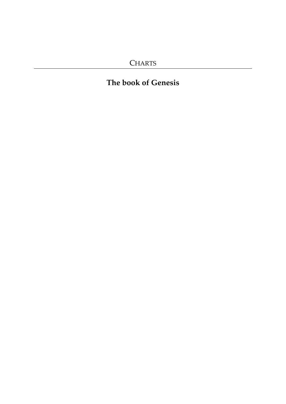# **The book of Genesis**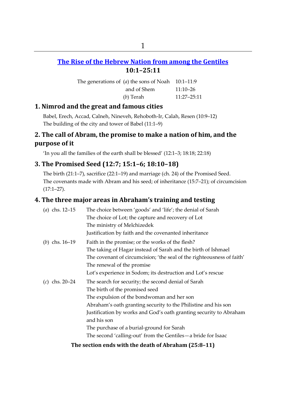| The generations of ( <i>a</i> ) the sons of Noah $10:1-11:9$ |              |
|--------------------------------------------------------------|--------------|
| and of Shem                                                  | $11:10 - 26$ |
| $(b)$ Terah                                                  | 11:27-25:11  |

### **1. Nimrod and the great and famous cities**

Babel, Erech, Accad, Calneh, Nineveh, Rehoboth-Ir, Calah, Resen (10:9–12) The building of the city and tower of Babel (11:1–9)

## **2. The call of Abram, the promise to make a nation of him, and the purpose of it**

'In you all the families of the earth shall be blessed' (12:1–3; 18:18; 22:18)

## **3. The Promised Seed (12:7; 15:1–6; 18:10–18)**

The birth (21:1–7), sacrifice (22:1–19) and marriage (ch. 24) of the Promised Seed. The covenants made with Abram and his seed; of inheritance (15:7–21); of circumcision (17:1–27).

### **4. The three major areas in Abraham's training and testing**

| ( <i>a</i> ) chs. $12-15$ | The choice between 'goods' and 'life'; the denial of Sarah             |
|---------------------------|------------------------------------------------------------------------|
|                           | The choice of Lot; the capture and recovery of Lot                     |
|                           | The ministry of Melchizedek                                            |
|                           | Justification by faith and the covenanted inheritance                  |
| ( <i>b</i> ) chs. $16-19$ | Faith in the promise; or the works of the flesh?                       |
|                           | The taking of Hagar instead of Sarah and the birth of Ishmael          |
|                           | The covenant of circumcision; 'the seal of the righteousness of faith' |
|                           | The renewal of the promise                                             |
|                           | Lot's experience in Sodom; its destruction and Lot's rescue            |
| chs. 20–24<br>(c)         | The search for security; the second denial of Sarah                    |
|                           | The birth of the promised seed                                         |
|                           | The expulsion of the bondwoman and her son                             |
|                           | Abraham's oath granting security to the Philistine and his son         |
|                           | Justification by works and God's oath granting security to Abraham     |
|                           | and his son                                                            |
|                           | The purchase of a burial-ground for Sarah                              |
|                           | The second 'calling-out' from the Gentiles - a bride for Isaac         |
|                           |                                                                        |

### **The section ends with the death of Abraham (25:8–11)**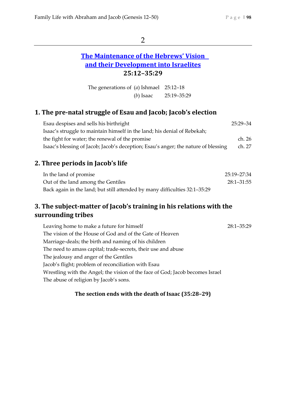2

## **[The Maintenance of the Hebrews'](#page-1-0) Vision [and their Development into Israelites](#page-1-0) 25:12–35:29**

The generations of (*a*) Ishmael 25:12–18 (*b*) Isaac 25:19–35:29

### **1. The pre-natal struggle of Esau and Jacob; Jacob's election**

| Esau despises and sells his birthright                                             | $25:29 - 34$ |
|------------------------------------------------------------------------------------|--------------|
| Isaac's struggle to maintain himself in the land; his denial of Rebekah;           |              |
| the fight for water; the renewal of the promise                                    | ch. 26       |
| Isaac's blessing of Jacob; Jacob's deception; Esau's anger; the nature of blessing | ch. 27       |

### **2. Three periods in Jacob's life**

| In the land of promise                                                     | 25:19-27:34 |
|----------------------------------------------------------------------------|-------------|
| Out of the land among the Gentiles                                         | 28:1-31:55  |
| Back again in the land; but still attended by many difficulties 32:1–35:29 |             |

## **3. The subject-matter of Jacob's training in his relations with the surrounding tribes**

| Leaving home to make a future for himself                                     | $28:1 - 35:29$ |
|-------------------------------------------------------------------------------|----------------|
| The vision of the House of God and of the Gate of Heaven                      |                |
| Marriage-deals; the birth and naming of his children                          |                |
| The need to amass capital; trade-secrets, their use and abuse                 |                |
| The jealousy and anger of the Gentiles                                        |                |
| Jacob's flight; problem of reconciliation with Esau                           |                |
| Wrestling with the Angel; the vision of the face of God; Jacob becomes Israel |                |
| The abuse of religion by Jacob's sons.                                        |                |

### **The section ends with the death of Isaac (35:28–29)**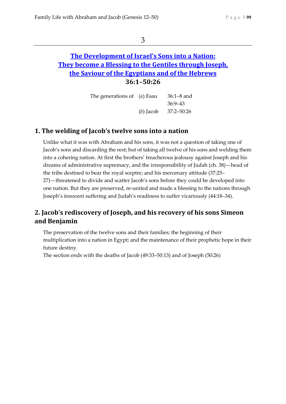## **[The Development of Israel's Sons into a Nation:](#page-1-0) [They become a Blessing to the Gentiles through Joseph,](#page-1-0) [the Saviour of the Egyptians and of the Hebrews](#page-1-0) 36:1–50:26**

The generations of (*a*) Esau 36:1–8 and 36:9–43 (*b*) Jacob 37:2–50:26

### **1. The welding of Jacob's twelve sons into a nation**

Unlike what it was with Abraham and his sons, it was not a question of taking one of Jacob's sons and discarding the rest; but of taking all twelve of his sons and welding them into a cohering nation. At first the brothers' treacherous jealousy against Joseph and his dreams of administrative supremacy, and the irresponsibility of Judah (ch. 38)—head of the tribe destined to bear the royal sceptre; and his mercenary attitude (37:25– 27)—threatened to divide and scatter Jacob's sons before they could be developed into one nation. But they are preserved, re-united and made a blessing to the nations through Joseph's innocent suffering and Judah's readiness to suffer vicariously (44:18–34).

## **2. Jacob's rediscovery of Joseph, and his recovery of his sons Simeon and Benjamin**

The preservation of the twelve sons and their families; the beginning of their multiplication into a nation in Egypt; and the maintenance of their prophetic hope in their future destiny.

The section ends with the deaths of Jacob (49:33–50:13) and of Joseph (50:26)